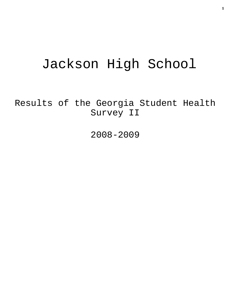# Jackson High School

Results of the Georgia Student Health Survey II

2008-2009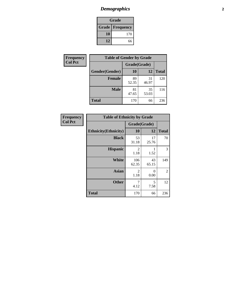# *Demographics* **2**

| Grade                    |     |  |  |
|--------------------------|-----|--|--|
| <b>Grade   Frequency</b> |     |  |  |
| 10                       | 170 |  |  |
| 12                       | 66  |  |  |

| <b>Frequency</b> | <b>Table of Gender by Grade</b> |              |             |              |  |
|------------------|---------------------------------|--------------|-------------|--------------|--|
| <b>Col Pct</b>   |                                 | Grade(Grade) |             |              |  |
|                  | Gender(Gender)                  | 10           | 12          | <b>Total</b> |  |
|                  | <b>Female</b>                   | 89<br>52.35  | 31<br>46.97 | 120          |  |
|                  | <b>Male</b>                     | 81<br>47.65  | 35<br>53.03 | 116          |  |
|                  | <b>Total</b>                    | 170          | 66          | 236          |  |

| <b>Frequency</b><br>Col Pct |
|-----------------------------|

| <b>Table of Ethnicity by Grade</b> |                        |                  |              |  |  |
|------------------------------------|------------------------|------------------|--------------|--|--|
|                                    | Grade(Grade)           |                  |              |  |  |
| <b>Ethnicity</b> (Ethnicity)       | 10                     | 12               | <b>Total</b> |  |  |
| <b>Black</b>                       | 53<br>31.18            | 17<br>25.76      | 70           |  |  |
| <b>Hispanic</b>                    | 2<br>1.18              | 1.52             | 3            |  |  |
| White                              | 106<br>62.35           | 43<br>65.15      | 149          |  |  |
| <b>Asian</b>                       | $\overline{2}$<br>1.18 | $\Omega$<br>0.00 | 2            |  |  |
| <b>Other</b>                       | 7<br>4.12              | 5<br>7.58        | 12           |  |  |
| <b>Total</b>                       | 170                    | 66               | 236          |  |  |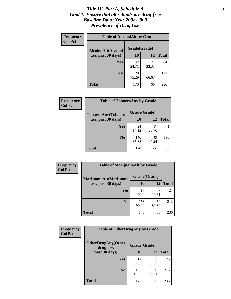### *Title IV, Part A, Schedule A* **3** *Goal 1: Ensure that all schools are drug-free Baseline Data: Year 2008-2009 Prevalence of Drug Use*

| Frequency<br><b>Col Pct</b> | <b>Table of AlcoholAlt by Grade</b> |              |             |              |  |  |
|-----------------------------|-------------------------------------|--------------|-------------|--------------|--|--|
|                             | AlcoholAlt(Alcohol                  | Grade(Grade) |             |              |  |  |
|                             | use, past 30 days)                  | <b>10</b>    | 12          | <b>Total</b> |  |  |
|                             | Yes                                 | 42<br>24.71  | 22<br>33.33 | 64           |  |  |
|                             | N <sub>0</sub>                      | 128<br>75.29 | 44<br>66.67 | 172          |  |  |
|                             | Total                               | 170          | 66          | 236          |  |  |

| Frequency<br><b>Col Pct</b> | <b>Table of TobaccoAny by Grade</b> |              |             |              |  |
|-----------------------------|-------------------------------------|--------------|-------------|--------------|--|
|                             | <b>TobaccoAny(Tobacco</b>           | Grade(Grade) |             |              |  |
|                             | use, past 30 days)                  | <b>10</b>    | 12          | <b>Total</b> |  |
|                             | Yes                                 | 24<br>14.12  | 17<br>25.76 | 41           |  |
|                             | N <sub>0</sub>                      | 146<br>85.88 | 49<br>74.24 | 195          |  |
|                             | Total                               | 170          | 66          | 236          |  |

| Frequency<br><b>Col Pct</b> | <b>Table of MarijuanaAlt by Grade</b> |              |             |              |  |
|-----------------------------|---------------------------------------|--------------|-------------|--------------|--|
|                             | MarijuanaAlt(Marijuana                | Grade(Grade) |             |              |  |
|                             | use, past 30 days)                    | <b>10</b>    | 12          | <b>Total</b> |  |
|                             | <b>Yes</b>                            | 17<br>10.00  | ℸ<br>10.61  | 24           |  |
|                             | N <sub>0</sub>                        | 153<br>90.00 | 59<br>89.39 | 212          |  |
|                             | <b>Total</b>                          | 170          | 66          | 236          |  |

| <b>Frequency</b> | <b>Table of OtherDrugAny by Grade</b>  |              |             |              |  |
|------------------|----------------------------------------|--------------|-------------|--------------|--|
| <b>Col Pct</b>   | <b>OtherDrugAny(Other</b><br>drug use, | Grade(Grade) |             |              |  |
|                  | past 30 days)                          | 10           | 12          | <b>Total</b> |  |
|                  | Yes                                    | 17<br>10.00  | 6<br>9.09   | 23           |  |
|                  | N <sub>0</sub>                         | 153<br>90.00 | 60<br>90.91 | 213          |  |
|                  | <b>Total</b>                           | 170          | 66          | 236          |  |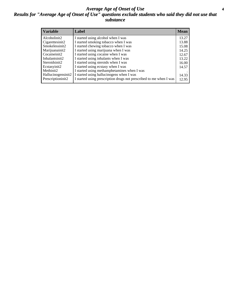### *Average Age of Onset of Use* **4** *Results for "Average Age of Onset of Use" questions exclude students who said they did not use that substance*

| <b>Variable</b>    | Label                                                              | <b>Mean</b> |
|--------------------|--------------------------------------------------------------------|-------------|
| Alcoholinit2       | I started using alcohol when I was                                 | 13.27       |
| Cigarettesinit2    | I started smoking tobacco when I was                               | 13.88       |
| Smokelessinit2     | I started chewing tobacco when I was                               | 15.08       |
| Marijuanainit2     | I started using marijuana when I was                               | 14.25       |
| Cocaineinit2       | I started using cocaine when I was                                 | 12.67       |
| Inhalantsinit2     | I started using inhalants when I was                               | 13.22       |
| Steroidsinit2      | I started using steroids when I was                                | 16.00       |
| Ecstasyinit2       | I started using ecstasy when I was                                 | 14.57       |
| Methinit2          | I started using methamphetamines when I was                        |             |
| Hallucinogensinit2 | I started using hallucinogens when I was                           | 14.33       |
| Prescriptioninit2  | I started using prescription drugs not prescribed to me when I was | 12.95       |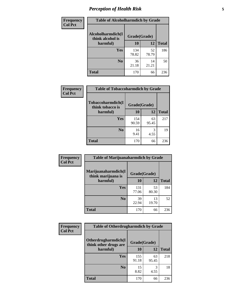# *Perception of Health Risk* **5**

| Frequency      | <b>Table of Alcoholharmdich by Grade</b> |              |             |              |
|----------------|------------------------------------------|--------------|-------------|--------------|
| <b>Col Pct</b> | Alcoholharmdich(I<br>think alcohol is    | Grade(Grade) |             |              |
|                | harmful)                                 | 10           | 12          | <b>Total</b> |
|                | Yes                                      | 134<br>78.82 | 52<br>78.79 | 186          |
|                | N <sub>0</sub>                           | 36<br>21.18  | 14<br>21.21 | 50           |
|                | <b>Total</b>                             | 170          | 66          | 236          |

| Frequency      | <b>Table of Tobaccoharmdich by Grade</b> |              |             |              |
|----------------|------------------------------------------|--------------|-------------|--------------|
| <b>Col Pct</b> | Tobaccoharmdich(I<br>think tobacco is    | Grade(Grade) |             |              |
|                | harmful)                                 | 10           | 12          | <b>Total</b> |
|                | Yes                                      | 154<br>90.59 | 63<br>95.45 | 217          |
|                | N <sub>0</sub>                           | 16<br>9.41   | 3<br>4.55   | 19           |
|                | <b>Total</b>                             | 170          | 66          | 236          |

| Frequency      | <b>Table of Marijuanaharmdich by Grade</b> |              |             |              |  |
|----------------|--------------------------------------------|--------------|-------------|--------------|--|
| <b>Col Pct</b> | Marijuanaharmdich(I<br>think marijuana is  | Grade(Grade) |             |              |  |
|                | harmful)                                   | 10           | 12          | <b>Total</b> |  |
|                | <b>Yes</b>                                 | 131<br>77.06 | 53<br>80.30 | 184          |  |
|                | N <sub>0</sub>                             | 39<br>22.94  | 13<br>19.70 | 52           |  |
|                | <b>Total</b>                               | 170          | 66          | 236          |  |

| <b>Frequency</b> | <b>Table of Otherdrugharmdich by Grade</b>                   |              |             |              |  |  |  |  |
|------------------|--------------------------------------------------------------|--------------|-------------|--------------|--|--|--|--|
| <b>Col Pct</b>   | Otherdrugharmdich(I<br>Grade(Grade)<br>think other drugs are |              |             |              |  |  |  |  |
|                  | harmful)                                                     | <b>10</b>    | 12          | <b>Total</b> |  |  |  |  |
|                  | Yes                                                          | 155<br>91.18 | 63<br>95.45 | 218          |  |  |  |  |
|                  | N <sub>0</sub>                                               | 15<br>8.82   | 3<br>4.55   | 18           |  |  |  |  |
|                  | <b>Total</b>                                                 | 170          | 66          | 236          |  |  |  |  |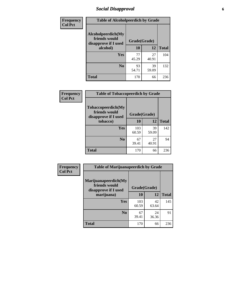# *Social Disapproval* **6**

| Frequency      | <b>Table of Alcoholpeerdich by Grade</b>                    |              |             |              |  |  |  |  |
|----------------|-------------------------------------------------------------|--------------|-------------|--------------|--|--|--|--|
| <b>Col Pct</b> | Alcoholpeerdich(My<br>friends would<br>disapprove if I used | Grade(Grade) |             |              |  |  |  |  |
|                | alcohol)                                                    | 10           | 12          | <b>Total</b> |  |  |  |  |
|                | <b>Yes</b>                                                  | 77<br>45.29  | 27<br>40.91 | 104          |  |  |  |  |
|                | N <sub>0</sub>                                              | 93<br>54.71  | 39<br>59.09 | 132          |  |  |  |  |
|                | <b>Total</b>                                                | 170          | 66          | 236          |  |  |  |  |

| <b>Frequency</b> |
|------------------|
| <b>Col Pct</b>   |

| <b>Table of Tobaccopeerdich by Grade</b>                    |              |             |              |  |  |  |  |
|-------------------------------------------------------------|--------------|-------------|--------------|--|--|--|--|
| Tobaccopeerdich(My<br>friends would<br>disapprove if I used | Grade(Grade) |             |              |  |  |  |  |
| tobacco)                                                    | 10           | 12          | <b>Total</b> |  |  |  |  |
| Yes                                                         | 103<br>60.59 | 39<br>59.09 | 142          |  |  |  |  |
| N <sub>0</sub>                                              | 67<br>39.41  | 27<br>40.91 | 94           |  |  |  |  |
| <b>Total</b>                                                | 170          | 66          | 236          |  |  |  |  |

| Frequency      | <b>Table of Marijuanapeerdich by Grade</b>                    |              |             |              |  |  |  |  |
|----------------|---------------------------------------------------------------|--------------|-------------|--------------|--|--|--|--|
| <b>Col Pct</b> | Marijuanapeerdich(My<br>friends would<br>disapprove if I used | Grade(Grade) |             |              |  |  |  |  |
|                | marijuana)                                                    | 10           | 12          | <b>Total</b> |  |  |  |  |
|                | <b>Yes</b>                                                    | 103<br>60.59 | 42<br>63.64 | 145          |  |  |  |  |
|                | N <sub>0</sub>                                                | 67<br>39.41  | 24<br>36.36 | 91           |  |  |  |  |
|                | <b>Total</b>                                                  | 170          | 66          | 236          |  |  |  |  |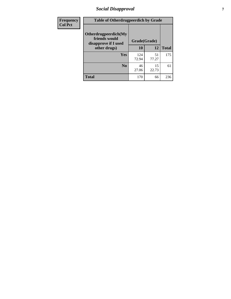# *Social Disapproval* **7**

| Frequency      | <b>Table of Otherdrugpeerdich by Grade</b>                    |              |             |              |  |  |  |  |
|----------------|---------------------------------------------------------------|--------------|-------------|--------------|--|--|--|--|
| <b>Col Pct</b> | Otherdrugpeerdich(My<br>friends would<br>disapprove if I used | Grade(Grade) |             |              |  |  |  |  |
|                | other drugs)                                                  | 10           | 12          | <b>Total</b> |  |  |  |  |
|                | Yes                                                           | 124<br>72.94 | 51<br>77.27 | 175          |  |  |  |  |
|                | N <sub>0</sub>                                                | 46<br>27.06  | 15<br>22.73 | 61           |  |  |  |  |
|                | <b>Total</b>                                                  | 170          | 66          | 236          |  |  |  |  |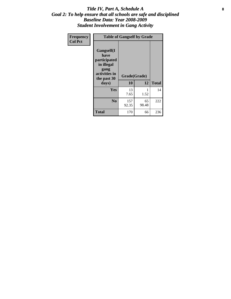### Title IV, Part A, Schedule A **8** *Goal 2: To help ensure that all schools are safe and disciplined Baseline Data: Year 2008-2009 Student Involvement in Gang Activity*

| Frequency      | <b>Table of Gangself by Grade</b>                                                                 |                    |             |              |
|----------------|---------------------------------------------------------------------------------------------------|--------------------|-------------|--------------|
| <b>Col Pct</b> | Gangself(I<br>have<br>participated<br>in illegal<br>gang<br>activities in<br>the past 30<br>days) | Grade(Grade)<br>10 | 12          | <b>Total</b> |
|                | Yes                                                                                               | 13<br>7.65         | 1<br>1.52   | 14           |
|                | N <sub>0</sub>                                                                                    | 157<br>92.35       | 65<br>98.48 | 222          |
|                | <b>Total</b>                                                                                      | 170                | 66          | 236          |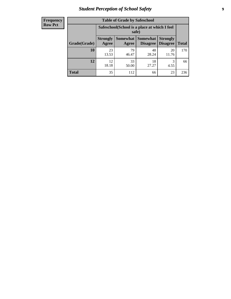# *Student Perception of School Safety* **9**

| <b>Frequency</b><br>Row Pct |
|-----------------------------|
|                             |

| <b>Table of Grade by Safeschool</b> |                                                        |             |                                 |                                    |              |  |  |  |
|-------------------------------------|--------------------------------------------------------|-------------|---------------------------------|------------------------------------|--------------|--|--|--|
|                                     | Safeschool (School is a place at which I feel<br>safe) |             |                                 |                                    |              |  |  |  |
| Grade(Grade)                        | <b>Strongly</b><br>Agree                               | Agree       | Somewhat   Somewhat<br>Disagree | <b>Strongly</b><br><b>Disagree</b> | <b>Total</b> |  |  |  |
| 10                                  | 23<br>13.53                                            | 79<br>46.47 | 48<br>28.24                     | 20<br>11.76                        | 170          |  |  |  |
| 12                                  | 12.<br>18.18                                           | 33<br>50.00 | 18<br>27.27                     | 3<br>4.55                          | 66           |  |  |  |
| <b>Total</b>                        | 35                                                     | 112         | 66                              | 23                                 | 236          |  |  |  |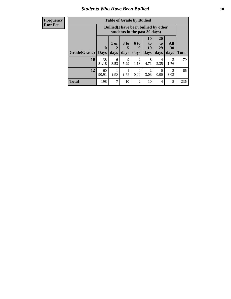### *Students Who Have Been Bullied* **10**

| <b>Frequency</b> |
|------------------|
| Row Pct          |

| <b>Table of Grade by Bullied</b> |                         |                                                                               |                              |                        |                        |                        |                                     |              |
|----------------------------------|-------------------------|-------------------------------------------------------------------------------|------------------------------|------------------------|------------------------|------------------------|-------------------------------------|--------------|
|                                  |                         | <b>Bullied</b> (I have been bullied by other<br>students in the past 30 days) |                              |                        |                        |                        |                                     |              |
| Grade(Grade)                     | $\bf{0}$<br><b>Days</b> | 1 or<br>days                                                                  | 3 <sub>to</sub><br>5<br>days | 6 to<br>9<br>days      | 10<br>to<br>19<br>days | 20<br>to<br>29<br>days | All<br>30<br>days                   | <b>Total</b> |
| 10                               | 138<br>81.18            | 6<br>3.53                                                                     | 9<br>5.29                    | $\overline{2}$<br>1.18 | 8<br>4.71              | 4<br>2.35              | 3<br>1.76                           | 170          |
| 12                               | 60<br>90.91             | 1.52                                                                          | 1.52                         | $\Omega$<br>0.00       | 3.03                   | $\Omega$<br>0.00       | $\mathcal{D}_{\mathcal{L}}$<br>3.03 | 66           |
| <b>Total</b>                     | 198                     | 7                                                                             | 10                           | $\overline{2}$         | 10                     | 4                      | 5                                   | 236          |

 $\blacksquare$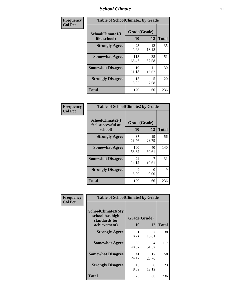### *School Climate* **11**

| Frequency      | <b>Table of SchoolClimate1 by Grade</b> |                    |             |              |  |  |
|----------------|-----------------------------------------|--------------------|-------------|--------------|--|--|
| <b>Col Pct</b> | SchoolClimate1(I<br>like school)        | Grade(Grade)<br>10 | 12          | <b>Total</b> |  |  |
|                | <b>Strongly Agree</b>                   | 23<br>13.53        | 12<br>18.18 | 35           |  |  |
|                | <b>Somewhat Agree</b>                   | 113<br>66.47       | 38<br>57.58 | 151          |  |  |
|                | <b>Somewhat Disagree</b>                | 19<br>11.18        | 11<br>16.67 | 30           |  |  |
|                | <b>Strongly Disagree</b>                | 15<br>8.82         | 5<br>7.58   | 20           |  |  |
|                | <b>Total</b>                            | 170                | 66          | 236          |  |  |

| Frequency      | <b>Table of SchoolClimate2 by Grade</b>           |                    |             |              |
|----------------|---------------------------------------------------|--------------------|-------------|--------------|
| <b>Col Pct</b> | SchoolClimate2(I<br>feel successful at<br>school) | Grade(Grade)<br>10 | 12          | <b>Total</b> |
|                | <b>Strongly Agree</b>                             | 37<br>21.76        | 19<br>28.79 | 56           |
|                | <b>Somewhat Agree</b>                             | 100<br>58.82       | 40<br>60.61 | 140          |
|                | <b>Somewhat Disagree</b>                          | 24<br>14.12        | 7<br>10.61  | 31           |
|                | <b>Strongly Disagree</b>                          | 9<br>5.29          | 0<br>0.00   | 9            |
|                | <b>Total</b>                                      | 170                | 66          | 236          |

| Frequency      | <b>Table of SchoolClimate3 by Grade</b>                      |                          |             |              |  |
|----------------|--------------------------------------------------------------|--------------------------|-------------|--------------|--|
| <b>Col Pct</b> | <b>SchoolClimate3(My</b><br>school has high<br>standards for | Grade(Grade)<br>10<br>12 |             | <b>Total</b> |  |
|                | achievement)                                                 |                          |             |              |  |
|                | <b>Strongly Agree</b>                                        | 31<br>18.24              | 7<br>10.61  | 38           |  |
|                | <b>Somewhat Agree</b>                                        | 83<br>48.82              | 34<br>51.52 | 117          |  |
|                | <b>Somewhat Disagree</b>                                     | 41<br>24.12              | 17<br>25.76 | 58           |  |
|                | <b>Strongly Disagree</b>                                     | 15<br>8.82               | 8<br>12.12  | 23           |  |
|                | Total                                                        | 170                      | 66          | 236          |  |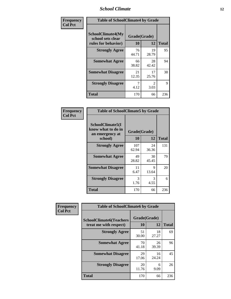### *School Climate* **12**

| Frequency      | <b>Table of SchoolClimate4 by Grade</b>                              |                    |                        |              |
|----------------|----------------------------------------------------------------------|--------------------|------------------------|--------------|
| <b>Col Pct</b> | <b>SchoolClimate4(My</b><br>school sets clear<br>rules for behavior) | Grade(Grade)<br>10 | 12                     | <b>Total</b> |
|                | <b>Strongly Agree</b>                                                | 76<br>44.71        | 19<br>28.79            | 95           |
|                | <b>Somewhat Agree</b>                                                | 66<br>38.82        | 28<br>42.42            | 94           |
|                | <b>Somewhat Disagree</b>                                             | 21<br>12.35        | 17<br>25.76            | 38           |
|                | <b>Strongly Disagree</b>                                             | 7<br>4.12          | $\mathfrak{D}$<br>3.03 | 9            |
|                | Total                                                                | 170                | 66                     | 236          |

| <b>Table of SchoolClimate5 by Grade</b>                   |              |             |              |  |  |
|-----------------------------------------------------------|--------------|-------------|--------------|--|--|
| SchoolClimate5(I<br>know what to do in<br>an emergency at | Grade(Grade) |             |              |  |  |
| school)                                                   | 10           | 12          | <b>Total</b> |  |  |
| <b>Strongly Agree</b>                                     | 107<br>62.94 | 24<br>36.36 | 131          |  |  |
| <b>Somewhat Agree</b>                                     | 49<br>28.82  | 30<br>45.45 | 79           |  |  |
| <b>Somewhat Disagree</b>                                  | 11<br>6.47   | 9<br>13.64  | 20           |  |  |
| <b>Strongly Disagree</b>                                  | 3<br>1.76    | 3<br>4.55   | 6            |  |  |
| <b>Total</b>                                              | 170          | 66          | 236          |  |  |

| Frequency      | <b>Table of SchoolClimate6 by Grade</b>                  |                    |             |              |
|----------------|----------------------------------------------------------|--------------------|-------------|--------------|
| <b>Col Pct</b> | <b>SchoolClimate6(Teachers</b><br>treat me with respect) | Grade(Grade)<br>10 | 12          | <b>Total</b> |
|                | <b>Strongly Agree</b>                                    | 51<br>30.00        | 18<br>27.27 | 69           |
|                | <b>Somewhat Agree</b>                                    | 70<br>41.18        | 26<br>39.39 | 96           |
|                | <b>Somewhat Disagree</b>                                 | 29<br>17.06        | 16<br>24.24 | 45           |
|                | <b>Strongly Disagree</b>                                 | 20<br>11.76        | 6<br>9.09   | 26           |
|                | <b>Total</b>                                             | 170                | 66          | 236          |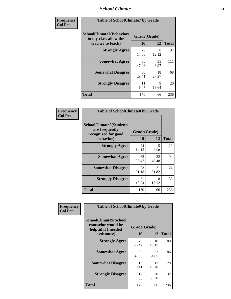### *School Climate* **13**

| Frequency      | <b>Table of SchoolClimate7 by Grade</b>                                       |                           |                      |              |
|----------------|-------------------------------------------------------------------------------|---------------------------|----------------------|--------------|
| <b>Col Pct</b> | <b>SchoolClimate7(Behaviors</b><br>in my class allow the<br>teacher to teach) | Grade(Grade)<br><b>10</b> | 12                   | <b>Total</b> |
|                | <b>Strongly Agree</b>                                                         | 29<br>17.06               | 8<br>12.12           | 37           |
|                | <b>Somewhat Agree</b>                                                         | 80<br>47.06               | 31<br>46.97          | 111          |
|                | <b>Somewhat Disagree</b>                                                      | 50<br>29.41               | 18<br>27.27          | 68           |
|                | <b>Strongly Disagree</b>                                                      | 11<br>6.47                | $\mathbf Q$<br>13.64 | 20           |
|                | <b>Total</b>                                                                  | 170                       | 66                   | 236          |

| Frequency      | <b>Table of SchoolClimate8 by Grade</b>                                 |              |             |              |
|----------------|-------------------------------------------------------------------------|--------------|-------------|--------------|
| <b>Col Pct</b> | <b>SchoolClimate8(Students</b><br>are frequently<br>recognized for good | Grade(Grade) |             |              |
|                | behavior)                                                               | 10           | 12          | <b>Total</b> |
|                | <b>Strongly Agree</b>                                                   | 24<br>14.12  | 5<br>7.58   | 29           |
|                | <b>Somewhat Agree</b>                                                   | 62<br>36.47  | 32<br>48.48 | 94           |
|                | <b>Somewhat Disagree</b>                                                | 53<br>31.18  | 21<br>31.82 | 74           |
|                | <b>Strongly Disagree</b>                                                | 31<br>18.24  | 8<br>12.12  | 39           |
|                | <b>Total</b>                                                            | 170          | 66          | 236          |

| Frequency      | <b>Table of SchoolClimate9 by Grade</b>                            |              |             |              |
|----------------|--------------------------------------------------------------------|--------------|-------------|--------------|
| <b>Col Pct</b> | SchoolClimate9(School<br>counselor would be<br>helpful if I needed | Grade(Grade) |             |              |
|                | assistance)                                                        | 10           | 12          | <b>Total</b> |
|                | <b>Strongly Agree</b>                                              | 79<br>46.47  | 10<br>15.15 | 89           |
|                | <b>Somewhat Agree</b>                                              | 63<br>37.06  | 23<br>34.85 | 86           |
|                | <b>Somewhat Disagree</b>                                           | 16<br>9.41   | 13<br>19.70 | 29           |
|                | <b>Strongly Disagree</b>                                           | 12<br>7.06   | 20<br>30.30 | 32           |
|                | Total                                                              | 170          | 66          | 236          |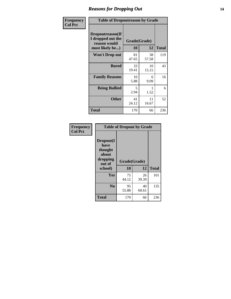### *Reasons for Dropping Out* **14**

| Frequency      | <b>Table of Dropoutreason by Grade</b>                                   |                    |             |              |
|----------------|--------------------------------------------------------------------------|--------------------|-------------|--------------|
| <b>Col Pct</b> | Dropoutreason(If<br>I dropped out the<br>reason would<br>most likely be) | Grade(Grade)<br>10 | 12          | <b>Total</b> |
|                | <b>Won't Drop out</b>                                                    | 81<br>47.65        | 38<br>57.58 | 119          |
|                | <b>Bored</b>                                                             | 33<br>19.41        | 10<br>15.15 | 43           |
|                | <b>Family Reasons</b>                                                    | 10<br>5.88         | 6<br>9.09   | 16           |
|                | <b>Being Bullied</b>                                                     | 5<br>2.94          | 1<br>1.52   | 6            |
|                | <b>Other</b>                                                             | 41<br>24.12        | 11<br>16.67 | 52           |
|                | <b>Total</b>                                                             | 170                | 66          | 236          |

| Frequency      | <b>Table of Dropout by Grade</b>                                       |                    |              |     |  |
|----------------|------------------------------------------------------------------------|--------------------|--------------|-----|--|
| <b>Col Pct</b> | Dropout(I<br>have<br>thought<br>about<br>dropping<br>out of<br>school) | Grade(Grade)<br>10 | <b>Total</b> |     |  |
|                |                                                                        |                    | 12           |     |  |
|                | Yes                                                                    | 75<br>44.12        | 26<br>39.39  | 101 |  |
|                | N <sub>0</sub>                                                         | 95<br>55.88        | 40<br>60.61  | 135 |  |
|                | <b>Total</b>                                                           | 170                | 66           | 236 |  |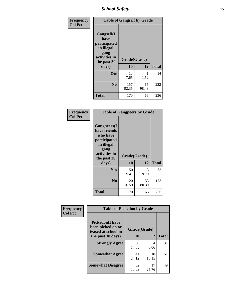*School Safety* **15**

| Frequency      | <b>Table of Gangself by Grade</b>                                                                 |                          |             |              |
|----------------|---------------------------------------------------------------------------------------------------|--------------------------|-------------|--------------|
| <b>Col Pct</b> | Gangself(I<br>have<br>participated<br>in illegal<br>gang<br>activities in<br>the past 30<br>days) | Grade(Grade)<br>10<br>12 |             | <b>Total</b> |
|                | Yes                                                                                               | 13<br>7.65               | 1<br>1.52   | 14           |
|                | N <sub>o</sub>                                                                                    | 157<br>92.35             | 65<br>98.48 | 222          |
|                | Total                                                                                             | 170                      | 66          | 236          |

| Frequency<br><b>Col Pct</b> | <b>Table of Gangpeers by Grade</b>                                                                                             |                    |             |              |
|-----------------------------|--------------------------------------------------------------------------------------------------------------------------------|--------------------|-------------|--------------|
|                             | <b>Gangpeers</b> (I<br>have friends<br>who have<br>participated<br>in illegal<br>gang<br>activities in<br>the past 30<br>days) | Grade(Grade)<br>10 | 12          | <b>Total</b> |
|                             | <b>Yes</b>                                                                                                                     | 50<br>29.41        | 13<br>19.70 | 63           |
|                             | N <sub>0</sub>                                                                                                                 | 120<br>70.59       | 53<br>80.30 | 173          |
|                             | <b>Total</b>                                                                                                                   | 170                | 66          | 236          |

| Frequency      |                                                                    | <b>Table of Pickedon by Grade</b> |             |              |  |  |  |  |
|----------------|--------------------------------------------------------------------|-----------------------------------|-------------|--------------|--|--|--|--|
| <b>Col Pct</b> | <b>Pickedon(I have</b><br>been picked on or<br>teased at school in | Grade(Grade)                      |             |              |  |  |  |  |
|                | the past 30 days)                                                  | 10                                | 12          | <b>Total</b> |  |  |  |  |
|                | <b>Strongly Agree</b>                                              | 30<br>17.65                       | 4<br>6.06   | 34           |  |  |  |  |
|                | <b>Somewhat Agree</b>                                              | 41<br>24.12                       | 10<br>15.15 | 51           |  |  |  |  |
|                | <b>Somewhat Disagree</b>                                           | 32<br>18.82                       | 17<br>25.76 | 49           |  |  |  |  |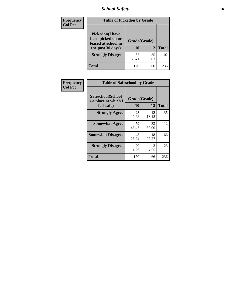*School Safety* **16**

| <b>Frequency</b> | <b>Table of Pickedon by Grade</b>                                                        |                    |             |              |
|------------------|------------------------------------------------------------------------------------------|--------------------|-------------|--------------|
| <b>Col Pct</b>   | <b>Pickedon</b> (I have<br>been picked on or<br>teased at school in<br>the past 30 days) | Grade(Grade)<br>10 | 12          | <b>Total</b> |
|                  | <b>Strongly Disagree</b>                                                                 | 67<br>39.41        | 35<br>53.03 | 102          |
|                  | Total                                                                                    | 170                | 66          | 236          |

| <b>Frequency</b> | <b>Table of Safeschool by Grade</b>        |              |             |              |
|------------------|--------------------------------------------|--------------|-------------|--------------|
| <b>Col Pct</b>   | Safeschool(School<br>is a place at which I | Grade(Grade) |             |              |
|                  | feel safe)                                 | 10           | 12          | <b>Total</b> |
|                  | <b>Strongly Agree</b>                      | 23<br>13.53  | 12<br>18.18 | 35           |
|                  | <b>Somewhat Agree</b>                      | 79<br>46.47  | 33<br>50.00 | 112          |
|                  | <b>Somewhat Disagree</b>                   | 48<br>28.24  | 18<br>27.27 | 66           |
|                  | <b>Strongly Disagree</b>                   | 20<br>11.76  | 3<br>4.55   | 23           |
|                  | <b>Total</b>                               | 170          | 66          | 236          |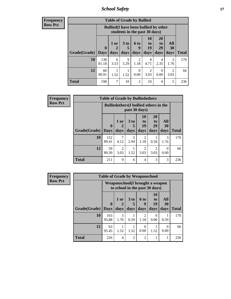*School Safety* **17**

|                | Frequency |
|----------------|-----------|
| <b>Row Pct</b> |           |

| V | <b>Table of Grade by Bullied</b> |                         |                                                                                                                                                          |           |                        |           |           |           |              |
|---|----------------------------------|-------------------------|----------------------------------------------------------------------------------------------------------------------------------------------------------|-----------|------------------------|-----------|-----------|-----------|--------------|
|   |                                  |                         | <b>Bullied</b> (I have been bullied by other<br>students in the past 30 days)                                                                            |           |                        |           |           |           |              |
|   | Grade(Grade)                     | $\bf{0}$<br><b>Days</b> | 10<br><b>20</b><br>All<br>1 or<br>3 <sub>to</sub><br>6 to<br>to<br>to<br>19<br>29<br><b>30</b><br>2<br>9<br>days<br>days<br>days<br>days<br>days<br>days |           |                        |           |           |           | <b>Total</b> |
|   | 10                               | 138<br>81.18            | 6<br>3.53                                                                                                                                                | 9<br>5.29 | $\mathfrak{D}$<br>1.18 | 8<br>4.71 | 4<br>2.35 | 3<br>1.76 | 170          |
|   | 12                               | 60<br>90.91             | $\overline{2}$<br>$\mathfrak{D}$<br>0<br>0<br>1.52<br>0.00<br>0.00<br>3.03<br>1.52<br>3.03                                                               |           |                        |           |           |           | 66           |
|   | <b>Total</b>                     | 198                     | 7                                                                                                                                                        | 10        | 2                      | 10        | 4         | 5         | 236          |

| Frequency      |                     | <b>Table of Grade by Bulliedothers</b>                         |                        |                         |                                  |                               |                   |              |  |  |
|----------------|---------------------|----------------------------------------------------------------|------------------------|-------------------------|----------------------------------|-------------------------------|-------------------|--------------|--|--|
| <b>Row Pct</b> |                     | <b>Bulliedothers</b> (I bullied others in the<br>past 30 days) |                        |                         |                                  |                               |                   |              |  |  |
|                | Grade(Grade)   Days | $\mathbf{0}$                                                   | 1 or<br>days           | 3 <sub>to</sub><br>days | 10<br>$\mathbf{t}$<br>19<br>days | <b>20</b><br>to<br>29<br>days | All<br>30<br>days | <b>Total</b> |  |  |
|                | 10                  | 152<br>89.41                                                   | 4.12                   | 5<br>2.94               | $\mathfrak{D}$<br>1.18           | 0.59                          | 3<br>1.76         | 170          |  |  |
|                | 12                  | 59<br>89.39                                                    | $\overline{2}$<br>3.03 | 1.52                    | $\mathfrak{D}$<br>3.03           | 2<br>3.03                     | 0<br>0.00         | 66           |  |  |
|                | <b>Total</b>        | 211                                                            | 9                      | 6                       | 4                                | 3                             | 3                 | 236          |  |  |

| <b>Frequency</b> | <b>Table of Grade by Weaponschool</b> |                             |                                                                    |                |                        |                        |                   |              |
|------------------|---------------------------------------|-----------------------------|--------------------------------------------------------------------|----------------|------------------------|------------------------|-------------------|--------------|
| <b>Row Pct</b>   |                                       |                             | Weaponschool (I brought a weapon<br>to school in the past 30 days) |                |                        |                        |                   |              |
|                  | Grade(Grade)                          | $\mathbf{0}$<br><b>Days</b> | 1 or<br>days                                                       | 3 to<br>days   | 6 to<br>9<br>days      | 10<br>to<br>19<br>days | All<br>30<br>days | <b>Total</b> |
|                  | 10                                    | 163<br>95.88                | $\mathcal{R}$<br>1.76                                              | 0.59           | $\mathfrak{D}$<br>1.18 | $\Omega$<br>0.00       | 0.59              | 170          |
|                  | 12                                    | 63<br>95.45                 | 1.52                                                               | 1.52           | 0<br>0.00              | 1.52                   | 0<br>0.00         | 66           |
|                  | <b>Total</b>                          | 226                         | $\overline{4}$                                                     | $\mathfrak{D}$ | $\mathfrak{D}$         |                        | 1                 | 236          |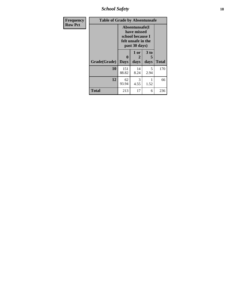*School Safety* **18**

| <b>Frequency</b> | <b>Table of Grade by Absentunsafe</b> |                         |                                                                                           |                   |              |
|------------------|---------------------------------------|-------------------------|-------------------------------------------------------------------------------------------|-------------------|--------------|
| <b>Row Pct</b>   |                                       |                         | Absentunsafe(I)<br>have missed<br>school because I<br>felt unsafe in the<br>past 30 days) |                   |              |
|                  | Grade(Grade)                          | $\bf{0}$<br><b>Days</b> | 1 or<br>2<br>days                                                                         | 3 to<br>5<br>days | <b>Total</b> |
|                  | 10                                    | 151<br>88.82            | 14<br>8.24                                                                                | 5<br>2.94         | 170          |
|                  | 12                                    | 62<br>93.94             | 3<br>4.55                                                                                 | 1.52              | 66           |
|                  | <b>Total</b>                          | 213                     | 17                                                                                        | 6                 | 236          |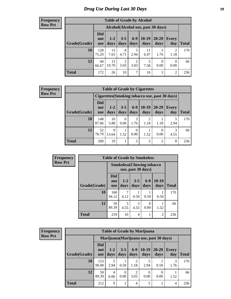# *Drug Use During Last 30 Days* **19**

#### **Frequency Row Pct**

| <b>Table of Grade by Alcohol</b> |                                 |                                    |                        |                        |                 |                   |                  |       |  |
|----------------------------------|---------------------------------|------------------------------------|------------------------|------------------------|-----------------|-------------------|------------------|-------|--|
|                                  |                                 | Alcohol(Alcohol use, past 30 days) |                        |                        |                 |                   |                  |       |  |
| Grade(Grade)                     | <b>Did</b><br>not<br><b>use</b> | $1 - 2$<br>days                    | $3 - 5$<br>days        | $6-9$<br>days          | $10-19$<br>days | $20 - 29$<br>days | Every<br>day     | Total |  |
| 10                               | 128<br>75.29                    | 13<br>7.65                         | 8<br>4.71              | 5<br>2.94              | 11<br>6.47      | 3<br>1.76         | 2<br>1.18        | 170   |  |
| 12                               | 44<br>66.67                     | 13<br>19.70                        | $\overline{2}$<br>3.03 | $\overline{2}$<br>3.03 | 5<br>7.58       | $\Omega$<br>0.00  | $\theta$<br>0.00 | 66    |  |
| <b>Total</b>                     | 172                             | 26                                 | 10                     | 7                      | 16              | 3                 | $\overline{2}$   | 236   |  |

#### **Frequency Row Pct**

| <b>Table of Grade by Cigarettes</b> |                                 |               |                 |                  |                 |                  |                                                |       |
|-------------------------------------|---------------------------------|---------------|-----------------|------------------|-----------------|------------------|------------------------------------------------|-------|
|                                     |                                 |               |                 |                  |                 |                  | Cigarettes (Smoking tobacco use, past 30 days) |       |
| Grade(Grade)                        | <b>Did</b><br>not<br><b>use</b> | $1-2$<br>days | $3 - 5$<br>days | $6-9$<br>days    | $10-19$<br>days | 20-29<br>days    | Every<br>day                                   | Total |
| 10                                  | 148<br>87.06                    | 10<br>5.88    | 0<br>0.00       | 3<br>1.76        | 2<br>1.18       | 2<br>1.18        | 2.94                                           | 170   |
| 12                                  | 52<br>78.79                     | 9<br>13.64    | 1.52            | $\Omega$<br>0.00 | 1.52            | $\theta$<br>0.00 | 4.55                                           | 66    |
| <b>Total</b>                        | <b>200</b>                      | 19            | 1               | 3                | 3               | 2                | 8                                              | 236   |

| <b>Frequency</b> |              | <b>Table of Grade by Smokeless</b>                      |                 |                 |               |                |              |
|------------------|--------------|---------------------------------------------------------|-----------------|-----------------|---------------|----------------|--------------|
| <b>Row Pct</b>   |              | <b>Smokeless</b> (Chewing tobacco<br>use, past 30 days) |                 |                 |               |                |              |
|                  | Grade(Grade) | <b>Did</b><br>not<br><b>use</b>                         | $1 - 2$<br>days | $3 - 5$<br>days | $6-9$<br>days | 10-19<br>days  | <b>Total</b> |
|                  | 10           | 160<br>94.12                                            | 7<br>4.12       | 0.59            | 0.59          | 0.59           | 170          |
|                  | 12           | 59<br>89.39                                             | 3<br>4.55       | 3<br>4.55       | 0<br>0.00     | 1.52           | 66           |
|                  | <b>Total</b> | 219                                                     | 10              | $\overline{4}$  |               | $\overline{2}$ | 236          |

| <b>Frequency</b> |
|------------------|
| <b>Row Pct</b>   |

| <b>Table of Grade by Marijuana</b> |                                 |                                         |                 |                        |                 |               |                     |              |
|------------------------------------|---------------------------------|-----------------------------------------|-----------------|------------------------|-----------------|---------------|---------------------|--------------|
|                                    |                                 | Marijuana (Marijuana use, past 30 days) |                 |                        |                 |               |                     |              |
| Grade(Grade)                       | <b>Did</b><br>not<br><b>use</b> | $1 - 2$<br>days                         | $3 - 5$<br>days | $6-9$<br>days          | $10-19$<br>days | 20-29<br>days | <b>Every</b><br>day | <b>Total</b> |
| 10                                 | 153<br>90.00                    | 2.94                                    | 0.59            | $\overline{c}$<br>1.18 | 2.94            | 0.59          | 3<br>1.76           | 170          |
| 12                                 | 59<br>89.39                     | 4<br>6.06                               | 0<br>0.00       | $\overline{c}$<br>3.03 | 0<br>0.00       | 0.00          | 1.52                | 66           |
| <b>Total</b>                       | 212                             | 9                                       |                 | 4                      | 5               |               | $\overline{4}$      | 236          |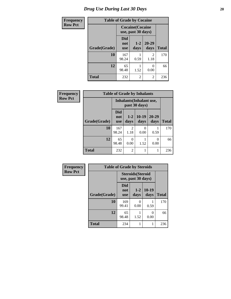# *Drug Use During Last 30 Days* 20

| <b>Frequency</b> | <b>Table of Grade by Cocaine</b> |                                               |                 |                   |              |  |  |
|------------------|----------------------------------|-----------------------------------------------|-----------------|-------------------|--------------|--|--|
| <b>Row Pct</b>   |                                  | <b>Cocaine</b> (Cocaine<br>use, past 30 days) |                 |                   |              |  |  |
|                  | Grade(Grade)                     | <b>Did</b><br>not<br><b>use</b>               | $1 - 2$<br>days | $20 - 29$<br>days | <b>Total</b> |  |  |
|                  | 10                               | 167<br>98.24                                  | 0.59            | 2<br>1.18         | 170          |  |  |
|                  | 12                               | 65<br>98.48                                   | 1.52            | 0.00              | 66           |  |  |
|                  | <b>Total</b>                     | 232                                           | 2               | 2                 | 236          |  |  |

| <b>Frequency</b> | <b>Table of Grade by Inhalants</b> |                                 |                        |                                           |                   |              |  |  |
|------------------|------------------------------------|---------------------------------|------------------------|-------------------------------------------|-------------------|--------------|--|--|
| <b>Row Pct</b>   |                                    |                                 |                        | Inhalants (Inhalant use,<br>past 30 days) |                   |              |  |  |
|                  | Grade(Grade)                       | <b>Did</b><br>not<br><b>use</b> | $1 - 2$<br>days        | $10-19$<br>days                           | $20 - 29$<br>days | <b>Total</b> |  |  |
|                  | 10                                 | 167<br>98.24                    | $\overline{2}$<br>1.18 | $\Omega$<br>0.00                          | 0.59              | 170          |  |  |
|                  | 12                                 | 65<br>98.48                     | 0<br>0.00              | 1.52                                      | 0.00              | 66           |  |  |
|                  | <b>Total</b>                       | 232                             | $\overline{2}$         |                                           |                   | 236          |  |  |

| Frequency      | <b>Table of Grade by Steroids</b> |                                 |                                                |                 |              |  |
|----------------|-----------------------------------|---------------------------------|------------------------------------------------|-----------------|--------------|--|
| <b>Row Pct</b> |                                   |                                 | <b>Steroids</b> (Steroid<br>use, past 30 days) |                 |              |  |
|                | Grade(Grade)                      | <b>Did</b><br>not<br><b>use</b> | $1 - 2$<br>days                                | $10-19$<br>days | <b>Total</b> |  |
|                | 10                                | 169<br>99.41                    | 0<br>0.00                                      | 0.59            | 170          |  |
|                | 12                                | 65<br>98.48                     | 1.52                                           | 0<br>0.00       | 66           |  |
|                | <b>Total</b>                      | 234                             |                                                |                 | 236          |  |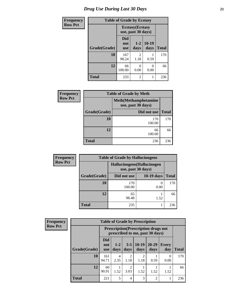| <b>Frequency</b> | <b>Table of Grade by Ecstasy</b> |                                               |                        |                 |              |  |  |
|------------------|----------------------------------|-----------------------------------------------|------------------------|-----------------|--------------|--|--|
| Row Pct          |                                  | <b>Ecstasy</b> (Ecstasy<br>use, past 30 days) |                        |                 |              |  |  |
|                  | Grade(Grade)                     | Did<br>not<br><b>use</b>                      | $1-2$<br>days          | $10-19$<br>days | <b>Total</b> |  |  |
|                  | 10                               | 167<br>98.24                                  | $\mathfrak{D}$<br>1.18 | 0.59            | 170          |  |  |
|                  | 12                               | 66<br>100.00                                  | 0<br>0.00              | 0<br>0.00       | 66           |  |  |
|                  | <b>Total</b>                     | 233                                           | $\overline{2}$         |                 | 236          |  |  |

| Frequency      | <b>Table of Grade by Meth</b> |                                                    |              |  |  |  |
|----------------|-------------------------------|----------------------------------------------------|--------------|--|--|--|
| <b>Row Pct</b> |                               | <b>Meth</b> (Methamphetamine<br>use, past 30 days) |              |  |  |  |
|                | Grade(Grade)                  | Did not use                                        | <b>Total</b> |  |  |  |
|                | 10                            | 170<br>100.00                                      | 170          |  |  |  |
|                | 12                            | 66<br>100.00                                       | 66           |  |  |  |
|                | <b>Total</b>                  | 236                                                | 236          |  |  |  |

| <b>Frequency</b> | <b>Table of Grade by Hallucinogens</b> |                                                   |              |              |  |  |  |  |
|------------------|----------------------------------------|---------------------------------------------------|--------------|--------------|--|--|--|--|
| <b>Row Pct</b>   |                                        | Hallucinogens (Hallucinogen<br>use, past 30 days) |              |              |  |  |  |  |
|                  | Grade(Grade)                           | Did not use                                       | $10-19$ days | <b>Total</b> |  |  |  |  |
|                  | 10                                     | 170<br>100.00                                     | 0.00         | 170          |  |  |  |  |
|                  | 12                                     | 65<br>98.48                                       | 1.52         | 66           |  |  |  |  |
|                  | Total                                  | 235                                               |              | 236          |  |  |  |  |

| Frequency      | <b>Table of Grade by Prescription</b> |                                 |                                                                                |                        |                 |                   |                  |              |  |
|----------------|---------------------------------------|---------------------------------|--------------------------------------------------------------------------------|------------------------|-----------------|-------------------|------------------|--------------|--|
| <b>Row Pct</b> |                                       |                                 | <b>Prescription</b> (Prescription drugs not<br>prescribed to me, past 30 days) |                        |                 |                   |                  |              |  |
|                | Grade(Grade)                          | <b>Did</b><br>not<br><b>use</b> | $1 - 2$<br>days                                                                | $3 - 5$<br>days        | $10-19$<br>days | $20 - 29$<br>days | Every<br>day     | <b>Total</b> |  |
|                | 10                                    | 161<br>94.71                    | 4<br>2.35                                                                      | 2<br>1.18              | 1.18            | 0.59              | $\Omega$<br>0.00 | 170          |  |
|                | 12                                    | 60<br>90.91                     | 1.52                                                                           | $\overline{2}$<br>3.03 | 1.52            | 1.52              | 1.52             | 66           |  |
|                | <b>Total</b>                          | 221                             | 5                                                                              | $\overline{4}$         | 3               | $\overline{2}$    |                  | 236          |  |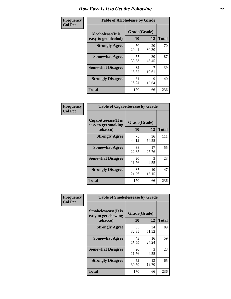| Frequency      | <b>Table of Alcoholease by Grade</b>              |                    |             |              |  |
|----------------|---------------------------------------------------|--------------------|-------------|--------------|--|
| <b>Col Pct</b> | <b>Alcoholease</b> (It is<br>easy to get alcohol) | Grade(Grade)<br>10 | 12          | <b>Total</b> |  |
|                | <b>Strongly Agree</b>                             | 50<br>29.41        | 20<br>30.30 | 70           |  |
|                | <b>Somewhat Agree</b>                             | 57<br>33.53        | 30<br>45.45 | 87           |  |
|                | <b>Somewhat Disagree</b>                          | 32<br>18.82        | 10.61       | 39           |  |
|                | <b>Strongly Disagree</b>                          | 31<br>18.24        | 9<br>13.64  | 40           |  |
|                | <b>Total</b>                                      | 170                | 66          | 236          |  |

| Frequency      | <b>Table of Cigarettesease by Grade</b>                  |                    |                       |              |  |  |
|----------------|----------------------------------------------------------|--------------------|-----------------------|--------------|--|--|
| <b>Col Pct</b> | Cigarettesease (It is<br>easy to get smoking<br>tobacco) | Grade(Grade)<br>10 | 12                    | <b>Total</b> |  |  |
|                | <b>Strongly Agree</b>                                    | 75<br>44.12        | 36<br>54.55           | 111          |  |  |
|                | <b>Somewhat Agree</b>                                    | 38<br>22.35        | 17<br>25.76           | 55           |  |  |
|                | <b>Somewhat Disagree</b>                                 | 20<br>11.76        | $\mathcal{R}$<br>4.55 | 23           |  |  |
|                | <b>Strongly Disagree</b>                                 | 37<br>21.76        | 10<br>15.15           | 47           |  |  |
|                | <b>Total</b>                                             | 170                | 66                    | 236          |  |  |

| Frequency      | <b>Table of Smokelessease by Grade</b>                         |                          |             |              |  |  |  |  |
|----------------|----------------------------------------------------------------|--------------------------|-------------|--------------|--|--|--|--|
| <b>Col Pct</b> | <b>Smokelessease</b> (It is<br>easy to get chewing<br>tobacco) | Grade(Grade)<br>10<br>12 |             | <b>Total</b> |  |  |  |  |
|                | <b>Strongly Agree</b>                                          | 55<br>32.35              | 34<br>51.52 | 89           |  |  |  |  |
|                | <b>Somewhat Agree</b>                                          | 43<br>25.29              | 16<br>24.24 | 59           |  |  |  |  |
|                | <b>Somewhat Disagree</b>                                       | 20<br>11.76              | 3<br>4.55   | 23           |  |  |  |  |
|                | <b>Strongly Disagree</b>                                       | 52<br>30.59              | 13<br>19.70 | 65           |  |  |  |  |
|                | <b>Total</b>                                                   | 170                      | 66          | 236          |  |  |  |  |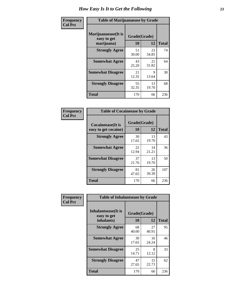| Frequency      | <b>Table of Marijuanaease by Grade</b>           |                    |             |              |  |  |
|----------------|--------------------------------------------------|--------------------|-------------|--------------|--|--|
| <b>Col Pct</b> | Marijuanaease(It is<br>easy to get<br>marijuana) | Grade(Grade)<br>10 | 12          | <b>Total</b> |  |  |
|                | <b>Strongly Agree</b>                            | 51<br>30.00        | 23<br>34.85 | 74           |  |  |
|                | <b>Somewhat Agree</b>                            | 43<br>25.29        | 21<br>31.82 | 64           |  |  |
|                | <b>Somewhat Disagree</b>                         | 21<br>12.35        | 9<br>13.64  | 30           |  |  |
|                | <b>Strongly Disagree</b>                         | 55<br>32.35        | 13<br>19.70 | 68           |  |  |
|                | <b>Total</b>                                     | 170                | 66          | 236          |  |  |

|                                                   | <b>Table of Cocaineease by Grade</b> |                    |                    |  |  |  |  |  |  |  |  |  |
|---------------------------------------------------|--------------------------------------|--------------------|--------------------|--|--|--|--|--|--|--|--|--|
| <b>Cocaineease</b> (It is<br>easy to get cocaine) | 10                                   | Grade(Grade)<br>12 |                    |  |  |  |  |  |  |  |  |  |
| <b>Strongly Agree</b>                             | 30<br>17.65                          | 13<br>19.70        | <b>Total</b><br>43 |  |  |  |  |  |  |  |  |  |
| <b>Somewhat Agree</b>                             | 22<br>12.94                          | 14<br>21.21        | 36                 |  |  |  |  |  |  |  |  |  |
| <b>Somewhat Disagree</b>                          | 37<br>21.76                          | 13<br>19.70        | 50                 |  |  |  |  |  |  |  |  |  |
| <b>Strongly Disagree</b>                          | 81<br>47.65                          | 26<br>39.39        | 107                |  |  |  |  |  |  |  |  |  |
| <b>Total</b>                                      | 170                                  | 66                 | 236                |  |  |  |  |  |  |  |  |  |

| Frequency      | <b>Table of Inhalantsease by Grade</b>                   |                           |              |     |
|----------------|----------------------------------------------------------|---------------------------|--------------|-----|
| <b>Col Pct</b> | <b>Inhalantsease</b> (It is<br>easy to get<br>inhalants) | Grade(Grade)<br><b>10</b> | <b>Total</b> |     |
|                | <b>Strongly Agree</b>                                    | 68<br>40.00               | 27<br>40.91  | 95  |
|                | <b>Somewhat Agree</b>                                    | 30<br>17.65               | 16<br>24.24  | 46  |
|                | <b>Somewhat Disagree</b>                                 | 25<br>14.71               | 8<br>12.12   | 33  |
|                | <b>Strongly Disagree</b>                                 | 47<br>27.65               | 15<br>22.73  | 62  |
|                | <b>Total</b>                                             | 170                       | 66           | 236 |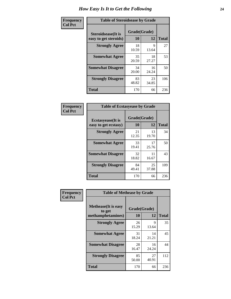| Frequency      |                                                     | <b>Table of Steroidsease by Grade</b> |             |              |  |  |  |  |  |  |  |  |  |
|----------------|-----------------------------------------------------|---------------------------------------|-------------|--------------|--|--|--|--|--|--|--|--|--|
| <b>Col Pct</b> | <b>Steroidsease</b> (It is<br>easy to get steroids) | Grade(Grade)<br>10                    | 12          | <b>Total</b> |  |  |  |  |  |  |  |  |  |
|                | <b>Strongly Agree</b>                               | 18<br>10.59                           | 9<br>13.64  | 27           |  |  |  |  |  |  |  |  |  |
|                | <b>Somewhat Agree</b>                               | 35<br>20.59                           | 18<br>27.27 | 53           |  |  |  |  |  |  |  |  |  |
|                | <b>Somewhat Disagree</b>                            | 34<br>20.00                           | 16<br>24.24 | 50           |  |  |  |  |  |  |  |  |  |
|                | <b>Strongly Disagree</b>                            | 83<br>48.82                           | 23<br>34.85 | 106          |  |  |  |  |  |  |  |  |  |
|                | <b>Total</b>                                        | 170                                   | 66          | 236          |  |  |  |  |  |  |  |  |  |

| Frequency      | <b>Table of Ecstasyease by Grade</b>              |                    |             |              |  |  |  |  |  |  |
|----------------|---------------------------------------------------|--------------------|-------------|--------------|--|--|--|--|--|--|
| <b>Col Pct</b> | <b>Ecstasyease</b> (It is<br>easy to get ecstasy) | Grade(Grade)<br>10 | 12          | <b>Total</b> |  |  |  |  |  |  |
|                | <b>Strongly Agree</b>                             | 21<br>12.35        | 13<br>19.70 | 34           |  |  |  |  |  |  |
|                | <b>Somewhat Agree</b>                             | 33<br>19.41        | 17<br>25.76 | 50           |  |  |  |  |  |  |
|                | <b>Somewhat Disagree</b>                          | 32<br>18.82        | 11<br>16.67 | 43           |  |  |  |  |  |  |
|                | <b>Strongly Disagree</b>                          | 84<br>49.41        | 25<br>37.88 | 109          |  |  |  |  |  |  |
|                | Total                                             | 170                | 66          | 236          |  |  |  |  |  |  |

| Frequency      | <b>Table of Methease by Grade</b>                          |                    |             |              |
|----------------|------------------------------------------------------------|--------------------|-------------|--------------|
| <b>Col Pct</b> | <b>Methease</b> (It is easy<br>to get<br>methamphetamines) | Grade(Grade)<br>10 | 12          | <b>Total</b> |
|                | <b>Strongly Agree</b>                                      | 26<br>15.29        | 9<br>13.64  | 35           |
|                | <b>Somewhat Agree</b>                                      | 31<br>18.24        | 14<br>21.21 | 45           |
|                | <b>Somewhat Disagree</b>                                   | 28<br>16.47        | 16<br>24.24 | 44           |
|                | <b>Strongly Disagree</b>                                   | 85<br>50.00        | 27<br>40.91 | 112          |
|                | <b>Total</b>                                               | 170                | 66          | 236          |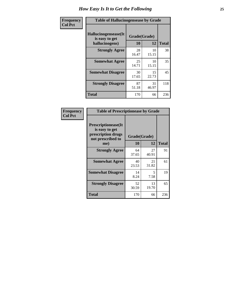| <b>Frequency</b> | <b>Table of Hallucinogensease by Grade</b>               |                    |             |              |
|------------------|----------------------------------------------------------|--------------------|-------------|--------------|
| <b>Col Pct</b>   | Hallucinogensease(It<br>is easy to get<br>hallucinogens) | Grade(Grade)<br>10 | 12          | <b>Total</b> |
|                  | <b>Strongly Agree</b>                                    | 28<br>16.47        | 10<br>15.15 | 38           |
|                  | <b>Somewhat Agree</b>                                    | 25<br>14.71        | 10<br>15.15 | 35           |
|                  | <b>Somewhat Disagree</b>                                 | 30<br>17.65        | 15<br>22.73 | 45           |
|                  | <b>Strongly Disagree</b>                                 | 87<br>51.18        | 31<br>46.97 | 118          |
|                  | <b>Total</b>                                             | 170                | 66          | 236          |

| Frequency<br>Col Pct |
|----------------------|
|                      |

| <b>Table of Prescriptionease by Grade</b>                                                |             |              |              |
|------------------------------------------------------------------------------------------|-------------|--------------|--------------|
| <b>Prescriptionease</b> (It<br>is easy to get<br>prescription drugs<br>not prescribed to |             | Grade(Grade) |              |
| me)                                                                                      | 10          | 12           | <b>Total</b> |
| <b>Strongly Agree</b>                                                                    | 64<br>37.65 | 27<br>40.91  | 91           |
| <b>Somewhat Agree</b>                                                                    | 40<br>23.53 | 21<br>31.82  | 61           |
| <b>Somewhat Disagree</b>                                                                 | 14<br>8.24  | 5<br>7.58    | 19           |
| <b>Strongly Disagree</b>                                                                 | 52<br>30.59 | 13<br>19.70  | 65           |
| Total                                                                                    | 170         | 66           | 236          |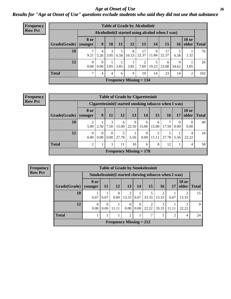### *Age at Onset of Use* **26** *Results for "Age at Onset of Use" questions exclude students who said they did not use that substance*

| <b>Frequency</b> | <b>Table of Grade by Alcoholinit</b> |                        |                  |           |      |                                                  |                        |            |             |            |                       |              |  |  |
|------------------|--------------------------------------|------------------------|------------------|-----------|------|--------------------------------------------------|------------------------|------------|-------------|------------|-----------------------|--------------|--|--|
| <b>Row Pct</b>   |                                      |                        |                  |           |      | Alcoholinit (I started using alcohol when I was) |                        |            |             |            |                       |              |  |  |
|                  | Grade(Grade)                         | <b>8 or</b><br>younger | 9                | 10        | 11   | <b>12</b>                                        | 13                     | 14         | 15          | 16         | <b>18 or</b><br>older | <b>Total</b> |  |  |
|                  | 10                                   | 9.21                   | 4<br>5.26        | 3<br>3.95 | 6.58 | 8<br>10.53                                       | 17<br>22.37            | 9<br>11.84 | 17<br>22.37 | 6.58       | 1.32                  | 76           |  |  |
|                  | 12                                   | $\Omega$<br>0.00       | $\Omega$<br>0.00 | 3.85      | 3.85 | 3.85                                             | $\mathfrak{D}$<br>7.69 | 19.23      | 6<br>23.08  | 9<br>34.62 | 3.85                  | 26           |  |  |
|                  | <b>Total</b>                         | ⇁                      | 4                | 4         | 6    | 9                                                | 19                     | 14         | 23          | 14         | 2                     | 102          |  |  |
|                  |                                      |                        |                  |           |      | <b>Frequency Missing = 134</b>                   |                        |            |             |            |                       |              |  |  |

#### **Frequency Row Pct**

|              | <b>Table of Grade by Cigarettesinit</b> |                                                       |                  |                           |            |                  |                 |            |                  |                       |              |  |  |  |
|--------------|-----------------------------------------|-------------------------------------------------------|------------------|---------------------------|------------|------------------|-----------------|------------|------------------|-----------------------|--------------|--|--|--|
|              |                                         | Cigarettesinit (I started smoking tobacco when I was) |                  |                           |            |                  |                 |            |                  |                       |              |  |  |  |
| Grade(Grade) | 8 or<br>vounger                         | 9                                                     | 11               | 12                        | 13         | <b>14</b>        | 15 <sup>1</sup> | 16         | 17               | <b>18 or</b><br>older | <b>Total</b> |  |  |  |
| 10           | $\overline{2}$<br>5.00                  | 2.50                                                  | 3<br>7.50        | 6<br>15.00                | 9<br>22.50 | 6<br>15.00       | 6<br>15.00      | 7<br>17.50 | $\Omega$<br>0.00 | 0.00                  | 40           |  |  |  |
| 12           | $\theta$<br>0.00                        | 0.00                                                  | $\Omega$<br>0.00 | 27.78                     | 5.56       | $\theta$<br>0.00 | 2<br>11.11      | 27.78      | 5.56             | 22.22                 | 18           |  |  |  |
| <b>Total</b> | 2                                       |                                                       | 3                | 11                        | 10         | 6                | 8               | 12         |                  | 4                     | 58           |  |  |  |
|              |                                         |                                                       |                  | Frequency Missing $= 178$ |            |                  |                 |            |                  |                       |              |  |  |  |

**Frequency Row Pct**

|              | <b>Table of Grade by Smokelessinit</b> |                  |                  |                                                      |                  |           |                         |                |                       |              |  |  |  |
|--------------|----------------------------------------|------------------|------------------|------------------------------------------------------|------------------|-----------|-------------------------|----------------|-----------------------|--------------|--|--|--|
|              |                                        |                  |                  | Smokelessinit (I started chewing tobacco when I was) |                  |           |                         |                |                       |              |  |  |  |
| Grade(Grade) | 8 or<br>younger                        | <b>11</b>        | 12               | <b>13</b>                                            | 14               | <b>15</b> | <b>16</b>               | 17             | <b>18 or</b><br>older | <b>Total</b> |  |  |  |
| 10           | 6.67                                   | 6.67             | $\Omega$<br>0.00 | $\overline{2}$<br>13.33                              | 6.67             | 33.33     | $\overline{2}$<br>13.33 | 6.67           | 13.33                 | 15           |  |  |  |
| 12           | 0<br>0.00                              | $\Omega$<br>0.00 | 11.11            | $\Omega$<br>0.00                                     | $\Omega$<br>0.00 | 22.22     | 33.33                   | 11.11          | 22.22                 | $\mathbf Q$  |  |  |  |
| <b>Total</b> |                                        |                  |                  | $\overline{c}$                                       |                  | ℸ         | 5                       | $\overline{2}$ | $\overline{4}$        | 24           |  |  |  |
|              |                                        |                  |                  | Frequency Missing $= 212$                            |                  |           |                         |                |                       |              |  |  |  |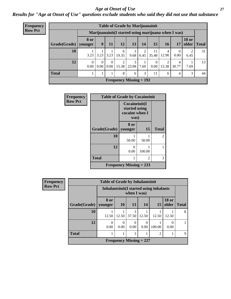#### *Age at Onset of Use* **27**

*Results for "Age at Onset of Use" questions exclude students who said they did not use that substance*

| <b>Frequency</b> | <b>Table of Grade by Marijuanainit</b> |                  |                  |                  |                           |            |           |                                                      |            |            |                        |              |
|------------------|----------------------------------------|------------------|------------------|------------------|---------------------------|------------|-----------|------------------------------------------------------|------------|------------|------------------------|--------------|
| <b>Row Pct</b>   |                                        |                  |                  |                  |                           |            |           | Marijuanainit (I started using marijuana when I was) |            |            |                        |              |
|                  | Grade(Grade)   younger                 | <b>8 or</b>      | $\boldsymbol{9}$ | 11               | 12                        | 13         | 14        | 15                                                   | 16         | 17         | <b>18 or</b><br>older  | <b>Total</b> |
|                  | 10                                     | 3.23             | 3.23             | 3.23             | 6<br>19.35                | 3<br>9.68  | 2<br>6.45 | 11<br>35.48                                          | 4<br>12.90 | 0.00       | $\overline{2}$<br>6.45 | 31           |
|                  | 12                                     | $\Omega$<br>0.00 | 0<br>0.00        | $\Omega$<br>0.00 | $\mathfrak{D}$<br>15.38   | 3<br>23.08 | 7.69      | $0.00\vert$                                          | ↑<br>15.38 | 4<br>30.77 | 7.69                   | 13           |
|                  | <b>Total</b>                           |                  |                  |                  | 8                         | 6          | 3         | 11                                                   | 6          | 4          | 3                      | 44           |
|                  |                                        |                  |                  |                  | Frequency Missing $= 192$ |            |           |                                                      |            |            |                        |              |

| <b>Frequency</b> | <b>Table of Grade by Cocaineinit</b> |                                                          |        |                |
|------------------|--------------------------------------|----------------------------------------------------------|--------|----------------|
| <b>Row Pct</b>   |                                      | Cocaineinit(I<br>started using<br>cocaine when I<br>was) |        |                |
|                  | Grade(Grade)                         | 8 or<br>younger                                          | 15     | <b>Total</b>   |
|                  | 10                                   | 50.00                                                    | 50.00  | $\mathfrak{D}$ |
|                  | 12                                   | 0.00                                                     | 100.00 |                |
|                  | <b>Total</b>                         |                                                          | 3      |                |
|                  |                                      | Frequency Missing $= 233$                                |        |                |

| <b>Frequency</b> | <b>Table of Grade by Inhalantsinit</b> |                  |                                                         |                  |                                |                |                       |              |
|------------------|----------------------------------------|------------------|---------------------------------------------------------|------------------|--------------------------------|----------------|-----------------------|--------------|
| <b>Row Pct</b>   |                                        |                  | Inhalantsinit (I started using inhalants<br>when I was) |                  |                                |                |                       |              |
|                  | Grade(Grade)   younger                 | 8 or             | <b>10</b>                                               | <b>13</b>        | 14                             | 15             | <b>18 or</b><br>older | <b>Total</b> |
|                  | 10                                     | 12.50            | 12.50                                                   | 3<br>37.50       | 12.50                          | 12.50          | 12.50                 | 8            |
|                  | 12                                     | $\Omega$<br>0.00 | $\mathcal{L}$<br>0.00                                   | $\Omega$<br>0.00 | $\theta$<br>0.00               | 100.00         | 0<br>0.00             |              |
|                  | <b>Total</b>                           |                  |                                                         | 3                |                                | $\overline{2}$ |                       | 9            |
|                  |                                        |                  |                                                         |                  | <b>Frequency Missing = 227</b> |                |                       |              |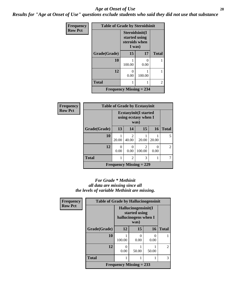#### *Age at Onset of Use* **28**

*Results for "Age at Onset of Use" questions exclude students who said they did not use that substance*

| Frequency      | <b>Table of Grade by Steroidsinit</b> |                                                            |        |                |  |
|----------------|---------------------------------------|------------------------------------------------------------|--------|----------------|--|
| <b>Row Pct</b> |                                       | Steroidsinit(I<br>started using<br>steroids when<br>I was) |        |                |  |
|                | Grade(Grade)                          | 15                                                         | 17     | <b>Total</b>   |  |
|                | 10                                    | 100.00                                                     | 0.00   |                |  |
|                | 12                                    | 0<br>0.00                                                  | 100.00 |                |  |
|                | <b>Total</b>                          |                                                            |        | $\overline{2}$ |  |
|                | <b>Frequency Missing = 234</b>        |                                                            |        |                |  |

| <b>Frequency</b> | <b>Table of Grade by Ecstasyinit</b><br><b>Ecstasyinit(I started</b><br>using ecstasy when I<br>was) |           |                         |                           |           |                |
|------------------|------------------------------------------------------------------------------------------------------|-----------|-------------------------|---------------------------|-----------|----------------|
| <b>Row Pct</b>   |                                                                                                      |           |                         |                           |           |                |
|                  | Grade(Grade)                                                                                         | 13        | 14                      | 15                        | 16        | <b>Total</b>   |
|                  | 10                                                                                                   | 20.00     | $\overline{2}$<br>40.00 | 20.00                     | 20.00     | 5              |
|                  | 12                                                                                                   | ∩<br>0.00 | 0<br>0.00               | $\mathfrak{D}$<br>100.00  | ∩<br>0.00 | $\mathfrak{D}$ |
|                  | <b>Total</b>                                                                                         |           | $\overline{c}$          | 3                         |           |                |
|                  |                                                                                                      |           |                         | Frequency Missing $= 229$ |           |                |

### *For Grade \* Methinit all data are missing since all the levels of variable Methinit are missing.*

| Frequency      | <b>Table of Grade by Hallucinogensinit</b>                           |                           |           |           |              |  |
|----------------|----------------------------------------------------------------------|---------------------------|-----------|-----------|--------------|--|
| <b>Row Pct</b> | Hallucinogensinit(I<br>started using<br>hallucinogens when I<br>was) |                           |           |           |              |  |
|                | Grade(Grade)                                                         | 12                        | 15        | <b>16</b> | <b>Total</b> |  |
|                | 10                                                                   | 100.00                    | 0<br>0.00 | 0<br>0.00 |              |  |
|                | 12                                                                   | 0.00                      | 50.00     | 50.00     | 2            |  |
|                | <b>Total</b>                                                         |                           |           |           | 3            |  |
|                |                                                                      | Frequency Missing $= 233$ |           |           |              |  |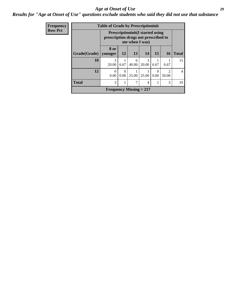### *Age at Onset of Use* **29**

### *Results for "Age at Onset of Use" questions exclude students who said they did not use that substance*

| <b>Frequency</b> | <b>Table of Grade by Prescriptioninit</b> |                                                                                                   |                  |            |                |           |                         |              |
|------------------|-------------------------------------------|---------------------------------------------------------------------------------------------------|------------------|------------|----------------|-----------|-------------------------|--------------|
| <b>Row Pct</b>   |                                           | <b>Prescriptioninit(I started using</b><br>prescription drugs not prescribed to<br>me when I was) |                  |            |                |           |                         |              |
|                  | Grade(Grade)   younger                    | 8 or                                                                                              | 12               | 13         | 14             | 15        | <b>16</b>               | <b>Total</b> |
|                  |                                           |                                                                                                   |                  |            |                |           |                         |              |
|                  | 10                                        | 20.00                                                                                             | 6.67             | 6<br>40.00 | 3<br>20.00     | 6.67      | 6.67                    | 15           |
|                  | 12                                        | $\Omega$<br>0.00                                                                                  | $\Omega$<br>0.00 | 25.00      | 25.00          | 0<br>0.00 | $\mathfrak{D}$<br>50.00 | 4            |
|                  | <b>Total</b>                              | 3                                                                                                 |                  | 7          | $\overline{4}$ | 1         | 3                       | 19           |
|                  |                                           | Frequency Missing $= 217$                                                                         |                  |            |                |           |                         |              |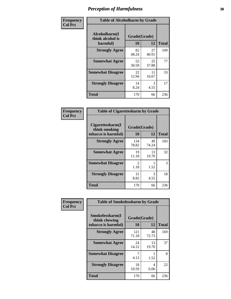| Frequency      | <b>Table of Alcoholharm by Grade</b>          |                    |             |              |
|----------------|-----------------------------------------------|--------------------|-------------|--------------|
| <b>Col Pct</b> | Alcoholharm(I<br>think alcohol is<br>harmful) | Grade(Grade)<br>10 | 12          | <b>Total</b> |
|                | <b>Strongly Agree</b>                         | 82<br>48.24        | 27<br>40.91 | 109          |
|                | <b>Somewhat Agree</b>                         | 52<br>30.59        | 25<br>37.88 | 77           |
|                | <b>Somewhat Disagree</b>                      | 22<br>12.94        | 11<br>16.67 | 33           |
|                | <b>Strongly Disagree</b>                      | 14<br>8.24         | 3<br>4.55   | 17           |
|                | <b>Total</b>                                  | 170                | 66          | 236          |

| <b>Table of Cigarettesharm by Grade</b>                  |                    |             |              |  |  |
|----------------------------------------------------------|--------------------|-------------|--------------|--|--|
| Cigarettesharm(I<br>think smoking<br>tobacco is harmful) | Grade(Grade)<br>10 | 12          | <b>Total</b> |  |  |
| <b>Strongly Agree</b>                                    | 134<br>78.82       | 49<br>74.24 | 183          |  |  |
| <b>Somewhat Agree</b>                                    | 19<br>11.18        | 13<br>19.70 | 32           |  |  |
| <b>Somewhat Disagree</b>                                 | 2<br>1.18          | 1.52        | 3            |  |  |
| <b>Strongly Disagree</b>                                 | 15<br>8.82         | 3<br>4.55   | 18           |  |  |
| <b>Total</b>                                             | 170                | 66          | 236          |  |  |

| Frequency      | <b>Table of Smokelessharm by Grade</b>                  |                    |             |              |  |  |  |
|----------------|---------------------------------------------------------|--------------------|-------------|--------------|--|--|--|
| <b>Col Pct</b> | Smokelessharm(I<br>think chewing<br>tobacco is harmful) | Grade(Grade)<br>10 | 12          | <b>Total</b> |  |  |  |
|                | <b>Strongly Agree</b>                                   | 121<br>71.18       | 48<br>72.73 | 169          |  |  |  |
|                | <b>Somewhat Agree</b>                                   | 24<br>14.12        | 13<br>19.70 | 37           |  |  |  |
|                | <b>Somewhat Disagree</b>                                | 4.12               | 1.52        | 8            |  |  |  |
|                | <b>Strongly Disagree</b>                                | 18<br>10.59        | 4<br>6.06   | 22           |  |  |  |
|                | <b>Total</b>                                            | 170                | 66          | 236          |  |  |  |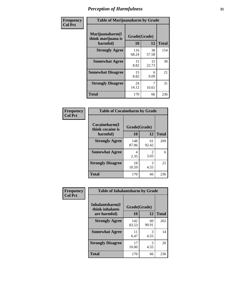| Frequency      | <b>Table of Marijuanaharm by Grade</b>            |                    |             |              |
|----------------|---------------------------------------------------|--------------------|-------------|--------------|
| <b>Col Pct</b> | Marijuanaharm(I<br>think marijuana is<br>harmful) | Grade(Grade)<br>10 | 12          | <b>Total</b> |
|                | <b>Strongly Agree</b>                             | 116<br>68.24       | 38<br>57.58 | 154          |
|                | <b>Somewhat Agree</b>                             | 15<br>8.82         | 15<br>22.73 | 30           |
|                | <b>Somewhat Disagree</b>                          | 15<br>8.82         | 6<br>9.09   | 21           |
|                | <b>Strongly Disagree</b>                          | 24<br>14.12        | 10.61       | 31           |
|                | <b>Total</b>                                      | 170                | 66          | 236          |

#### **Frequency Col Pct**

| <b>Table of Cocaineharm by Grade</b> |              |             |              |  |  |
|--------------------------------------|--------------|-------------|--------------|--|--|
| Cocaineharm(I<br>think cocaine is    | Grade(Grade) |             |              |  |  |
| harmful)                             | 10           | 12          | <b>Total</b> |  |  |
| <b>Strongly Agree</b>                | 148<br>87.06 | 61<br>92.42 | 209          |  |  |
| <b>Somewhat Agree</b>                | 4<br>2.35    | 2<br>3.03   | 6            |  |  |
| <b>Strongly Disagree</b>             | 18<br>10.59  | 3<br>4.55   | 21           |  |  |
| <b>Total</b>                         | 170          | 66          | 236          |  |  |

| <b>Table of Inhalantsharm by Grade</b> |              |             |              |  |
|----------------------------------------|--------------|-------------|--------------|--|
| Inhalantsharm(I)<br>think inhalants    | Grade(Grade) |             |              |  |
| are harmful)                           | 10           | 12          | <b>Total</b> |  |
| <b>Strongly Agree</b>                  | 142<br>83.53 | 60<br>90.91 | 202          |  |
| <b>Somewhat Agree</b>                  | 11<br>6.47   | 3<br>4.55   | 14           |  |
| <b>Strongly Disagree</b>               | 17<br>10.00  | 3<br>4.55   | 20           |  |
| Total                                  | 170          | 66          | 236          |  |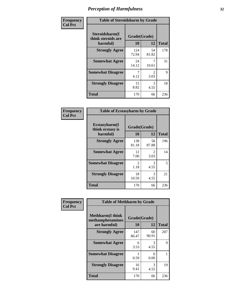| Frequency      | <b>Table of Steroidsharm by Grade</b>            |                    |                        |              |
|----------------|--------------------------------------------------|--------------------|------------------------|--------------|
| <b>Col Pct</b> | Steroidsharm(I<br>think steroids are<br>harmful) | Grade(Grade)<br>10 | 12                     | <b>Total</b> |
|                | <b>Strongly Agree</b>                            | 124<br>72.94       | 54<br>81.82            | 178          |
|                | <b>Somewhat Agree</b>                            | 24<br>14.12        | 10.61                  | 31           |
|                | <b>Somewhat Disagree</b>                         | 4.12               | $\mathfrak{D}$<br>3.03 | 9            |
|                | <b>Strongly Disagree</b>                         | 15<br>8.82         | 3<br>4.55              | 18           |
|                | <b>Total</b>                                     | 170                | 66                     | 236          |

| <b>Table of Ecstasyharm by Grade</b>          |                    |              |     |  |  |
|-----------------------------------------------|--------------------|--------------|-----|--|--|
| Ecstasyharm(I<br>think ecstasy is<br>harmful) | Grade(Grade)<br>10 | <b>Total</b> |     |  |  |
| <b>Strongly Agree</b>                         | 138<br>81.18       | 58<br>87.88  | 196 |  |  |
| <b>Somewhat Agree</b>                         | 12<br>7.06         | 2<br>3.03    | 14  |  |  |
| <b>Somewhat Disagree</b>                      | 2<br>1.18          | 3<br>4.55    | 5   |  |  |
| <b>Strongly Disagree</b>                      | 18<br>10.59        | 3<br>4.55    | 21  |  |  |
| <b>Total</b>                                  | 170                | 66           | 236 |  |  |

| Frequency      | <b>Table of Methharm by Grade</b>                            |                    |                |              |
|----------------|--------------------------------------------------------------|--------------------|----------------|--------------|
| <b>Col Pct</b> | <b>Methharm</b> (I think<br>methamphetamines<br>are harmful) | Grade(Grade)<br>10 | 12             | <b>Total</b> |
|                | <b>Strongly Agree</b>                                        | 147<br>86.47       | 60<br>90.91    | 207          |
|                | <b>Somewhat Agree</b>                                        | 6<br>3.53          | 3<br>4.55      | 9            |
|                | <b>Somewhat Disagree</b>                                     | 0.59               | $_{0}$<br>0.00 |              |
|                | <b>Strongly Disagree</b>                                     | 16<br>9.41         | 3<br>4.55      | 19           |
|                | <b>Total</b>                                                 | 170                | 66             | 236          |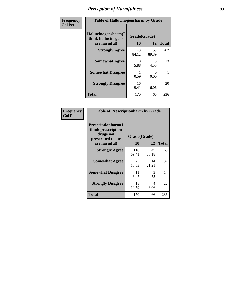| Frequency      | <b>Table of Hallucinogensharm by Grade</b>                 |                    |             |              |
|----------------|------------------------------------------------------------|--------------------|-------------|--------------|
| <b>Col Pct</b> | Hallucinogensharm(I<br>think hallucinogens<br>are harmful) | Grade(Grade)<br>10 | 12          | <b>Total</b> |
|                | <b>Strongly Agree</b>                                      | 143<br>84.12       | 59<br>89.39 | 202          |
|                | <b>Somewhat Agree</b>                                      | 10<br>5.88         | 3<br>4.55   | 13           |
|                | <b>Somewhat Disagree</b>                                   | 0.59               | 0<br>0.00   | 1            |
|                | <b>Strongly Disagree</b>                                   | 16<br>9.41         | 4<br>6.06   | 20           |
|                | <b>Total</b>                                               | 170                | 66          | 236          |

| <b>Table of Prescriptionharm by Grade</b>                                                         |                    |             |              |  |
|---------------------------------------------------------------------------------------------------|--------------------|-------------|--------------|--|
| <b>Prescriptionharm(I)</b><br>think prescription<br>drugs not<br>prescribed to me<br>are harmful) | Grade(Grade)<br>10 | 12          | <b>Total</b> |  |
| <b>Strongly Agree</b>                                                                             | 118<br>69.41       | 45<br>68.18 | 163          |  |
| <b>Somewhat Agree</b>                                                                             | 23<br>13.53        | 14<br>21.21 | 37           |  |
| <b>Somewhat Disagree</b>                                                                          | 11<br>6.47         | 3<br>4.55   | 14           |  |
| <b>Strongly Disagree</b>                                                                          | 18<br>10.59        | 4<br>6.06   | 22           |  |
| <b>Total</b>                                                                                      | 170                | 66          | 236          |  |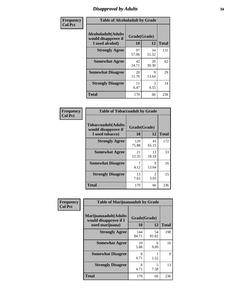# *Disapproval by Adults* **34**

| Frequency      |                                                                       | <b>Table of Alcoholadult by Grade</b> |                       |              |  |
|----------------|-----------------------------------------------------------------------|---------------------------------------|-----------------------|--------------|--|
| <b>Col Pct</b> | <b>Alcoholadult</b> (Adults<br>would disapprove if<br>I used alcohol) | Grade(Grade)<br>10                    | 12                    | <b>Total</b> |  |
|                | <b>Strongly Agree</b>                                                 | 97<br>57.06                           | 34<br>51.52           | 131          |  |
|                | <b>Somewhat Agree</b>                                                 | 42<br>24.71                           | 20<br>30.30           | 62           |  |
|                | <b>Somewhat Disagree</b>                                              | 20<br>11.76                           | 9<br>13.64            | 29           |  |
|                | <b>Strongly Disagree</b>                                              | 11<br>6.47                            | $\mathcal{F}$<br>4.55 | 14           |  |
|                | <b>Total</b>                                                          | 170                                   | 66                    | 236          |  |

| <b>Table of Tobaccoadult by Grade</b>                                 |                    |                                     |              |  |
|-----------------------------------------------------------------------|--------------------|-------------------------------------|--------------|--|
| <b>Tobaccoadult</b> (Adults<br>would disapprove if<br>I used tobacco) | Grade(Grade)<br>10 | 12                                  | <b>Total</b> |  |
| <b>Strongly Agree</b>                                                 | 129<br>75.88       | 43<br>65.15                         | 172          |  |
| <b>Somewhat Agree</b>                                                 | 21<br>12.35        | 12<br>18.18                         | 33           |  |
| <b>Somewhat Disagree</b>                                              | 7<br>4.12          | 9<br>13.64                          | 16           |  |
| <b>Strongly Disagree</b>                                              | 13<br>7.65         | $\mathcal{D}_{\mathcal{L}}$<br>3.03 | 15           |  |
| Total                                                                 | 170                | 66                                  | 236          |  |

| Frequency<br><b>Col Pct</b> | <b>Table of Marijuanaadult by Grade</b>                           |                    |             |              |
|-----------------------------|-------------------------------------------------------------------|--------------------|-------------|--------------|
|                             | Marijuanaadult(Adults<br>would disapprove if I<br>used marijuana) | Grade(Grade)<br>10 | 12          | <b>Total</b> |
|                             | <b>Strongly Agree</b>                                             | 144<br>84.71       | 54<br>81.82 | 198          |
|                             | <b>Somewhat Agree</b>                                             | 10<br>5.88         | 6<br>9.09   | 16           |
|                             | <b>Somewhat Disagree</b>                                          | 8<br>4.71          | 1.52        | $\mathbf Q$  |
|                             | <b>Strongly Disagree</b>                                          | 8<br>4.71          | 5<br>7.58   | 13           |
|                             | <b>Total</b>                                                      | 170                | 66          | 236          |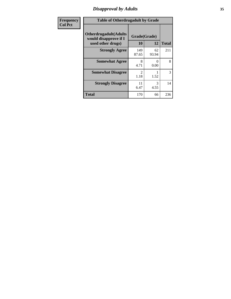# *Disapproval by Adults* **35**

| <b>Frequency</b> | <b>Table of Otherdrugadult by Grade</b>                                     |                                     |             |              |
|------------------|-----------------------------------------------------------------------------|-------------------------------------|-------------|--------------|
| <b>Col Pct</b>   | <b>Otherdrugadult</b> (Adults<br>would disapprove if I<br>used other drugs) | Grade(Grade)<br>10                  | 12          | <b>Total</b> |
|                  | <b>Strongly Agree</b>                                                       | 149<br>87.65                        | 62<br>93.94 | 211          |
|                  | <b>Somewhat Agree</b>                                                       | 8<br>4.71                           | 0<br>0.00   | 8            |
|                  | <b>Somewhat Disagree</b>                                                    | $\mathcal{D}_{\mathcal{L}}$<br>1.18 | 1.52        | 3            |
|                  | <b>Strongly Disagree</b>                                                    | 11<br>6.47                          | 3<br>4.55   | 14           |
|                  | <b>Total</b>                                                                | 170                                 | 66          | 236          |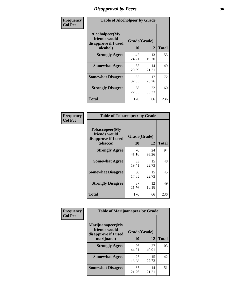# *Disapproval by Peers* **36**

| Frequency      | <b>Table of Alcoholpeer by Grade</b>                    |              |             |              |
|----------------|---------------------------------------------------------|--------------|-------------|--------------|
| <b>Col Pct</b> | Alcoholpeer(My<br>friends would<br>disapprove if I used | Grade(Grade) |             |              |
|                | alcohol)                                                | 10           | 12          | <b>Total</b> |
|                | <b>Strongly Agree</b>                                   | 42<br>24.71  | 13<br>19.70 | 55           |
|                | <b>Somewhat Agree</b>                                   | 35<br>20.59  | 14<br>21.21 | 49           |
|                | <b>Somewhat Disagree</b>                                | 55<br>32.35  | 17<br>25.76 | 72           |
|                | <b>Strongly Disagree</b>                                | 38<br>22.35  | 22<br>33.33 | 60           |
|                | Total                                                   | 170          | 66          | 236          |

| Frequency      | <b>Table of Tobaccopeer by Grade</b>                                |                    |             |              |
|----------------|---------------------------------------------------------------------|--------------------|-------------|--------------|
| <b>Col Pct</b> | Tobaccopeer(My<br>friends would<br>disapprove if I used<br>tobacco) | Grade(Grade)<br>10 | 12          | <b>Total</b> |
|                | <b>Strongly Agree</b>                                               | 70<br>41.18        | 24<br>36.36 | 94           |
|                | <b>Somewhat Agree</b>                                               | 33<br>19.41        | 15<br>22.73 | 48           |
|                | <b>Somewhat Disagree</b>                                            | 30<br>17.65        | 15<br>22.73 | 45           |
|                | <b>Strongly Disagree</b>                                            | 37<br>21.76        | 12<br>18.18 | 49           |
|                | Total                                                               | 170                | 66          | 236          |

| Frequency      | <b>Table of Marijuanapeer by Grade</b>                    |              |             |              |
|----------------|-----------------------------------------------------------|--------------|-------------|--------------|
| <b>Col Pct</b> | Marijuanapeer(My<br>friends would<br>disapprove if I used | Grade(Grade) |             |              |
|                | marijuana)                                                | 10           | 12          | <b>Total</b> |
|                | <b>Strongly Agree</b>                                     | 76<br>44.71  | 27<br>40.91 | 103          |
|                | <b>Somewhat Agree</b>                                     | 27<br>15.88  | 15<br>22.73 | 42           |
|                | <b>Somewhat Disagree</b>                                  | 37<br>21.76  | 14<br>21.21 | 51           |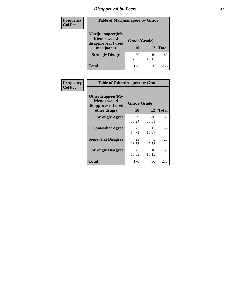# *Disapproval by Peers* **37**

| Frequency<br><b>Col Pct</b> | <b>Table of Marijuanapeer by Grade</b>                                  |                    |             |              |  |
|-----------------------------|-------------------------------------------------------------------------|--------------------|-------------|--------------|--|
|                             | Marijuanapeer(My<br>friends would<br>disapprove if I used<br>marijuana) | Grade(Grade)<br>10 | 12          | <b>Total</b> |  |
|                             | <b>Strongly Disagree</b>                                                | 30<br>17.65        | 10<br>15.15 | 40           |  |
|                             | Total                                                                   | 170                | 66          | 236          |  |

| <b>Frequency</b> | <b>Table of Otherdrugpeer by Grade</b>                                    |                    |             |              |
|------------------|---------------------------------------------------------------------------|--------------------|-------------|--------------|
| <b>Col Pct</b>   | Otherdrugpeer(My<br>friends would<br>disapprove if I used<br>other drugs) | Grade(Grade)<br>10 | 12          | <b>Total</b> |
|                  | <b>Strongly Agree</b>                                                     | 99<br>58.24        | 40<br>60.61 | 139          |
|                  | <b>Somewhat Agree</b>                                                     | 25<br>14.71        | 11<br>16.67 | 36           |
|                  | <b>Somewhat Disagree</b>                                                  | 23<br>13.53        | 5<br>7.58   | 28           |
|                  | <b>Strongly Disagree</b>                                                  | 23<br>13.53        | 10<br>15.15 | 33           |
|                  | <b>Total</b>                                                              | 170                | 66          | 236          |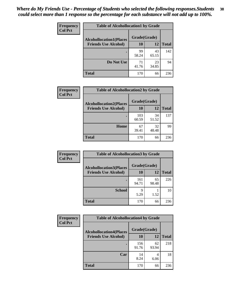| Frequency      | <b>Table of Alcohollocation1 by Grade</b> |              |             |              |
|----------------|-------------------------------------------|--------------|-------------|--------------|
| <b>Col Pct</b> | <b>Alcohollocation1(Places</b>            | Grade(Grade) |             |              |
|                | <b>Friends Use Alcohol)</b>               | 10           | 12          | <b>Total</b> |
|                |                                           | 99<br>58.24  | 43<br>65.15 | 142          |
|                | Do Not Use                                | 71<br>41.76  | 23<br>34.85 | 94           |
|                | <b>Total</b>                              | 170          | 66          | 236          |

| <b>Frequency</b> | <b>Table of Alcohollocation2 by Grade</b> |              |             |              |
|------------------|-------------------------------------------|--------------|-------------|--------------|
| <b>Col Pct</b>   | <b>Alcohollocation2(Places</b>            | Grade(Grade) |             |              |
|                  | <b>Friends Use Alcohol)</b>               | 10           | 12          | <b>Total</b> |
|                  |                                           | 103<br>60.59 | 34<br>51.52 | 137          |
|                  | Home                                      | 67<br>39.41  | 32<br>48.48 | 99           |
|                  | <b>Total</b>                              | 170          | 66          | 236          |

| Frequency<br><b>Col Pct</b> | <b>Table of Alcohollocation 3 by Grade</b>                    |                    |             |              |  |
|-----------------------------|---------------------------------------------------------------|--------------------|-------------|--------------|--|
|                             | <b>Alcohollocation3(Places</b><br><b>Friends Use Alcohol)</b> | Grade(Grade)<br>10 | 12          | <b>Total</b> |  |
|                             |                                                               | 161<br>94.71       | 65<br>98.48 | 226          |  |
|                             | <b>School</b>                                                 | 9<br>5.29          | 1.52        | 10           |  |
|                             | <b>Total</b>                                                  | 170                | 66          | 236          |  |

| <b>Frequency</b> | <b>Table of Alcohollocation4 by Grade</b> |              |             |              |  |
|------------------|-------------------------------------------|--------------|-------------|--------------|--|
| <b>Col Pct</b>   | <b>Alcohollocation4(Places</b>            | Grade(Grade) |             |              |  |
|                  | <b>Friends Use Alcohol)</b>               | 10           | 12          | <b>Total</b> |  |
|                  |                                           | 156<br>91.76 | 62<br>93.94 | 218          |  |
|                  | Car                                       | 14<br>8.24   | 4<br>6.06   | 18           |  |
|                  | <b>Total</b>                              | 170          | 66          | 236          |  |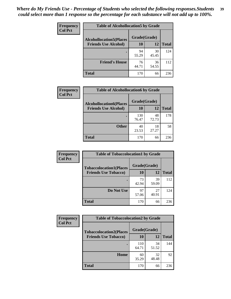| Frequency<br><b>Col Pct</b> | <b>Table of Alcohollocation5 by Grade</b>      |             |             |              |  |
|-----------------------------|------------------------------------------------|-------------|-------------|--------------|--|
|                             | Grade(Grade)<br><b>Alcohollocation5(Places</b> |             |             |              |  |
|                             | <b>Friends Use Alcohol)</b>                    | 10          | 12          | <b>Total</b> |  |
|                             |                                                | 94<br>55.29 | 30<br>45.45 | 124          |  |
|                             | <b>Friend's House</b>                          | 76<br>44.71 | 36<br>54.55 | 112          |  |
|                             | <b>Total</b>                                   | 170         | 66          | 236          |  |

| Frequency      | <b>Table of Alcohollocation6 by Grade</b>                     |                    |             |              |
|----------------|---------------------------------------------------------------|--------------------|-------------|--------------|
| <b>Col Pct</b> | <b>Alcohollocation6(Places</b><br><b>Friends Use Alcohol)</b> | Grade(Grade)<br>10 | 12          | <b>Total</b> |
|                |                                                               | 130<br>76.47       | 48<br>72.73 | 178          |
|                | <b>Other</b>                                                  | 40<br>23.53        | 18<br>27.27 | 58           |
|                | <b>Total</b>                                                  | 170                | 66          | 236          |

| <b>Frequency</b> | <b>Table of Tobaccolocation1 by Grade</b> |              |             |              |
|------------------|-------------------------------------------|--------------|-------------|--------------|
| <b>Col Pct</b>   | <b>Tobaccolocation1(Places</b>            | Grade(Grade) |             |              |
|                  | <b>Friends Use Tobacco)</b>               | 10           | 12          | <b>Total</b> |
|                  |                                           | 73<br>42.94  | 39<br>59.09 | 112          |
|                  | Do Not Use                                | 97<br>57.06  | 27<br>40.91 | 124          |
|                  | <b>Total</b>                              | 170          | 66          | 236          |

| <b>Frequency</b> | <b>Table of Tobaccolocation2 by Grade</b> |              |             |              |  |
|------------------|-------------------------------------------|--------------|-------------|--------------|--|
| <b>Col Pct</b>   | <b>Tobaccolocation2(Places</b>            | Grade(Grade) |             |              |  |
|                  | <b>Friends Use Tobacco)</b>               | 10           | 12          | <b>Total</b> |  |
|                  |                                           | 110<br>64.71 | 34<br>51.52 | 144          |  |
|                  | Home                                      | 60<br>35.29  | 32<br>48.48 | 92           |  |
|                  | <b>Total</b>                              | 170          | 66          | 236          |  |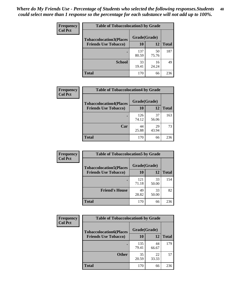| Frequency      | <b>Table of Tobaccolocation 3 by Grade</b> |              |             |              |
|----------------|--------------------------------------------|--------------|-------------|--------------|
| <b>Col Pct</b> | <b>Tobaccolocation3(Places</b>             | Grade(Grade) |             |              |
|                | <b>Friends Use Tobacco)</b>                | 10           | <b>12</b>   | <b>Total</b> |
|                |                                            | 137<br>80.59 | 50<br>75.76 | 187          |
|                | <b>School</b>                              | 33<br>19.41  | 16<br>24.24 | 49           |
|                | <b>Total</b>                               | 170          | 66          | 236          |

| <b>Frequency</b> | <b>Table of Tobaccolocation4 by Grade</b> |              |             |              |
|------------------|-------------------------------------------|--------------|-------------|--------------|
| <b>Col Pct</b>   | <b>Tobaccolocation4(Places</b>            | Grade(Grade) |             |              |
|                  | <b>Friends Use Tobacco)</b>               | 10           | 12          | <b>Total</b> |
|                  |                                           | 126<br>74.12 | 37<br>56.06 | 163          |
|                  | Car                                       | 44<br>25.88  | 29<br>43.94 | 73           |
|                  | Total                                     | 170          | 66          | 236          |

| Frequency      | <b>Table of Tobaccolocation5 by Grade</b> |              |             |              |
|----------------|-------------------------------------------|--------------|-------------|--------------|
| <b>Col Pct</b> | <b>Tobaccolocation5(Places</b>            | Grade(Grade) |             |              |
|                | <b>Friends Use Tobacco)</b>               | 10           | <b>12</b>   | <b>Total</b> |
|                |                                           | 121<br>71.18 | 33<br>50.00 | 154          |
|                | <b>Friend's House</b>                     | 49<br>28.82  | 33<br>50.00 | 82           |
|                | <b>Total</b>                              | 170          | 66          | 236          |

| <b>Frequency</b> | <b>Table of Tobaccolocation6 by Grade</b> |              |             |              |  |
|------------------|-------------------------------------------|--------------|-------------|--------------|--|
| <b>Col Pct</b>   | <b>Tobaccolocation6(Places</b>            | Grade(Grade) |             |              |  |
|                  | <b>Friends Use Tobacco)</b>               | 10           | 12          | <b>Total</b> |  |
|                  |                                           | 135<br>79.41 | 44<br>66.67 | 179          |  |
|                  | <b>Other</b>                              | 35<br>20.59  | 22<br>33.33 | 57           |  |
|                  | <b>Total</b>                              | 170          | 66          | 236          |  |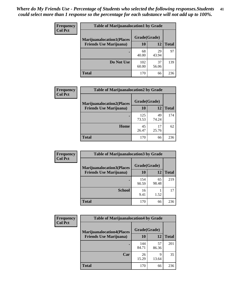| <b>Frequency</b> | <b>Table of Marijuanalocation1 by Grade</b> |              |             |              |
|------------------|---------------------------------------------|--------------|-------------|--------------|
| <b>Col Pct</b>   | <b>Marijuanalocation1(Places</b>            | Grade(Grade) |             |              |
|                  | <b>Friends Use Marijuana</b> )              | <b>10</b>    | 12          | <b>Total</b> |
|                  |                                             | 68<br>40.00  | 29<br>43.94 | 97           |
|                  | Do Not Use                                  | 102<br>60.00 | 37<br>56.06 | 139          |
|                  | <b>Total</b>                                | 170          | 66          | 236          |

| <b>Frequency</b> | <b>Table of Marijuanalocation2 by Grade</b> |              |             |              |
|------------------|---------------------------------------------|--------------|-------------|--------------|
| <b>Col Pct</b>   | <b>Marijuanalocation2(Places</b>            | Grade(Grade) |             |              |
|                  | <b>Friends Use Marijuana</b> )              | 10           | 12          | <b>Total</b> |
|                  |                                             | 125<br>73.53 | 49<br>74.24 | 174          |
|                  | <b>Home</b>                                 | 45<br>26.47  | 17<br>25.76 | 62           |
|                  | <b>Total</b>                                | 170          | 66          | 236          |

| Frequency<br><b>Col Pct</b> | <b>Table of Marijuanalocation3 by Grade</b> |              |             |              |  |
|-----------------------------|---------------------------------------------|--------------|-------------|--------------|--|
|                             | <b>Marijuanalocation3(Places</b>            | Grade(Grade) |             |              |  |
|                             | <b>Friends Use Marijuana</b> )              | 10           | 12          | <b>Total</b> |  |
|                             |                                             | 154<br>90.59 | 65<br>98.48 | 219          |  |
|                             | <b>School</b>                               | 16<br>9.41   | 1.52        | 17           |  |
|                             | <b>Total</b>                                | 170          | 66          | 236          |  |

| Frequency      | <b>Table of Marijuanalocation4 by Grade</b> |              |             |              |  |
|----------------|---------------------------------------------|--------------|-------------|--------------|--|
| <b>Col Pct</b> | <b>Marijuanalocation4(Places</b>            | Grade(Grade) |             |              |  |
|                | <b>Friends Use Marijuana</b> )              | <b>10</b>    | 12          | <b>Total</b> |  |
|                |                                             | 144<br>84.71 | 57<br>86.36 | 201          |  |
|                | Car                                         | 26<br>15.29  | 9<br>13.64  | 35           |  |
|                | <b>Total</b>                                | 170          | 66          | 236          |  |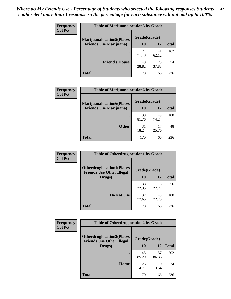| <b>Frequency</b> | <b>Table of Marijuanalocation5 by Grade</b>                         |              |             |              |
|------------------|---------------------------------------------------------------------|--------------|-------------|--------------|
| <b>Col Pct</b>   | <b>Marijuanalocation5(Places)</b><br><b>Friends Use Marijuana</b> ) | Grade(Grade) |             |              |
|                  |                                                                     | 10           | 12          | <b>Total</b> |
|                  |                                                                     | 121<br>71.18 | 41<br>62.12 | 162          |
|                  | <b>Friend's House</b>                                               | 49<br>28.82  | 25<br>37.88 | 74           |
|                  | <b>Total</b>                                                        | 170          | 66          | 236          |

| <b>Frequency</b> | <b>Table of Marijuanalocation6 by Grade</b>                        |                    |             |              |
|------------------|--------------------------------------------------------------------|--------------------|-------------|--------------|
| <b>Col Pct</b>   | <b>Marijuanalocation6(Places</b><br><b>Friends Use Marijuana</b> ) | Grade(Grade)<br>10 | 12          | <b>Total</b> |
|                  |                                                                    |                    |             |              |
|                  |                                                                    | 139<br>81.76       | 49<br>74.24 | 188          |
|                  | <b>Other</b>                                                       | 31<br>18.24        | 17<br>25.76 | 48           |
|                  | <b>Total</b>                                                       | 170                | 66          | 236          |

| <b>Frequency</b> | <b>Table of Otherdruglocation1 by Grade</b>                          |              |             |              |
|------------------|----------------------------------------------------------------------|--------------|-------------|--------------|
| <b>Col Pct</b>   | <b>Otherdruglocation1(Places</b><br><b>Friends Use Other Illegal</b> | Grade(Grade) |             |              |
|                  | Drugs)                                                               | 10           | 12          | <b>Total</b> |
|                  |                                                                      | 38<br>22.35  | 18<br>27.27 | 56           |
|                  | Do Not Use                                                           | 132<br>77.65 | 48<br>72.73 | 180          |
|                  | <b>Total</b>                                                         | 170          | 66          | 236          |

| <b>Frequency</b> | <b>Table of Otherdruglocation2 by Grade</b>                          |              |             |              |
|------------------|----------------------------------------------------------------------|--------------|-------------|--------------|
| <b>Col Pct</b>   | <b>Otherdruglocation2(Places</b><br><b>Friends Use Other Illegal</b> | Grade(Grade) |             |              |
|                  | Drugs)                                                               | 10           | 12          | <b>Total</b> |
|                  |                                                                      | 145<br>85.29 | 57<br>86.36 | 202          |
|                  | Home                                                                 | 25<br>14.71  | 9<br>13.64  | 34           |
|                  | <b>Total</b>                                                         | 170          | 66          | 236          |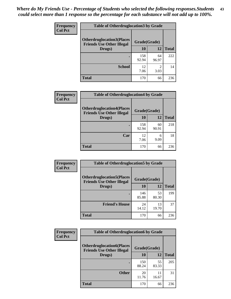| <b>Frequency</b> | <b>Table of Otherdruglocation 3 by Grade</b>                         |              |             |              |
|------------------|----------------------------------------------------------------------|--------------|-------------|--------------|
| <b>Col Pct</b>   | <b>Otherdruglocation3(Places</b><br><b>Friends Use Other Illegal</b> | Grade(Grade) |             |              |
|                  | Drugs)                                                               | 10           | 12          | <b>Total</b> |
|                  |                                                                      | 158<br>92.94 | 64<br>96.97 | 222          |
|                  | <b>School</b>                                                        | 12<br>7.06   | 2<br>3.03   | 14           |
|                  | <b>Total</b>                                                         | 170          | 66          | 236          |

| Frequency      | <b>Table of Otherdruglocation4 by Grade</b>                          |              |             |              |
|----------------|----------------------------------------------------------------------|--------------|-------------|--------------|
| <b>Col Pct</b> | <b>Otherdruglocation4(Places</b><br><b>Friends Use Other Illegal</b> | Grade(Grade) |             |              |
|                | Drugs)                                                               | 10           | 12          | <b>Total</b> |
|                |                                                                      | 158<br>92.94 | 60<br>90.91 | 218          |
|                | Car                                                                  | 12<br>7.06   | 6<br>9.09   | 18           |
|                | <b>Total</b>                                                         | 170          | 66          | 236          |

| <b>Frequency</b> | <b>Table of Otherdruglocation5 by Grade</b>                          |              |             |              |
|------------------|----------------------------------------------------------------------|--------------|-------------|--------------|
| <b>Col Pct</b>   | <b>Otherdruglocation5(Places</b><br><b>Friends Use Other Illegal</b> | Grade(Grade) |             |              |
|                  | Drugs)                                                               | 10           | 12          | <b>Total</b> |
|                  |                                                                      | 146<br>85.88 | 53<br>80.30 | 199          |
|                  | <b>Friend's House</b>                                                | 24<br>14.12  | 13<br>19.70 | 37           |
|                  | <b>Total</b>                                                         | 170          | 66          | 236          |

| <b>Frequency</b> | <b>Table of Otherdruglocation6 by Grade</b>                          |              |             |              |
|------------------|----------------------------------------------------------------------|--------------|-------------|--------------|
| <b>Col Pct</b>   | <b>Otherdruglocation6(Places</b><br><b>Friends Use Other Illegal</b> | Grade(Grade) |             |              |
|                  | Drugs)                                                               | 10           | 12          | <b>Total</b> |
|                  |                                                                      | 150<br>88.24 | 55<br>83.33 | 205          |
|                  | <b>Other</b>                                                         | 20<br>11.76  | 11<br>16.67 | 31           |
|                  | <b>Total</b>                                                         | 170          | 66          | 236          |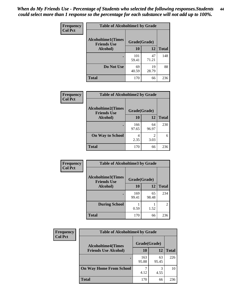| Frequency      | <b>Table of Alcoholtime1 by Grade</b>           |              |             |              |
|----------------|-------------------------------------------------|--------------|-------------|--------------|
| <b>Col Pct</b> | <b>Alcoholtime1(Times</b><br><b>Friends Use</b> | Grade(Grade) |             |              |
|                | Alcohol)                                        | 10           | 12          | <b>Total</b> |
|                |                                                 | 101<br>59.41 | 47<br>71.21 | 148          |
|                | Do Not Use                                      | 69<br>40.59  | 19<br>28.79 | 88           |
|                | <b>Total</b>                                    | 170          | 66          | 236          |

| Frequency      | <b>Table of Alcoholtime2 by Grade</b>           |              |             |              |
|----------------|-------------------------------------------------|--------------|-------------|--------------|
| <b>Col Pct</b> | <b>Alcoholtime2(Times</b><br><b>Friends Use</b> | Grade(Grade) |             |              |
|                | Alcohol)                                        | 10           | 12          | <b>Total</b> |
|                |                                                 | 166<br>97.65 | 64<br>96.97 | 230          |
|                | <b>On Way to School</b>                         | 4<br>2.35    | 2<br>3.03   | 6            |
|                | <b>Total</b>                                    | 170          | 66          | 236          |

| Frequency<br>Col Pct | <b>Table of Alcoholtime3 by Grade</b>           |              |             |                |
|----------------------|-------------------------------------------------|--------------|-------------|----------------|
|                      | <b>Alcoholtime3(Times</b><br><b>Friends Use</b> | Grade(Grade) |             |                |
|                      | Alcohol)                                        | 10           | 12          | <b>Total</b>   |
|                      |                                                 | 169<br>99.41 | 65<br>98.48 | 234            |
|                      | <b>During School</b>                            | 0.59         | 1.52        | $\overline{2}$ |
|                      | <b>Total</b>                                    | 170          | 66          | 236            |

| <b>Frequency</b> | <b>Table of Alcoholtime4 by Grade</b> |              |             |              |  |
|------------------|---------------------------------------|--------------|-------------|--------------|--|
| <b>Col Pct</b>   | <b>Alcoholtime4(Times</b>             | Grade(Grade) |             |              |  |
|                  | <b>Friends Use Alcohol)</b>           | 10           | 12          | <b>Total</b> |  |
|                  | ٠                                     | 163<br>95.88 | 63<br>95.45 | 226          |  |
|                  | <b>On Way Home From School</b>        | 4.12         | 3<br>4.55   | 10           |  |
|                  | <b>Total</b>                          | 170          | 66          | 236          |  |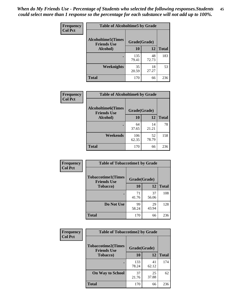*When do My Friends Use - Percentage of Students who selected the following responses.Students could select more than 1 response so the percentage for each substance will not add up to 100%.* **45**

| Frequency      | <b>Table of Alcoholtime5 by Grade</b>           |              |             |              |
|----------------|-------------------------------------------------|--------------|-------------|--------------|
| <b>Col Pct</b> | <b>Alcoholtime5(Times</b><br><b>Friends Use</b> | Grade(Grade) |             |              |
|                | Alcohol)                                        | 10           | 12          | <b>Total</b> |
|                |                                                 | 135<br>79.41 | 48<br>72.73 | 183          |
|                | Weeknights                                      | 35<br>20.59  | 18<br>27.27 | 53           |
|                | <b>Total</b>                                    | 170          | 66          | 236          |

| Frequency      | <b>Table of Alcoholtime6 by Grade</b>           |              |             |              |  |
|----------------|-------------------------------------------------|--------------|-------------|--------------|--|
| <b>Col Pct</b> | <b>Alcoholtime6(Times</b><br><b>Friends Use</b> | Grade(Grade) |             |              |  |
|                | Alcohol)                                        | 10           | 12          | <b>Total</b> |  |
|                |                                                 | 64<br>37.65  | 14<br>21.21 | 78           |  |
|                | Weekends                                        | 106<br>62.35 | 52<br>78.79 | 158          |  |
|                | <b>Total</b>                                    | 170          | 66          | 236          |  |

| <b>Frequency</b><br><b>Col Pct</b> | <b>Table of Tobaccotime1 by Grade</b>           |              |             |              |
|------------------------------------|-------------------------------------------------|--------------|-------------|--------------|
|                                    | <b>Tobaccotime1(Times</b><br><b>Friends Use</b> | Grade(Grade) |             |              |
|                                    | <b>Tobacco</b> )                                | 10           | 12          | <b>Total</b> |
|                                    |                                                 | 71<br>41.76  | 37<br>56.06 | 108          |
|                                    | Do Not Use                                      | 99<br>58.24  | 29<br>43.94 | 128          |
|                                    | <b>Total</b>                                    | 170          | 66          | 236          |

| <b>Frequency</b> | <b>Table of Tobaccotime2 by Grade</b>           |              |             |              |
|------------------|-------------------------------------------------|--------------|-------------|--------------|
| <b>Col Pct</b>   | <b>Tobaccotime2(Times</b><br><b>Friends Use</b> | Grade(Grade) |             |              |
|                  | <b>Tobacco</b> )                                | 10           | 12          | <b>Total</b> |
|                  |                                                 | 133<br>78.24 | 41<br>62.12 | 174          |
|                  | <b>On Way to School</b>                         | 37<br>21.76  | 25<br>37.88 | 62           |
|                  | <b>Total</b>                                    | 170          | 66          | 236          |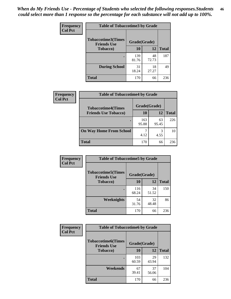*When do My Friends Use - Percentage of Students who selected the following responses.Students could select more than 1 response so the percentage for each substance will not add up to 100%.* **46**

| <b>Frequency</b> | <b>Table of Tobaccotime3 by Grade</b>           |              |             |              |  |
|------------------|-------------------------------------------------|--------------|-------------|--------------|--|
| <b>Col Pct</b>   | <b>Tobaccotime3(Times</b><br><b>Friends Use</b> | Grade(Grade) |             |              |  |
|                  | <b>Tobacco</b> )                                | 10           | 12          | <b>Total</b> |  |
|                  |                                                 | 139<br>81.76 | 48<br>72.73 | 187          |  |
|                  | <b>During School</b>                            | 31<br>18.24  | 18<br>27.27 | 49           |  |
|                  | <b>Total</b>                                    | 170          | 66          | 236          |  |

| <b>Frequency</b><br><b>Col Pct</b> | <b>Table of Tobaccotime4 by Grade</b> |              |             |              |
|------------------------------------|---------------------------------------|--------------|-------------|--------------|
|                                    | <b>Tobaccotime4(Times</b>             | Grade(Grade) |             |              |
|                                    | <b>Friends Use Tobacco)</b>           | 10           | 12          | <b>Total</b> |
|                                    |                                       | 163<br>95.88 | 63<br>95.45 | 226          |
|                                    | <b>On Way Home From School</b>        | 4.12         | 3<br>4.55   | 10           |
|                                    | <b>Total</b>                          | 170          | 66          | 236          |

| Frequency      | <b>Table of Tobaccotime5 by Grade</b>           |              |             |              |
|----------------|-------------------------------------------------|--------------|-------------|--------------|
| <b>Col Pct</b> | <b>Tobaccotime5(Times</b><br><b>Friends Use</b> | Grade(Grade) |             |              |
|                | <b>Tobacco</b> )                                | 10           | 12          | <b>Total</b> |
|                |                                                 | 116<br>68.24 | 34<br>51.52 | 150          |
|                | Weeknights                                      | 54<br>31.76  | 32<br>48.48 | 86           |
|                | <b>Total</b>                                    | 170          | 66          | 236          |

| <b>Frequency</b><br><b>Col Pct</b> | <b>Table of Tobaccotime6 by Grade</b>           |              |              |              |
|------------------------------------|-------------------------------------------------|--------------|--------------|--------------|
|                                    | <b>Tobaccotime6(Times</b><br><b>Friends Use</b> |              | Grade(Grade) |              |
|                                    | <b>Tobacco</b> )                                | 10           | 12           | <b>Total</b> |
|                                    | ٠                                               | 103<br>60.59 | 29<br>43.94  | 132          |
|                                    | Weekends                                        | 67<br>39.41  | 37<br>56.06  | 104          |
|                                    | <b>Total</b>                                    | 170          | 66           | 236          |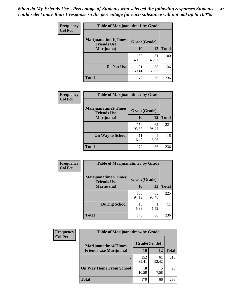| Frequency      | <b>Table of Marijuanatime1 by Grade</b>           |              |             |              |
|----------------|---------------------------------------------------|--------------|-------------|--------------|
| <b>Col Pct</b> | <b>Marijuanatime1(Times</b><br><b>Friends Use</b> | Grade(Grade) |             |              |
|                | Marijuana)                                        | 10           | 12          | <b>Total</b> |
|                |                                                   | 69<br>40.59  | 31<br>46.97 | 100          |
|                | Do Not Use                                        | 101<br>59.41 | 35<br>53.03 | 136          |
|                | <b>Total</b>                                      | 170          | 66          | 236          |

| <b>Frequency</b> | <b>Table of Marijuanatime2 by Grade</b>           |              |             |              |  |
|------------------|---------------------------------------------------|--------------|-------------|--------------|--|
| <b>Col Pct</b>   | <b>Marijuanatime2(Times</b><br><b>Friends Use</b> | Grade(Grade) |             |              |  |
|                  | Marijuana)                                        | 10           | 12          | <b>Total</b> |  |
|                  | $\bullet$                                         | 159<br>93.53 | 62<br>93.94 | 221          |  |
|                  | <b>On Way to School</b>                           | 11<br>6.47   | 4<br>6.06   | 15           |  |
|                  | <b>Total</b>                                      | 170          | 66          | 236          |  |

| Frequency      | <b>Table of Marijuanatime3 by Grade</b>    |              |             |              |
|----------------|--------------------------------------------|--------------|-------------|--------------|
| <b>Col Pct</b> | Marijuanatime3(Times<br><b>Friends Use</b> | Grade(Grade) |             |              |
|                | Marijuana)                                 | 10           | 12          | <b>Total</b> |
|                |                                            | 160<br>94.12 | 65<br>98.48 | 225          |
|                | <b>During School</b>                       | 10<br>5.88   | 1.52        | 11           |
|                | <b>Total</b>                               | 170          | 66          | 236          |

| <b>Frequency</b> | <b>Table of Marijuanatime4 by Grade</b> |              |             |              |  |
|------------------|-----------------------------------------|--------------|-------------|--------------|--|
| <b>Col Pct</b>   | <b>Marijuanatime4</b> (Times            | Grade(Grade) |             |              |  |
|                  | <b>Friends Use Marijuana</b> )          | 10           | 12          | <b>Total</b> |  |
|                  |                                         | 152<br>89.41 | 61<br>92.42 | 213          |  |
|                  | <b>On Way Home From School</b>          | 18<br>10.59  | 7.58        | 23           |  |
|                  | <b>Total</b>                            | 170          | 66          | 236          |  |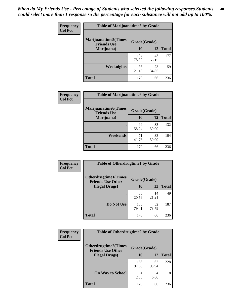| Frequency      | <b>Table of Marijuanatime5 by Grade</b>            |              |             |              |  |
|----------------|----------------------------------------------------|--------------|-------------|--------------|--|
| <b>Col Pct</b> | <b>Marijuanatime5</b> (Times<br><b>Friends Use</b> | Grade(Grade) |             |              |  |
|                | Marijuana)                                         | 10           | 12          | <b>Total</b> |  |
|                |                                                    | 134<br>78.82 | 43<br>65.15 | 177          |  |
|                | Weeknights                                         | 36<br>21.18  | 23<br>34.85 | 59           |  |
|                | <b>Total</b>                                       | 170          | 66          | 236          |  |

| Frequency      | <b>Table of Marijuanatime6 by Grade</b>    |              |             |              |
|----------------|--------------------------------------------|--------------|-------------|--------------|
| <b>Col Pct</b> | Marijuanatime6(Times<br><b>Friends Use</b> | Grade(Grade) |             |              |
|                | Marijuana)                                 | 10           | 12          | <b>Total</b> |
|                |                                            | 99<br>58.24  | 33<br>50.00 | 132          |
|                | Weekends                                   | 71<br>41.76  | 33<br>50.00 | 104          |
|                | <b>Total</b>                               | 170          | 66          | 236          |

| <b>Frequency</b> | <b>Table of Otherdrugtime1 by Grade</b>                  |              |             |              |
|------------------|----------------------------------------------------------|--------------|-------------|--------------|
| <b>Col Pct</b>   | <b>Otherdrugtime1</b> (Times<br><b>Friends Use Other</b> | Grade(Grade) |             |              |
|                  | <b>Illegal Drugs</b> )                                   | 10           | 12          | <b>Total</b> |
|                  |                                                          | 35<br>20.59  | 14<br>21.21 | 49           |
|                  | Do Not Use                                               | 135<br>79.41 | 52<br>78.79 | 187          |
|                  | <b>Total</b>                                             | 170          | 66          | 236          |

| <b>Frequency</b><br><b>Col Pct</b> | <b>Table of Otherdrugtime2 by Grade</b>                 |              |             |              |
|------------------------------------|---------------------------------------------------------|--------------|-------------|--------------|
|                                    | <b>Otherdrugtime2(Times</b><br><b>Friends Use Other</b> | Grade(Grade) |             |              |
|                                    | <b>Illegal Drugs</b> )                                  | 10           | 12          | <b>Total</b> |
|                                    |                                                         | 166<br>97.65 | 62<br>93.94 | 228          |
|                                    | <b>On Way to School</b>                                 | 4<br>2.35    | 4<br>6.06   | 8            |
|                                    | Total                                                   | 170          | 66          | 236          |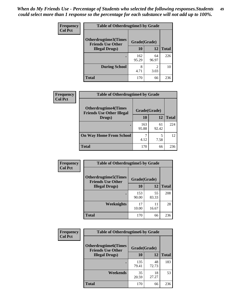| <b>Frequency</b> | <b>Table of Otherdrugtime3 by Grade</b>          |              |                        |              |
|------------------|--------------------------------------------------|--------------|------------------------|--------------|
| <b>Col Pct</b>   | Otherdrugtime3(Times<br><b>Friends Use Other</b> | Grade(Grade) |                        |              |
|                  | <b>Illegal Drugs</b> )                           | 10           | 12                     | <b>Total</b> |
|                  |                                                  | 162<br>95.29 | 64<br>96.97            | 226          |
|                  | <b>During School</b>                             | 8<br>4.71    | $\mathfrak{D}$<br>3.03 | 10           |
|                  | <b>Total</b>                                     | 170          | 66                     | 236          |

| Frequency      | <b>Table of Otherdrugtime4 by Grade</b>                         |              |             |              |
|----------------|-----------------------------------------------------------------|--------------|-------------|--------------|
| <b>Col Pct</b> | <b>Otherdrugtime4(Times</b><br><b>Friends Use Other Illegal</b> | Grade(Grade) |             |              |
|                | Drugs)                                                          | 10           | 12          | <b>Total</b> |
|                | ٠                                                               | 163<br>95.88 | 61<br>92.42 | 224          |
|                | <b>On Way Home From School</b>                                  | 4.12         | 5<br>7.58   | 12           |
|                | <b>Total</b>                                                    | 170          | 66          | 236          |

| <b>Frequency</b> | <b>Table of Otherdrugtime5 by Grade</b>                  |              |             |              |  |  |
|------------------|----------------------------------------------------------|--------------|-------------|--------------|--|--|
| <b>Col Pct</b>   | <b>Otherdrugtime5</b> (Times<br><b>Friends Use Other</b> | Grade(Grade) |             |              |  |  |
|                  | <b>Illegal Drugs</b> )                                   | 10           | 12          | <b>Total</b> |  |  |
|                  |                                                          | 153<br>90.00 | 55<br>83.33 | 208          |  |  |
|                  | Weeknights                                               | 17<br>10.00  | 11<br>16.67 | 28           |  |  |
|                  | Total                                                    | 170          | 66          | 236          |  |  |

| <b>Frequency</b><br><b>Col Pct</b> | <b>Table of Otherdrugtime6 by Grade</b>                 |              |             |              |  |  |
|------------------------------------|---------------------------------------------------------|--------------|-------------|--------------|--|--|
|                                    | <b>Otherdrugtime6(Times</b><br><b>Friends Use Other</b> | Grade(Grade) |             |              |  |  |
|                                    | <b>Illegal Drugs</b> )                                  | 10           | 12          | <b>Total</b> |  |  |
|                                    |                                                         | 135<br>79.41 | 48<br>72.73 | 183          |  |  |
|                                    | Weekends                                                | 35<br>20.59  | 18<br>27.27 | 53           |  |  |
|                                    | <b>Total</b>                                            | 170          | 66          | 236          |  |  |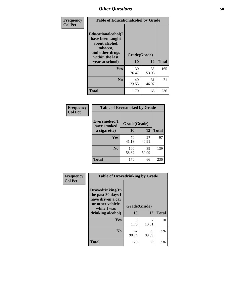| Frequency      | <b>Table of Educationalcohol by Grade</b>                                                                  |              |             |              |  |
|----------------|------------------------------------------------------------------------------------------------------------|--------------|-------------|--------------|--|
| <b>Col Pct</b> | Educationalcohol(I<br>have been taught<br>about alcohol,<br>tobacco,<br>and other drugs<br>within the last | Grade(Grade) |             |              |  |
|                | year at school)                                                                                            | 10           | 12          | <b>Total</b> |  |
|                | Yes                                                                                                        | 130<br>76.47 | 35<br>53.03 | 165          |  |
|                | N <sub>0</sub>                                                                                             | 40<br>23.53  | 31<br>46.97 | 71           |  |
|                | <b>Total</b>                                                                                               | 170          | 66          | 236          |  |

| Frequency      | <b>Table of Eversmoked by Grade</b> |              |             |              |  |  |
|----------------|-------------------------------------|--------------|-------------|--------------|--|--|
| <b>Col Pct</b> | Eversmoked(I<br>have smoked         | Grade(Grade) |             |              |  |  |
|                | a cigarette)                        | 10           | 12          | <b>Total</b> |  |  |
|                | <b>Yes</b>                          | 70<br>41.18  | 27<br>40.91 | 97           |  |  |
|                | N <sub>0</sub>                      | 100<br>58.82 | 39<br>59.09 | 139          |  |  |
|                | <b>Total</b>                        | 170          | 66          | 236          |  |  |

| Frequency      | <b>Table of Drovedrinking by Grade</b>                                                                              |                    |             |              |
|----------------|---------------------------------------------------------------------------------------------------------------------|--------------------|-------------|--------------|
| <b>Col Pct</b> | Drovedrinking(In<br>the past 30 days I<br>have driven a car<br>or other vehicle<br>while I was<br>drinking alcohol) | Grade(Grade)<br>10 | 12          | <b>Total</b> |
|                | <b>Yes</b>                                                                                                          | 3<br>1.76          | 10.61       | 10           |
|                | N <sub>0</sub>                                                                                                      | 167<br>98.24       | 59<br>89.39 | 226          |
|                | <b>Total</b>                                                                                                        | 170                | 66          | 236          |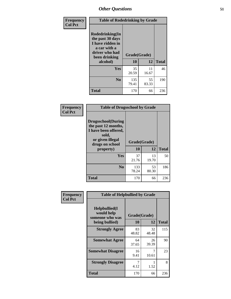| Frequency<br><b>Col Pct</b> | <b>Table of Rodedrinking by Grade</b>                                                                             |              |             |              |  |  |
|-----------------------------|-------------------------------------------------------------------------------------------------------------------|--------------|-------------|--------------|--|--|
|                             | <b>Rodedrinking(In</b><br>the past 30 days<br>I have ridden in<br>a car with a<br>driver who had<br>been drinking | Grade(Grade) |             |              |  |  |
|                             | alcohol)                                                                                                          | 10           | 12          | <b>Total</b> |  |  |
|                             | <b>Yes</b>                                                                                                        | 35<br>20.59  | 11<br>16.67 | 46           |  |  |
|                             | N <sub>0</sub>                                                                                                    | 135<br>79.41 | 55<br>83.33 | 190          |  |  |
|                             | <b>Total</b>                                                                                                      | 170          | 66          | 236          |  |  |

#### **Frequency Col Pct**

| <b>Table of Drugsschool by Grade</b>                                                                                      |              |             |              |  |  |
|---------------------------------------------------------------------------------------------------------------------------|--------------|-------------|--------------|--|--|
| <b>Drugsschool</b> (During<br>the past 12 months,<br>I have been offered,<br>sold,<br>or given illegal<br>drugs on school | Grade(Grade) |             |              |  |  |
| property)                                                                                                                 | 10           | 12          | <b>Total</b> |  |  |
| Yes                                                                                                                       | 37<br>21.76  | 13<br>19.70 | 50           |  |  |
| $\bf No$                                                                                                                  | 133<br>78.24 | 53<br>80.30 | 186          |  |  |
| <b>Total</b>                                                                                                              | 170          | 66          | 236          |  |  |

| Frequency      | <b>Table of Helpbullied by Grade</b>                                   |                           |             |              |  |  |  |
|----------------|------------------------------------------------------------------------|---------------------------|-------------|--------------|--|--|--|
| <b>Col Pct</b> | $Helpb$ ullied $(I$<br>would help<br>someone who was<br>being bullied) | Grade(Grade)<br><b>10</b> | 12          | <b>Total</b> |  |  |  |
|                |                                                                        |                           |             |              |  |  |  |
|                | <b>Strongly Agree</b>                                                  | 83<br>48.82               | 32<br>48.48 | 115          |  |  |  |
|                | <b>Somewhat Agree</b>                                                  | 64<br>37.65               | 26<br>39.39 | 90           |  |  |  |
|                | <b>Somewhat Disagree</b>                                               | 16<br>9.41                | 7<br>10.61  | 23           |  |  |  |
|                | <b>Strongly Disagree</b>                                               | 4.12                      | 1.52        | 8            |  |  |  |
|                | Total                                                                  | 170                       | 66          | 236          |  |  |  |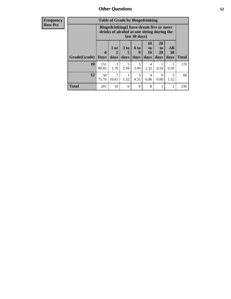| Frequency |
|-----------|
| Kow Pct   |

| <b>Table of Grade by Bingedrinking</b> |                             |                                                                                                         |                   |                          |                        |                               |                   |              |
|----------------------------------------|-----------------------------|---------------------------------------------------------------------------------------------------------|-------------------|--------------------------|------------------------|-------------------------------|-------------------|--------------|
|                                        |                             | Bingedrinking(I have drunk five or more<br>drinks of alcohol at one sitting during the<br>last 30 days) |                   |                          |                        |                               |                   |              |
| Grade(Grade)                           | $\mathbf{0}$<br><b>Days</b> | $1$ or<br>2<br>days                                                                                     | 3 to<br>5<br>days | <b>6 to</b><br>9<br>days | 10<br>to<br>19<br>days | <b>20</b><br>to<br>29<br>days | All<br>30<br>days | <b>Total</b> |
| 10                                     | 151<br>88.82                | 3                                                                                                       | 5                 | 5                        | 4                      |                               |                   | 170          |
|                                        |                             | 1.76                                                                                                    | 2.94              | 2.94                     | 2.35                   | 0.59                          | 0.59              |              |
| 12                                     | 50<br>75.76                 | 7<br>10.61                                                                                              | 1.52              | 3<br>4.55                | 4<br>6.06              | $\Omega$<br>0.00              | 1.52              | 66           |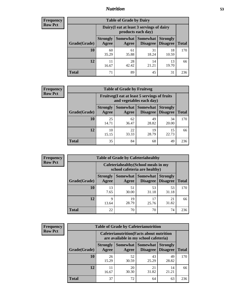## *Nutrition* **53**

| <b>Frequency</b><br>Row Pct |
|-----------------------------|
|                             |

| <b>Table of Grade by Dairy</b> |                                                                                                                                           |             |             |             |     |  |  |  |
|--------------------------------|-------------------------------------------------------------------------------------------------------------------------------------------|-------------|-------------|-------------|-----|--|--|--|
|                                | Dairy (I eat at least 3 servings of dairy<br>products each day)                                                                           |             |             |             |     |  |  |  |
| Grade(Grade)                   | <b>Somewhat</b><br><b>Somewhat</b><br><b>Strongly</b><br><b>Strongly</b><br><b>Disagree</b><br>Disagree<br><b>Total</b><br>Agree<br>Agree |             |             |             |     |  |  |  |
| 10                             | 60<br>35.29                                                                                                                               | 61<br>35.88 | 31<br>18.24 | 18<br>10.59 | 170 |  |  |  |
| 12                             | 11<br>16.67                                                                                                                               | 28<br>42.42 | 14<br>21.21 | 13<br>19.70 | 66  |  |  |  |
| <b>Total</b>                   | 71                                                                                                                                        | 89          | 45          | 31          | 236 |  |  |  |

| <b>Frequency</b> |
|------------------|
| <b>Row Pct</b>   |

| <b>Table of Grade by Fruitveg</b> |                                                                          |             |                                        |                                    |              |  |  |
|-----------------------------------|--------------------------------------------------------------------------|-------------|----------------------------------------|------------------------------------|--------------|--|--|
|                                   | Fruitveg(I eat at least 5 servings of fruits<br>and vegetables each day) |             |                                        |                                    |              |  |  |
| Grade(Grade)                      | <b>Strongly</b><br>Agree                                                 | Agree       | <b>Somewhat   Somewhat</b><br>Disagree | <b>Strongly</b><br><b>Disagree</b> | <b>Total</b> |  |  |
| 10                                | 25<br>14.71                                                              | 62<br>36.47 | 49<br>28.82                            | 34<br>20.00                        | 170          |  |  |
| 12                                | 10<br>15.15                                                              | 22<br>33.33 | 19<br>28.79                            | 15<br>22.73                        | 66           |  |  |
| <b>Total</b>                      | 35                                                                       | 84          | 68                                     | 49                                 | 236          |  |  |

| <b>Frequency</b> | <b>Table of Grade by Cafeteriahealthy</b> |                                                                       |             |                                             |                                    |              |  |
|------------------|-------------------------------------------|-----------------------------------------------------------------------|-------------|---------------------------------------------|------------------------------------|--------------|--|
| <b>Row Pct</b>   |                                           | Cafeteriahealthy (School meals in my<br>school cafeteria are healthy) |             |                                             |                                    |              |  |
|                  | Grade(Grade)                              | <b>Strongly</b><br>Agree                                              | Agree       | <b>Somewhat</b> Somewhat<br><b>Disagree</b> | <b>Strongly</b><br><b>Disagree</b> | <b>Total</b> |  |
|                  | 10                                        | 13<br>7.65                                                            | 51<br>30.00 | 53<br>31.18                                 | 53<br>31.18                        | 170          |  |
|                  | 12                                        | Q<br>13.64                                                            | 19<br>28.79 | 17<br>25.76                                 | 21<br>31.82                        | 66           |  |
|                  | Total                                     | 22                                                                    | 70          | 70                                          | 74                                 | 236          |  |

| <b>Frequency</b> |
|------------------|
| <b>Row Pct</b>   |

| <b>Table of Grade by Cafeterianutrition</b>                                               |                          |                   |                                    |                                    |              |  |
|-------------------------------------------------------------------------------------------|--------------------------|-------------------|------------------------------------|------------------------------------|--------------|--|
| <b>Cafeterianutrition</b> (Facts about nutrition<br>are available in my school cafeteria) |                          |                   |                                    |                                    |              |  |
| Grade(Grade)                                                                              | <b>Strongly</b><br>Agree | Somewhat<br>Agree | <b>Somewhat</b><br><b>Disagree</b> | <b>Strongly</b><br><b>Disagree</b> | <b>Total</b> |  |
| 10                                                                                        | 26<br>15.29              | 52<br>30.59       | 43<br>25.29                        | 49<br>28.82                        | 170          |  |
| 12                                                                                        | 11<br>16.67              | 20<br>30.30       | 21<br>31.82                        | 14<br>21.21                        | 66           |  |
| <b>Total</b>                                                                              | 37                       | 72                | 64                                 | 63                                 | 236          |  |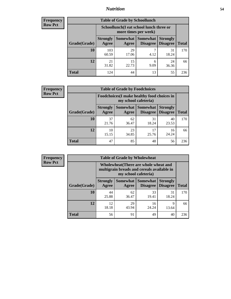## *Nutrition* **54**

| <b>Frequency</b> |
|------------------|
| Row Pct          |

| <b>Table of Grade by Schoollunch</b> |                                                                                                                                      |                                                                 |           |             |     |  |  |  |
|--------------------------------------|--------------------------------------------------------------------------------------------------------------------------------------|-----------------------------------------------------------------|-----------|-------------|-----|--|--|--|
|                                      |                                                                                                                                      | Schoollunch(I eat school lunch three or<br>more times per week) |           |             |     |  |  |  |
| Grade(Grade)                         | Somewhat  <br><b>Somewhat</b><br><b>Strongly</b><br><b>Strongly</b><br><b>Disagree</b><br>Disagree<br><b>Total</b><br>Agree<br>Agree |                                                                 |           |             |     |  |  |  |
| 10                                   | 103<br>60.59                                                                                                                         | 29<br>17.06                                                     | 4.12      | 31<br>18.24 | 170 |  |  |  |
| 12                                   | 21<br>31.82                                                                                                                          | 15<br>22.73                                                     | 6<br>9.09 | 24<br>36.36 | 66  |  |  |  |
| <b>Total</b>                         | 124                                                                                                                                  | 44                                                              | 13        | 55          | 236 |  |  |  |

| <b>Frequency</b> |  |
|------------------|--|
| <b>Row Pct</b>   |  |

| <b>Table of Grade by Foodchoices</b> |                                                                            |             |                                               |                                    |              |  |  |
|--------------------------------------|----------------------------------------------------------------------------|-------------|-----------------------------------------------|------------------------------------|--------------|--|--|
|                                      | <b>Foodchoices</b> (I make healthy food choices in<br>my school cafeteria) |             |                                               |                                    |              |  |  |
| Grade(Grade)                         | <b>Strongly</b><br>Agree                                                   | Agree       | <b>Somewhat   Somewhat</b><br><b>Disagree</b> | <b>Strongly</b><br><b>Disagree</b> | <b>Total</b> |  |  |
| 10                                   | 37<br>21.76                                                                | 62<br>36.47 | 31<br>18.24                                   | 40<br>23.53                        | 170          |  |  |
| 12                                   | 10<br>15.15                                                                | 23<br>34.85 | 17<br>25.76                                   | 16<br>24.24                        | 66           |  |  |
| <b>Total</b>                         | 47                                                                         | 85          | 48                                            | 56                                 | 236          |  |  |

| Frequency      | <b>Table of Grade by Wholewheat</b> |                                                                                                             |             |                                   |                                    |              |  |  |  |
|----------------|-------------------------------------|-------------------------------------------------------------------------------------------------------------|-------------|-----------------------------------|------------------------------------|--------------|--|--|--|
| <b>Row Pct</b> |                                     | Wholewheat (There are whole wheat and<br>multigrain breads and cereals available in<br>my school cafeteria) |             |                                   |                                    |              |  |  |  |
|                | Grade(Grade)                        | <b>Strongly</b><br>Agree                                                                                    | Agree       | Somewhat   Somewhat  <br>Disagree | <b>Strongly</b><br><b>Disagree</b> | <b>Total</b> |  |  |  |
|                | 10                                  | 44<br>25.88                                                                                                 | 62<br>36.47 | 33<br>19.41                       | 31<br>18.24                        | 170          |  |  |  |
|                | 12                                  | 12<br>18.18                                                                                                 | 29<br>43.94 | 16<br>24.24                       | 9<br>13.64                         | 66           |  |  |  |
|                | <b>Total</b>                        | 56                                                                                                          | 91          | 49                                | 40                                 | 236          |  |  |  |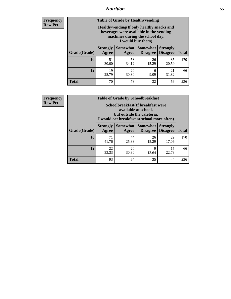## *Nutrition* **55**

**Frequency Row Pct**

| <b>Table of Grade by Healthyvending</b> |                                                                                                                                               |                          |                                    |                                    |              |  |  |  |
|-----------------------------------------|-----------------------------------------------------------------------------------------------------------------------------------------------|--------------------------|------------------------------------|------------------------------------|--------------|--|--|--|
|                                         | Healthyvending (If only healthy snacks and<br>beverages were available in the vending<br>machines during the school day,<br>I would buy them) |                          |                                    |                                    |              |  |  |  |
| Grade(Grade)                            | <b>Strongly</b><br>Agree                                                                                                                      | <b>Somewhat</b><br>Agree | <b>Somewhat</b><br><b>Disagree</b> | <b>Strongly</b><br><b>Disagree</b> | <b>Total</b> |  |  |  |
| 10                                      | 51<br>30.00                                                                                                                                   | 58<br>34.12              | 26<br>15.29                        | 35<br>20.59                        | 170          |  |  |  |
| 12                                      | 19<br>28.79                                                                                                                                   | 20<br>30.30              | 6<br>9.09                          | 21<br>31.82                        | 66           |  |  |  |
| <b>Total</b>                            | 70                                                                                                                                            | 78                       | 32                                 | 56                                 | 236          |  |  |  |

**Frequency Row Pct**

| <b>Table of Grade by Schoolbreakfast</b> |                                                                                                                                         |             |             |             |     |  |  |  |
|------------------------------------------|-----------------------------------------------------------------------------------------------------------------------------------------|-------------|-------------|-------------|-----|--|--|--|
|                                          | Schoolbreakfast (If breakfast were<br>available at school,<br>but outside the cafeteria,<br>I would eat breakfast at school more often) |             |             |             |     |  |  |  |
| Grade(Grade)                             | Somewhat  <br><b>Strongly</b><br><b>Somewhat</b><br><b>Strongly</b><br><b>Disagree</b><br><b>Disagree</b><br>Agree<br>Agree             |             |             |             |     |  |  |  |
| 10                                       | 71<br>41.76                                                                                                                             | 44<br>25.88 | 26<br>15.29 | 29<br>17.06 | 170 |  |  |  |
| 12                                       | 22<br>33.33                                                                                                                             | 20<br>30.30 | 9<br>13.64  | 15<br>22.73 | 66  |  |  |  |
| <b>Total</b>                             | 93                                                                                                                                      | 64          | 35          | 44          | 236 |  |  |  |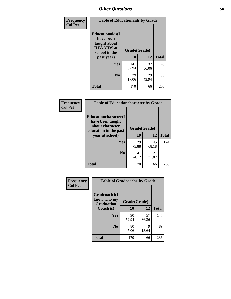| Frequency<br><b>Col Pct</b> | <b>Table of Educationaids by Grade</b>                                                                    |                    |             |              |
|-----------------------------|-----------------------------------------------------------------------------------------------------------|--------------------|-------------|--------------|
|                             | <b>Educationaids</b> (I<br>have been<br>taught about<br><b>HIV/AIDS</b> at<br>school in the<br>past year) | Grade(Grade)<br>10 | 12          | <b>Total</b> |
|                             | Yes                                                                                                       | 141<br>82.94       | 37<br>56.06 | 178          |
|                             | N <sub>0</sub>                                                                                            | 29<br>17.06        | 29<br>43.94 | 58           |
|                             | <b>Total</b>                                                                                              | 170                | 66          | 236          |

| Frequency      | <b>Table of Educationcharacter by Grade</b>                                                  |              |             |              |  |
|----------------|----------------------------------------------------------------------------------------------|--------------|-------------|--------------|--|
| <b>Col Pct</b> | <b>Educationcharacter(I)</b><br>have been taught<br>about character<br>education in the past | Grade(Grade) |             |              |  |
|                | year at school)                                                                              | 10           | 12          | <b>Total</b> |  |
|                | <b>Yes</b>                                                                                   | 129<br>75.88 | 45<br>68.18 | 174          |  |
|                | N <sub>0</sub>                                                                               | 41<br>24.12  | 21<br>31.82 | 62           |  |
|                | <b>Total</b>                                                                                 | 170          | 66          | 236          |  |

| Frequency      | <b>Table of Gradcoach1 by Grade</b> |              |             |              |
|----------------|-------------------------------------|--------------|-------------|--------------|
| <b>Col Pct</b> | Gradcoach1(I                        |              |             |              |
|                | know who my<br><b>Graduation</b>    | Grade(Grade) |             |              |
|                | Coach is)                           | 10           | 12          | <b>Total</b> |
|                | <b>Yes</b>                          | 90<br>52.94  | 57<br>86.36 | 147          |
|                | N <sub>0</sub>                      | 80<br>47.06  | 9<br>13.64  | 89           |
|                | <b>Total</b>                        | 170          | 66          | 236          |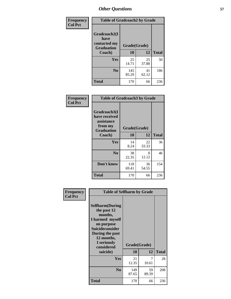| Frequency      | <b>Table of Gradcoach2 by Grade</b> |              |             |              |
|----------------|-------------------------------------|--------------|-------------|--------------|
| <b>Col Pct</b> | Gradcoach2(I<br>have                |              |             |              |
|                | contacted my<br><b>Graduation</b>   | Grade(Grade) |             |              |
|                | Coach)                              | 10           | 12          | <b>Total</b> |
|                | Yes                                 | 25<br>14.71  | 25<br>37.88 | 50           |
|                | N <sub>0</sub>                      | 145<br>85.29 | 41<br>62.12 | 186          |
|                | <b>Total</b>                        | 170          | 66          | 236          |

| <b>Frequency</b><br><b>Col Pct</b> |                                                                             | <b>Table of Gradcoach3 by Grade</b> |             |              |  |
|------------------------------------|-----------------------------------------------------------------------------|-------------------------------------|-------------|--------------|--|
|                                    | Gradcoach3(I<br>have received<br>assistance<br>from my<br><b>Graduation</b> | Grade(Grade)                        |             |              |  |
|                                    | Coach)                                                                      | 10                                  | 12          | <b>Total</b> |  |
|                                    | Yes                                                                         | 14<br>8.24                          | 22<br>33.33 | 36           |  |
|                                    | N <sub>0</sub>                                                              | 38<br>22.35                         | 8<br>12.12  | 46           |  |
|                                    | Don't know                                                                  | 118<br>69.41                        | 36<br>54.55 | 154          |  |
|                                    | <b>Total</b>                                                                | 170                                 | 66          | 236          |  |

| Frequency      | <b>Table of Selfharm by Grade</b>                                                                                                                                                      |              |                    |              |
|----------------|----------------------------------------------------------------------------------------------------------------------------------------------------------------------------------------|--------------|--------------------|--------------|
| <b>Col Pct</b> | <b>Selfharm</b> (During<br>the past 12<br>months,<br>I harmed myself<br>on purpose<br><b>Suicideconsider</b><br>During the past<br>12 months,<br>I seriously<br>considered<br>suicide) | 10           | Grade(Grade)<br>12 | <b>Total</b> |
|                | Yes                                                                                                                                                                                    | 21<br>12.35  | 7<br>10.61         | 28           |
|                | N <sub>0</sub>                                                                                                                                                                         | 149<br>87.65 | 59<br>89.39        | 208          |
|                | Total                                                                                                                                                                                  | 170          | 66                 | 236          |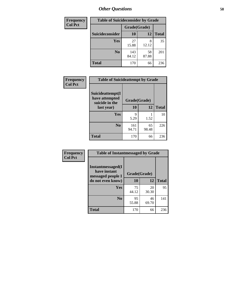| <b>Frequency</b> | <b>Table of Suicideconsider by Grade</b> |              |             |              |
|------------------|------------------------------------------|--------------|-------------|--------------|
| <b>Col Pct</b>   |                                          | Grade(Grade) |             |              |
|                  | <b>Suicideconsider</b>                   | 10           | 12          | <b>Total</b> |
|                  | Yes                                      | 27<br>15.88  | 8<br>12.12  | 35           |
|                  | N <sub>0</sub>                           | 143<br>84.12 | 58<br>87.88 | 201          |
|                  | <b>Total</b>                             | 170          | 66          | 236          |

| Frequency      | <b>Table of Suicideattempt by Grade</b>              |              |             |              |
|----------------|------------------------------------------------------|--------------|-------------|--------------|
| <b>Col Pct</b> | Suicideattempt(I<br>have attempted<br>suicide in the | Grade(Grade) |             |              |
|                | last year)                                           | 10           | 12          | <b>Total</b> |
|                | Yes                                                  | Q<br>5.29    | 1.52        | 10           |
|                | N <sub>0</sub>                                       | 161<br>94.71 | 65<br>98.48 | 226          |
|                | <b>Total</b>                                         | 170          | 66          | 236          |

| Frequency      | <b>Table of Instantmessaged by Grade</b>                       |              |             |              |
|----------------|----------------------------------------------------------------|--------------|-------------|--------------|
| <b>Col Pct</b> | <b>Instantmessaged</b> (I<br>have instant<br>messaged people I | Grade(Grade) |             |              |
|                | do not even know)                                              | 10           | 12          | <b>Total</b> |
|                | Yes                                                            | 75<br>44.12  | 20<br>30.30 | 95           |
|                | N <sub>0</sub>                                                 | 95<br>55.88  | 46<br>69.70 | 141          |
|                | <b>Total</b>                                                   | 170          | 66          | 236          |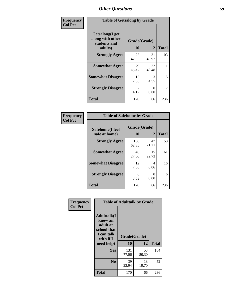| Frequency      |                                                                        | <b>Table of Getsalong by Grade</b> |             |              |  |
|----------------|------------------------------------------------------------------------|------------------------------------|-------------|--------------|--|
| <b>Col Pct</b> | <b>Getsalong</b> (I get<br>along with other<br>students and<br>adults) | Grade(Grade)<br>10                 | 12          | <b>Total</b> |  |
|                | <b>Strongly Agree</b>                                                  | 72<br>42.35                        | 31<br>46.97 | 103          |  |
|                | <b>Somewhat Agree</b>                                                  | 79<br>46.47                        | 32<br>48.48 | 111          |  |
|                | <b>Somewhat Disagree</b>                                               | 12<br>7.06                         | 3<br>4.55   | 15           |  |
|                | <b>Strongly Disagree</b>                                               | 7<br>4.12                          | 0<br>0.00   | 7            |  |
|                | <b>Total</b>                                                           | 170                                | 66          | 236          |  |

| Frequency      | <b>Table of Safehome by Grade</b> |                           |                           |              |
|----------------|-----------------------------------|---------------------------|---------------------------|--------------|
| <b>Col Pct</b> | Safehome(I feel<br>safe at home)  | Grade(Grade)<br><b>10</b> | 12                        | <b>Total</b> |
|                | <b>Strongly Agree</b>             | 106<br>62.35              | 47<br>71.21               | 153          |
|                | <b>Somewhat Agree</b>             | 46<br>27.06               | 15<br>22.73               | 61           |
|                | <b>Somewhat Disagree</b>          | 12<br>7.06                | 4<br>6.06                 | 16           |
|                | <b>Strongly Disagree</b>          | 6<br>3.53                 | $\mathbf{\Omega}$<br>0.00 | 6            |
|                | <b>Total</b>                      | 170                       | 66                        | 236          |

| Frequency      |                                                                                     | <b>Table of Adulttalk by Grade</b> |             |              |  |
|----------------|-------------------------------------------------------------------------------------|------------------------------------|-------------|--------------|--|
| <b>Col Pct</b> | <b>Adulttalk(I</b><br>know an<br>adult at<br>school that<br>I can talk<br>with if I | Grade(Grade)                       |             |              |  |
|                | need help)                                                                          | 10                                 | 12          | <b>Total</b> |  |
|                | Yes                                                                                 | 131<br>77.06                       | 53<br>80.30 | 184          |  |
|                | N <sub>0</sub>                                                                      | 39<br>22.94                        | 13<br>19.70 | 52           |  |
|                | <b>Total</b>                                                                        | 170                                | 66          | 236          |  |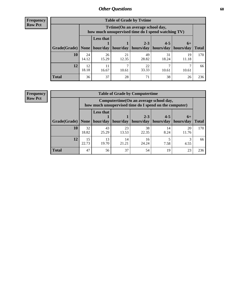**Frequency Row Pct**

| <b>Table of Grade by Tvtime</b> |             |                                                                                         |             |                                                |             |             |              |  |  |
|---------------------------------|-------------|-----------------------------------------------------------------------------------------|-------------|------------------------------------------------|-------------|-------------|--------------|--|--|
|                                 |             | Tytime (On an average school day,<br>how much unsupervised time do I spend watching TV) |             |                                                |             |             |              |  |  |
| Grade(Grade)   None             |             | <b>Less that</b><br>hour/day                                                            | hour/day    | $2 - 3$<br>  hours/day   hours/day   hours/day | $4 - 5$     | $6+$        | <b>Total</b> |  |  |
| 10                              | 24<br>14.12 | 26<br>15.29                                                                             | 21<br>12.35 | 49<br>28.82                                    | 31<br>18.24 | 19<br>11.18 | 170          |  |  |
| 12                              | 12<br>18.18 | 11<br>16.67                                                                             | 10.61       | 22<br>33.33                                    | 10.61       | 10.61       | 66           |  |  |
| <b>Total</b>                    | 36          | 37                                                                                      | 28          | 71                                             | 38          | 26          | 236          |  |  |

**Frequency Row Pct**

| <b>Table of Grade by Computertime</b> |             |                                                                                                                                 |             |             |            |             |     |  |
|---------------------------------------|-------------|---------------------------------------------------------------------------------------------------------------------------------|-------------|-------------|------------|-------------|-----|--|
|                                       |             | Computertime (On an average school day,<br>how much unsupervised time do I spend on the computer)                               |             |             |            |             |     |  |
| Grade(Grade)                          | None        | <b>Less that</b><br>$2 - 3$<br>$4 - 5$<br>$6+$<br>hour/day<br>hours/day<br>  hours/day<br>hour/day<br>hours/day<br><b>Total</b> |             |             |            |             |     |  |
| 10                                    | 32<br>18.82 | 43<br>25.29                                                                                                                     | 23<br>13.53 | 38<br>22.35 | 14<br>8.24 | 20<br>11.76 | 170 |  |
| 12                                    | 15<br>22.73 | 13<br>14<br>16<br>19.70<br>24.24<br>21.21<br>7.58<br>4.55                                                                       |             |             |            |             |     |  |
| <b>Total</b>                          | 47          | 56                                                                                                                              | 37          | 54          | 19         | 23          | 236 |  |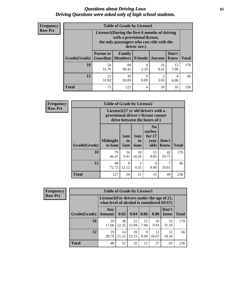### *Questions about Driving Laws* **61** *Driving Questions were asked only of high school students.*

| <b>Frequency</b> |
|------------------|
| <b>Row Pct</b>   |

| <b>Table of Grade by License1</b> |                              |                                                                                                                                           |                  |            |            |     |  |  |  |
|-----------------------------------|------------------------------|-------------------------------------------------------------------------------------------------------------------------------------------|------------------|------------|------------|-----|--|--|--|
|                                   |                              | License1(During the first 6 months of driving<br>with a provisional license,<br>the only passengers who can ride with the<br>driver are:) |                  |            |            |     |  |  |  |
| Grade(Grade)                      | <b>Parent or</b><br>Guardian | Don't<br>Family<br><b>Total</b><br><b>Members</b><br><b>Friends</b><br>Know<br>Anyone                                                     |                  |            |            |     |  |  |  |
| 10                                | 54<br>31.76                  | 84<br>49.41                                                                                                                               | 4<br>2.35        | 16<br>9.41 | 12<br>7.06 | 170 |  |  |  |
| 12                                | 21<br>31.82                  | 39<br>59.09                                                                                                                               | $\theta$<br>0.00 | 2<br>3.03  | 4<br>6.06  | 66  |  |  |  |
| Total                             | 75                           | 123                                                                                                                                       | 4                | 18         | 16         | 236 |  |  |  |

| <b>Frequency</b> |              | <b>Table of Grade by License2</b> |                  |                  |                                                                                                                      |                      |              |
|------------------|--------------|-----------------------------------|------------------|------------------|----------------------------------------------------------------------------------------------------------------------|----------------------|--------------|
| <b>Row Pct</b>   |              |                                   |                  |                  | License $2(17 \text{ yr})$ old drivers with a<br>provisional driver's license cannot<br>drive between the hours of:) |                      |              |
|                  | Grade(Grade) | <b>Midnight</b><br>to 6am         | 1am<br>to<br>5am | 1am<br>to<br>6am | N <sub>0</sub><br>curfew<br>for $17$<br>year<br>olds                                                                 | Don't<br><b>Know</b> | <b>Total</b> |
|                  | 10           | 79<br>46.47                       | 16<br>9.41       | 18<br>10.59      | 15<br>8.82                                                                                                           | 42<br>24.71          | 170          |
|                  | 12           | 48<br>72.73                       | 8<br>12.12       | 3<br>4.55        | 0<br>0.00                                                                                                            | 7<br>10.61           | 66           |
|                  | <b>Total</b> | 127                               | 24               | 21               | 15                                                                                                                   | 49                   | 236          |

| Frequency      | <b>Table of Grade by License3</b> |                      |                                                                                        |             |                  |             |               |              |  |
|----------------|-----------------------------------|----------------------|----------------------------------------------------------------------------------------|-------------|------------------|-------------|---------------|--------------|--|
| <b>Row Pct</b> |                                   |                      | License3(For drivers under the age of 21,<br>what level of alcohol is considered DUI?) |             |                  |             |               |              |  |
|                | Grade(Grade)                      | Any<br><b>Amount</b> | 0.02                                                                                   | 0.04        | 0.06             | 0.08        | Don't<br>know | <b>Total</b> |  |
|                | 10                                | 29<br>17.06          | 38<br>22.35                                                                            | 22<br>12.94 | 12<br>7.06       | 16<br>9.41  | 53<br>31.18   | 170          |  |
|                | 12                                | 19<br>28.79          | 14<br>21.21                                                                            | 10<br>15.15 | $\Omega$<br>0.00 | 11<br>16.67 | 12<br>18.18   | 66           |  |
|                | <b>Total</b>                      | 48                   | 52                                                                                     | 32          | 12               | 27          | 65            | 236          |  |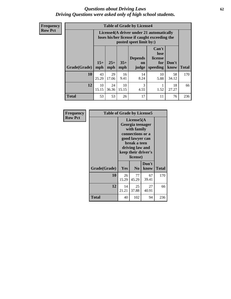### *Questions about Driving Laws* **62** *Driving Questions were asked only of high school students.*

**Frequency Row Pct**

| <b>Table of Grade by License4</b> |             |                                                                                                                                                                                                                                                                                       |             |            |            |             |     |  |
|-----------------------------------|-------------|---------------------------------------------------------------------------------------------------------------------------------------------------------------------------------------------------------------------------------------------------------------------------------------|-------------|------------|------------|-------------|-----|--|
|                                   |             | License4(A driver under 21 automatically<br>loses his/her license if caught exceeding the<br>posted speet limit by:)<br>Can't<br>lose<br><b>Depends</b><br>license<br>$15+$<br>$25+$<br>$35+$<br>Don't<br>for<br><b>on</b><br><b>Total</b><br>mph<br>speeding<br>know<br>mph<br>judge |             |            |            |             |     |  |
| Grade(Grade)                      | mph         |                                                                                                                                                                                                                                                                                       |             |            |            |             |     |  |
| 10                                | 43<br>25.29 | 29<br>17.06                                                                                                                                                                                                                                                                           | 16<br>9.41  | 14<br>8.24 | 10<br>5.88 | 58<br>34.12 | 170 |  |
| 12                                | 10<br>15.15 | 24<br>36.36                                                                                                                                                                                                                                                                           | 10<br>15.15 | 3<br>4.55  | 1.52       | 18<br>27.27 | 66  |  |
| <b>Total</b>                      | 53          | 53                                                                                                                                                                                                                                                                                    | 26          | 17         | 11         | 76          | 236 |  |

| Frequency      | <b>Table of Grade by License5</b> |             |                                                                                                                                                             |               |       |
|----------------|-----------------------------------|-------------|-------------------------------------------------------------------------------------------------------------------------------------------------------------|---------------|-------|
| <b>Row Pct</b> |                                   |             | License5(A)<br>Georgia teenager<br>with family<br>connections or a<br>good lawyer can<br>break a teen<br>driving law and<br>keep their driver's<br>license) |               |       |
|                | Grade(Grade)                      | <b>Yes</b>  | N <sub>0</sub>                                                                                                                                              | Don't<br>know | Total |
|                | 10                                | 26<br>15.29 | 77<br>45.29                                                                                                                                                 | 67<br>39.41   | 170   |
|                | 12                                | 14<br>21.21 | 25<br>37.88                                                                                                                                                 | 27<br>40.91   | 66    |
|                | <b>Total</b>                      | 40          | 102                                                                                                                                                         | 94            | 236   |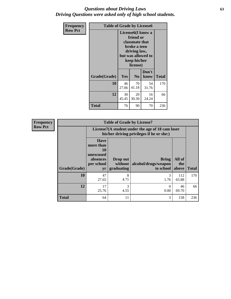### *Questions about Driving Laws* **63** *Driving Questions were asked only of high school students.*

| <b>Frequency</b> | <b>Table of Grade by License6</b> |             |                                                                                                                           |                    |              |
|------------------|-----------------------------------|-------------|---------------------------------------------------------------------------------------------------------------------------|--------------------|--------------|
| <b>Row Pct</b>   |                                   |             | License <sub>6</sub> (I know a<br>friend or<br>classmate that<br>broke a teen<br>driving law,<br>keep his/her<br>license) | but was allowed to |              |
|                  | Grade(Grade)                      | Yes         | N <sub>0</sub>                                                                                                            | Don't<br>know      | <b>Total</b> |
|                  | 10                                | 46<br>27.06 | 70<br>41.18                                                                                                               | 54<br>31.76        | 170          |
|                  | 12                                | 30<br>45.45 | 20<br>30.30                                                                                                               | 16<br>24.24        | 66           |
|                  | Total                             | 76          | 90                                                                                                                        | 70                 | 236          |

| <b>Frequency</b> | <b>Table of Grade by License7</b> |                                                                             |                                                                                               |                                                   |                        |              |  |  |  |
|------------------|-----------------------------------|-----------------------------------------------------------------------------|-----------------------------------------------------------------------------------------------|---------------------------------------------------|------------------------|--------------|--|--|--|
| <b>Row Pct</b>   |                                   |                                                                             | License7(A student under the age of 18 cam loser<br>his/her driving privileges if he or she:) |                                                   |                        |              |  |  |  |
|                  | Grade(Grade)                      | <b>Have</b><br>more than<br>10<br>unexcused<br>absences<br>per school<br>yr | Drop out<br>without  <br>graduating                                                           | <b>Bring</b><br>alcohol/drugs/weapon<br>to school | All of<br>the<br>above | <b>Total</b> |  |  |  |
|                  | 10                                | 47<br>27.65                                                                 | 8<br>4.71                                                                                     | 3<br>1.76                                         | 112<br>65.88           | 170          |  |  |  |
|                  | 12                                | 17<br>25.76                                                                 | 3<br>4.55                                                                                     | 0<br>0.00                                         | 46<br>69.70            | 66           |  |  |  |
|                  | <b>Total</b>                      | 64                                                                          | 11                                                                                            | 3                                                 | 158                    | 236          |  |  |  |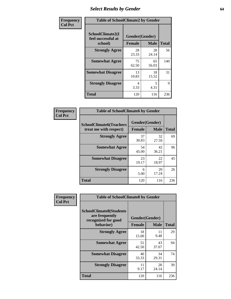# *Select Results by Gender* **64**

| Frequency      | <b>Table of SchoolClimate2 by Gender</b>          |                                 |             |              |  |  |  |
|----------------|---------------------------------------------------|---------------------------------|-------------|--------------|--|--|--|
| <b>Col Pct</b> | SchoolClimate2(I<br>feel successful at<br>school) | Gender(Gender)<br><b>Female</b> | <b>Male</b> | <b>Total</b> |  |  |  |
|                | <b>Strongly Agree</b>                             | 28<br>23.33                     | 28<br>24.14 | 56           |  |  |  |
|                | <b>Somewhat Agree</b>                             | 75<br>62.50                     | 65<br>56.03 | 140          |  |  |  |
|                | <b>Somewhat Disagree</b>                          | 13<br>10.83                     | 18<br>15.52 | 31           |  |  |  |
|                | <b>Strongly Disagree</b>                          | 4<br>3.33                       | 5<br>4.31   | 9            |  |  |  |
|                | <b>Total</b>                                      | 120                             | 116         | 236          |  |  |  |

| Frequency      | <b>Table of SchoolClimate6 by Gender</b>                 |                                 |             |              |  |  |  |
|----------------|----------------------------------------------------------|---------------------------------|-------------|--------------|--|--|--|
| <b>Col Pct</b> | <b>SchoolClimate6(Teachers</b><br>treat me with respect) | Gender(Gender)<br><b>Female</b> | <b>Male</b> | <b>Total</b> |  |  |  |
|                | <b>Strongly Agree</b>                                    | 37<br>30.83                     | 32<br>27.59 | 69           |  |  |  |
|                | <b>Somewhat Agree</b>                                    | 54<br>45.00                     | 42<br>36.21 | 96           |  |  |  |
|                | <b>Somewhat Disagree</b>                                 | 23<br>19.17                     | 22<br>18.97 | 45           |  |  |  |
|                | <b>Strongly Disagree</b>                                 | 6<br>5.00                       | 20<br>17.24 | 26           |  |  |  |
|                | <b>Total</b>                                             | 120                             | 116         | 236          |  |  |  |

| <b>Frequency</b> | <b>Table of SchoolClimate8 by Gender</b>                                             |               |                               |              |
|------------------|--------------------------------------------------------------------------------------|---------------|-------------------------------|--------------|
| <b>Col Pct</b>   | <b>SchoolClimate8(Students</b><br>are frequently<br>recognized for good<br>behavior) | <b>Female</b> | Gender(Gender)<br><b>Male</b> | <b>Total</b> |
|                  | <b>Strongly Agree</b>                                                                | 18<br>15.00   | 11<br>9.48                    | 29           |
|                  | <b>Somewhat Agree</b>                                                                | 51<br>42.50   | 43<br>37.07                   | 94           |
|                  | <b>Somewhat Disagree</b>                                                             | 40<br>33.33   | 34<br>29.31                   | 74           |
|                  | <b>Strongly Disagree</b>                                                             | 11<br>9.17    | 28<br>24.14                   | 39           |
|                  | Total                                                                                | 120           | 116                           | 236          |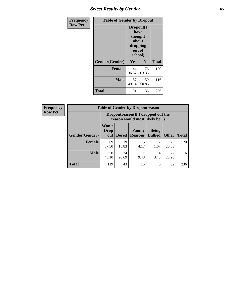# *Select Results by Gender* **65**

| Frequency      | <b>Table of Gender by Dropout</b> |                                                                        |                |              |
|----------------|-----------------------------------|------------------------------------------------------------------------|----------------|--------------|
| <b>Row Pct</b> |                                   | Dropout(I<br>have<br>thought<br>about<br>dropping<br>out of<br>school) |                |              |
|                | Gender(Gender)                    | Yes                                                                    | N <sub>0</sub> | <b>Total</b> |
|                | <b>Female</b>                     | 44<br>36.67                                                            | 76<br>63.33    | 120          |
|                | <b>Male</b>                       | 57<br>49.14                                                            | 59<br>50.86    | 116          |
|                | <b>Total</b>                      | 101                                                                    | 135            | 236          |

| <b>Frequency</b> | <b>Table of Gender by Dropoutreason</b> |                                                                    |              |                          |                                     |              |              |
|------------------|-----------------------------------------|--------------------------------------------------------------------|--------------|--------------------------|-------------------------------------|--------------|--------------|
| <b>Row Pct</b>   |                                         | Dropoutreason(If I dropped out the<br>reason would most likely be) |              |                          |                                     |              |              |
|                  | Gender(Gender)                          | Won't<br><b>Drop</b><br>out                                        | <b>Bored</b> | Family<br><b>Reasons</b> | <b>Being</b><br><b>Bullied</b>      | <b>Other</b> | <b>Total</b> |
|                  | <b>Female</b>                           | 69<br>57.50                                                        | 19<br>15.83  | 5<br>4.17                | $\mathcal{D}_{\mathcal{A}}$<br>1.67 | 25<br>20.83  | 120          |
|                  | <b>Male</b>                             | 50<br>43.10                                                        | 24<br>20.69  | 11<br>9.48               | 4<br>3.45                           | 27<br>23.28  | 116          |
|                  | <b>Total</b>                            | 119                                                                | 43           | 16                       | 6                                   | 52           | 236          |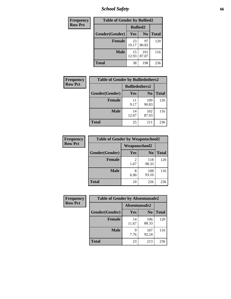*School Safety* **66**

| Frequency      | <b>Table of Gender by Bullied2</b> |                 |                |              |  |
|----------------|------------------------------------|-----------------|----------------|--------------|--|
| <b>Row Pct</b> |                                    | <b>Bullied2</b> |                |              |  |
|                | Gender(Gender)                     | Yes             | N <sub>0</sub> | <b>Total</b> |  |
|                | <b>Female</b>                      | 23<br>19.17     | 97<br>80.83    | 120          |  |
|                | <b>Male</b>                        | 15<br>12.93     | 101<br>87.07   | 116          |  |
|                | <b>Total</b>                       | 38              | 198            | 236          |  |

| Frequency      | <b>Table of Gender by Bulliedothers2</b> |                       |                |              |
|----------------|------------------------------------------|-----------------------|----------------|--------------|
| <b>Row Pct</b> |                                          | <b>Bulliedothers2</b> |                |              |
|                | Gender(Gender)                           | <b>Yes</b>            | N <sub>0</sub> | <b>Total</b> |
|                | <b>Female</b>                            | 11<br>9.17            | 109<br>90.83   | 120          |
|                | <b>Male</b>                              | 14<br>12.07           | 102<br>87.93   | 116          |
|                | <b>Total</b>                             | 25                    | 211            | 236          |

| Frequency      | <b>Table of Gender by Weaponschool2</b> |                        |                |              |
|----------------|-----------------------------------------|------------------------|----------------|--------------|
| <b>Row Pct</b> |                                         | Weaponschool2          |                |              |
|                | Gender(Gender)                          | Yes                    | N <sub>0</sub> | <b>Total</b> |
|                | <b>Female</b>                           | $\mathfrak{D}$<br>1.67 | 118<br>98.33   | 120          |
|                | <b>Male</b>                             | 8<br>6.90              | 108<br>93.10   | 116          |
|                | <b>Total</b>                            | 10                     | 226            | 236          |

| Frequency      | <b>Table of Gender by Absentunsafe2</b> |               |                |              |
|----------------|-----------------------------------------|---------------|----------------|--------------|
| <b>Row Pct</b> |                                         | Absentunsafe2 |                |              |
|                | Gender(Gender)                          | Yes           | N <sub>0</sub> | <b>Total</b> |
|                | <b>Female</b>                           | 14<br>11.67   | 106<br>88.33   | 120          |
|                | <b>Male</b>                             | q<br>7.76     | 107<br>92.24   | 116          |
|                | <b>Total</b>                            | 23            | 213            | 236          |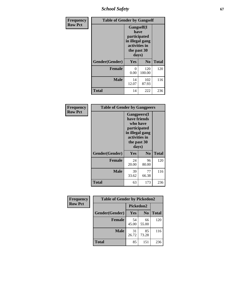*School Safety* **67**

| Frequency      | <b>Table of Gender by Gangself</b> |                                                                                                        |                |              |
|----------------|------------------------------------|--------------------------------------------------------------------------------------------------------|----------------|--------------|
| <b>Row Pct</b> |                                    | <b>Gangself</b> (I<br>have<br>participated<br>in illegal gang<br>activities in<br>the past 30<br>days) |                |              |
|                | Gender(Gender)                     | Yes                                                                                                    | N <sub>0</sub> | <b>Total</b> |
|                | <b>Female</b>                      | 0<br>0.00                                                                                              | 120<br>100.00  | 120          |
|                | <b>Male</b>                        | 14<br>12.07                                                                                            | 102<br>87.93   | 116          |
|                | <b>Total</b>                       | 14                                                                                                     | 222            | 236          |

| Frequency      | <b>Table of Gender by Gangpeers</b> |                                                                                                                             |                |              |
|----------------|-------------------------------------|-----------------------------------------------------------------------------------------------------------------------------|----------------|--------------|
| <b>Row Pct</b> |                                     | <b>Gangpeers</b> (I<br>have friends<br>who have<br>participated<br>in illegal gang<br>activities in<br>the past 30<br>days) |                |              |
|                | Gender(Gender)                      | Yes                                                                                                                         | N <sub>0</sub> | <b>Total</b> |
|                | <b>Female</b>                       | 24<br>20.00                                                                                                                 | 96<br>80.00    | 120          |
|                | <b>Male</b>                         | 39<br>33.62                                                                                                                 | 77<br>66.38    | 116          |
|                | <b>Total</b>                        | 63                                                                                                                          | 173            | 236          |

| Frequency      | <b>Table of Gender by Pickedon2</b> |             |                |              |
|----------------|-------------------------------------|-------------|----------------|--------------|
| <b>Row Pct</b> |                                     | Pickedon2   |                |              |
|                | Gender(Gender)                      | <b>Yes</b>  | N <sub>0</sub> | <b>Total</b> |
|                | <b>Female</b>                       | 54<br>45.00 | 66<br>55.00    | 120          |
|                | <b>Male</b>                         | 31<br>26.72 | 85<br>73.28    | 116          |
|                | <b>Total</b>                        | 85          | 151            | 236          |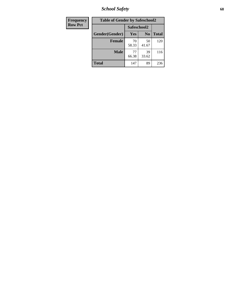*School Safety* **68**

| Frequency      | <b>Table of Gender by Safeschool2</b> |             |                |              |
|----------------|---------------------------------------|-------------|----------------|--------------|
| <b>Row Pct</b> |                                       | Safeschool2 |                |              |
|                | Gender(Gender)                        | Yes         | N <sub>0</sub> | <b>Total</b> |
|                | <b>Female</b>                         | 70<br>58.33 | 50<br>41.67    | 120          |
|                | <b>Male</b>                           | 77<br>66.38 | 39<br>33.62    | 116          |
|                | <b>Total</b>                          | 147         | 89             | 236          |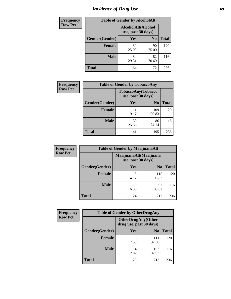# *Incidence of Drug Use* 69

| <b>Frequency</b> | <b>Table of Gender by AlcoholAlt</b> |                                          |                |              |  |
|------------------|--------------------------------------|------------------------------------------|----------------|--------------|--|
| <b>Row Pct</b>   |                                      | AlcoholAlt(Alcohol<br>use, past 30 days) |                |              |  |
|                  | Gender(Gender)                       | Yes                                      | N <sub>0</sub> | <b>Total</b> |  |
|                  | <b>Female</b>                        | 30<br>25.00                              | 90<br>75.00    | 120          |  |
|                  | <b>Male</b>                          | 34<br>29.31                              | 82<br>70.69    | 116          |  |
|                  | <b>Total</b>                         | 64                                       | 172            | 236          |  |

| Frequency      | <b>Table of Gender by TobaccoAny</b> |                    |                    |              |  |
|----------------|--------------------------------------|--------------------|--------------------|--------------|--|
| <b>Row Pct</b> |                                      | use, past 30 days) | TobaccoAny(Tobacco |              |  |
|                | Gender(Gender)                       | Yes                | N <sub>0</sub>     | <b>Total</b> |  |
|                | <b>Female</b>                        | 11<br>9.17         | 109<br>90.83       | 120          |  |
|                | <b>Male</b>                          | 30<br>25.86        | 86<br>74.14        | 116          |  |
|                | <b>Total</b>                         | 41                 | 195                | 236          |  |

| <b>Frequency</b> | <b>Table of Gender by MarijuanaAlt</b> |             |                                              |              |
|------------------|----------------------------------------|-------------|----------------------------------------------|--------------|
| <b>Row Pct</b>   |                                        |             | MarijuanaAlt(Marijuana<br>use, past 30 days) |              |
|                  | Gender(Gender)                         | <b>Yes</b>  | N <sub>0</sub>                               | <b>Total</b> |
|                  | Female                                 | 5<br>4.17   | 115<br>95.83                                 | 120          |
|                  | <b>Male</b>                            | 19<br>16.38 | 97<br>83.62                                  | 116          |
|                  | <b>Total</b>                           | 24          | 212                                          | 236          |

| <b>Frequency</b> | <b>Table of Gender by OtherDrugAny</b> |                                                      |                |              |
|------------------|----------------------------------------|------------------------------------------------------|----------------|--------------|
| <b>Row Pct</b>   |                                        | <b>OtherDrugAny(Other</b><br>drug use, past 30 days) |                |              |
|                  | Gender(Gender)                         | <b>Yes</b>                                           | N <sub>0</sub> | <b>Total</b> |
|                  | <b>Female</b>                          | Q<br>7.50                                            | 111<br>92.50   | 120          |
|                  | <b>Male</b>                            | 14<br>12.07                                          | 102<br>87.93   | 116          |
|                  | <b>Total</b>                           | 23                                                   | 213            | 236          |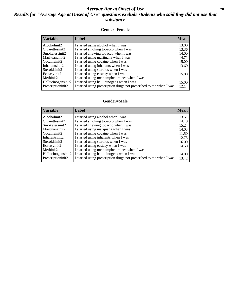### *Average Age at Onset of Use* 70 *Results for "Average Age at Onset of Use" questions exclude students who said they did not use that substance*

#### **Gender=Female**

| <i><b>Variable</b></i> | <b>Label</b>                                                       | <b>Mean</b> |
|------------------------|--------------------------------------------------------------------|-------------|
| Alcoholinit2           | I started using alcohol when I was                                 | 13.00       |
| Cigarettesinit2        | I started smoking tobacco when I was                               | 13.36       |
| Smokelessinit2         | I started chewing tobacco when I was                               | 14.00       |
| Marijuanainit2         | I started using marijuana when I was                               | 14.71       |
| Cocaineinit2           | I started using cocaine when I was                                 | 15.00       |
| Inhalantsinit2         | I started using inhalants when I was                               | 13.60       |
| Steroidsinit2          | I started using steroids when I was                                |             |
| Ecstasyinit2           | I started using ecstasy when I was                                 | 15.00       |
| Methinit2              | I started using methamphetamines when I was                        |             |
| Hallucinogensinit2     | I started using hallucinogens when I was                           | 15.00       |
| Prescription in t2     | I started using prescription drugs not prescribed to me when I was | 12.14       |

#### **Gender=Male**

| <b>Variable</b>    | Label                                                              | <b>Mean</b> |
|--------------------|--------------------------------------------------------------------|-------------|
| Alcoholinit2       | I started using alcohol when I was                                 | 13.51       |
| Cigarettesinit2    | I started smoking tobacco when I was                               | 14.19       |
| Smokelessinit2     | I started chewing tobacco when I was                               | 15.24       |
| Marijuanainit2     | I started using marijuana when I was                               | 14.03       |
| Cocaineinit2       | I started using cocaine when I was                                 | 11.50       |
| Inhalantsinit2     | I started using inhalants when I was                               | 12.75       |
| Steroidsinit2      | I started using steroids when I was                                | 16.00       |
| Ecstasyinit2       | I started using ecstasy when I was                                 | 14.50       |
| Methinit2          | I started using methamphetamines when I was                        |             |
| Hallucinogensinit2 | I started using hallucinogens when I was                           | 14.00       |
| Prescription in t2 | I started using prescription drugs not prescribed to me when I was | 13.42       |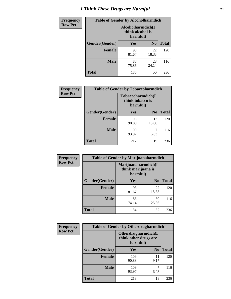# *I Think These Drugs are Harmful* **71**

| <b>Frequency</b> | <b>Table of Gender by Alcoholharmdich</b> |                                                   |                |              |
|------------------|-------------------------------------------|---------------------------------------------------|----------------|--------------|
| <b>Row Pct</b>   |                                           | Alcoholharmdich(I<br>think alcohol is<br>harmful) |                |              |
|                  | Gender(Gender)                            | <b>Yes</b>                                        | N <sub>0</sub> | <b>Total</b> |
|                  | <b>Female</b>                             | 98<br>81.67                                       | 22<br>18.33    | 120          |
|                  | <b>Male</b>                               | 88<br>75.86                                       | 28<br>24.14    | 116          |
|                  | <b>Total</b>                              | 186                                               | 50             | 236          |

| Frequency      | <b>Table of Gender by Tobaccoharmdich</b> |                  |                               |              |
|----------------|-------------------------------------------|------------------|-------------------------------|--------------|
| <b>Row Pct</b> |                                           | think tobacco is | Tobaccoharmdich(I<br>harmful) |              |
|                | Gender(Gender)                            | Yes              | $\bf N_0$                     | <b>Total</b> |
|                | <b>Female</b>                             | 108<br>90.00     | 12<br>10.00                   | 120          |
|                | <b>Male</b>                               | 109<br>93.97     | 6.03                          | 116          |
|                | <b>Total</b>                              | 217              | 19                            | 236          |

| <b>Frequency</b> | <b>Table of Gender by Marijuanaharmdich</b> |                                                       |                |              |
|------------------|---------------------------------------------|-------------------------------------------------------|----------------|--------------|
| <b>Row Pct</b>   |                                             | Marijuanaharmdich(I<br>think marijuana is<br>harmful) |                |              |
|                  | Gender(Gender)                              | <b>Yes</b>                                            | N <sub>0</sub> | <b>Total</b> |
|                  | <b>Female</b>                               | 98<br>81.67                                           | 22<br>18.33    | 120          |
|                  | <b>Male</b>                                 | 86<br>74.14                                           | 30<br>25.86    | 116          |
|                  | <b>Total</b>                                | 184                                                   | 52             | 236          |

| Frequency      | <b>Table of Gender by Otherdrugharmdich</b> |                                                          |                |              |
|----------------|---------------------------------------------|----------------------------------------------------------|----------------|--------------|
| <b>Row Pct</b> |                                             | Otherdrugharmdich(I<br>think other drugs are<br>harmful) |                |              |
|                | Gender(Gender)                              | <b>Yes</b>                                               | N <sub>0</sub> | <b>Total</b> |
|                | <b>Female</b>                               | 109<br>90.83                                             | 11<br>9.17     | 120          |
|                | <b>Male</b>                                 | 109<br>93.97                                             | 6.03           | 116          |
|                | <b>Total</b>                                | 218                                                      | 18             | 236          |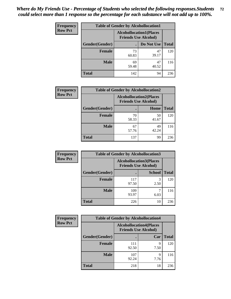| <b>Frequency</b> | <b>Table of Gender by Alcohollocation1</b> |                                                               |             |              |  |
|------------------|--------------------------------------------|---------------------------------------------------------------|-------------|--------------|--|
| <b>Row Pct</b>   |                                            | <b>Alcohollocation1(Places</b><br><b>Friends Use Alcohol)</b> |             |              |  |
|                  | Gender(Gender)                             |                                                               | Do Not Use  | <b>Total</b> |  |
|                  | <b>Female</b>                              | 73<br>60.83                                                   | 47<br>39.17 | 120          |  |
|                  | <b>Male</b>                                | 69<br>59.48                                                   | 47<br>40.52 | 116          |  |
|                  | <b>Total</b>                               | 142                                                           | 94          | 236          |  |

| <b>Frequency</b> | <b>Table of Gender by Alcohollocation2</b> |                                                               |             |              |
|------------------|--------------------------------------------|---------------------------------------------------------------|-------------|--------------|
| <b>Row Pct</b>   |                                            | <b>Alcohollocation2(Places</b><br><b>Friends Use Alcohol)</b> |             |              |
|                  | Gender(Gender)                             |                                                               | Home        | <b>Total</b> |
|                  | <b>Female</b>                              | 70<br>58.33                                                   | 50<br>41.67 | 120          |
|                  | <b>Male</b>                                | 67<br>57.76                                                   | 49<br>42.24 | 116          |
|                  | <b>Total</b>                               | 137                                                           | 99          | 236          |

| Frequency      | <b>Table of Gender by Alcohollocation3</b> |              |                                                               |              |
|----------------|--------------------------------------------|--------------|---------------------------------------------------------------|--------------|
| <b>Row Pct</b> |                                            |              | <b>Alcohollocation3(Places</b><br><b>Friends Use Alcohol)</b> |              |
|                | Gender(Gender)                             |              | <b>School</b>                                                 | <b>Total</b> |
|                | <b>Female</b>                              | 117<br>97.50 | 3<br>2.50                                                     | 120          |
|                | <b>Male</b>                                | 109<br>93.97 | 6.03                                                          | 116          |
|                | <b>Total</b>                               | 226          | 10                                                            | 236          |

| <b>Frequency</b> | <b>Table of Gender by Alcohollocation4</b> |                                                               |           |              |
|------------------|--------------------------------------------|---------------------------------------------------------------|-----------|--------------|
| <b>Row Pct</b>   |                                            | <b>Alcohollocation4(Places</b><br><b>Friends Use Alcohol)</b> |           |              |
|                  | Gender(Gender)                             |                                                               | Car       | <b>Total</b> |
|                  | <b>Female</b>                              | 111<br>92.50                                                  | 9<br>7.50 | 120          |
|                  | <b>Male</b>                                | 107<br>92.24                                                  | Q<br>7.76 | 116          |
|                  | <b>Total</b>                               | 218                                                           | 18        | 236          |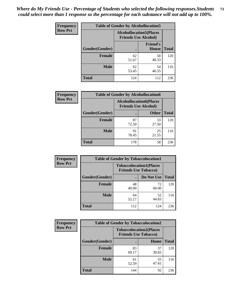| <b>Frequency</b> |                                                               | <b>Table of Gender by Alcohollocation5</b> |                          |              |
|------------------|---------------------------------------------------------------|--------------------------------------------|--------------------------|--------------|
| <b>Row Pct</b>   | <b>Alcohollocation5(Places</b><br><b>Friends Use Alcohol)</b> |                                            |                          |              |
|                  | Gender(Gender)                                                | $\bullet$                                  | <b>Friend's</b><br>House | <b>Total</b> |
|                  | <b>Female</b>                                                 | 62<br>51.67                                | 58<br>48.33              | 120          |
|                  | <b>Male</b>                                                   | 62<br>53.45                                | 54<br>46.55              | 116          |
|                  | <b>Total</b>                                                  | 124                                        | 112                      | 236          |

| Frequency      | <b>Table of Gender by Alcohollocation6</b> |                                                               |              |              |
|----------------|--------------------------------------------|---------------------------------------------------------------|--------------|--------------|
| <b>Row Pct</b> |                                            | <b>Alcohollocation6(Places</b><br><b>Friends Use Alcohol)</b> |              |              |
|                | Gender(Gender)                             |                                                               | <b>Other</b> | <b>Total</b> |
|                | <b>Female</b>                              | 87<br>72.50                                                   | 33<br>27.50  | 120          |
|                | <b>Male</b>                                | 91<br>78.45                                                   | 25<br>21.55  | 116          |
|                | <b>Total</b>                               | 178                                                           | 58           | 236          |

| Frequency      | <b>Table of Gender by Tobaccolocation1</b> |                                                               |             |              |  |
|----------------|--------------------------------------------|---------------------------------------------------------------|-------------|--------------|--|
| <b>Row Pct</b> |                                            | <b>Tobaccolocation1(Places</b><br><b>Friends Use Tobacco)</b> |             |              |  |
|                | Gender(Gender)                             |                                                               | Do Not Use  | <b>Total</b> |  |
|                | Female                                     | 48<br>40.00                                                   | 72<br>60.00 | 120          |  |
|                | <b>Male</b>                                | 64<br>55.17                                                   | 52<br>44.83 | 116          |  |
|                | <b>Total</b>                               | 112                                                           | 124         | 236          |  |

| <b>Frequency</b> | <b>Table of Gender by Tobaccolocation2</b> |                             |                                |              |
|------------------|--------------------------------------------|-----------------------------|--------------------------------|--------------|
| <b>Row Pct</b>   |                                            | <b>Friends Use Tobacco)</b> | <b>Tobaccolocation2(Places</b> |              |
|                  | Gender(Gender)                             |                             | Home                           | <b>Total</b> |
|                  | Female                                     | 83<br>69.17                 | 37<br>30.83                    | 120          |
|                  | <b>Male</b>                                | 61<br>52.59                 | 55<br>47.41                    | 116          |
|                  | <b>Total</b>                               | 144                         | 92                             | 236          |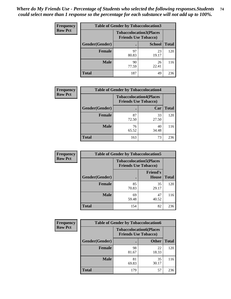| <b>Frequency</b> | <b>Table of Gender by Tobaccolocation3</b> |                             |                                |              |
|------------------|--------------------------------------------|-----------------------------|--------------------------------|--------------|
| <b>Row Pct</b>   |                                            | <b>Friends Use Tobacco)</b> | <b>Tobaccolocation3(Places</b> |              |
|                  | Gender(Gender)                             |                             | <b>School</b>                  | <b>Total</b> |
|                  | Female                                     | 97<br>80.83                 | 23<br>19.17                    | 120          |
|                  | <b>Male</b>                                | 90<br>77.59                 | 26<br>22.41                    | 116          |
|                  | Total                                      | 187                         | 49                             | 236          |

| <b>Frequency</b> | <b>Table of Gender by Tobaccolocation4</b> |                                                               |             |              |
|------------------|--------------------------------------------|---------------------------------------------------------------|-------------|--------------|
| <b>Row Pct</b>   |                                            | <b>Tobaccolocation4(Places</b><br><b>Friends Use Tobacco)</b> |             |              |
|                  | Gender(Gender)                             |                                                               | Car         | <b>Total</b> |
|                  | <b>Female</b>                              | 87<br>72.50                                                   | 33<br>27.50 | 120          |
|                  | <b>Male</b>                                | 76<br>65.52                                                   | 40<br>34.48 | 116          |
|                  | <b>Total</b>                               | 163                                                           | 73          | 236          |

| <b>Frequency</b> | <b>Table of Gender by Tobaccolocation5</b> |                                                               |                                 |              |
|------------------|--------------------------------------------|---------------------------------------------------------------|---------------------------------|--------------|
| <b>Row Pct</b>   |                                            | <b>Tobaccolocation5(Places</b><br><b>Friends Use Tobacco)</b> |                                 |              |
|                  | Gender(Gender)                             |                                                               | <b>Friend's</b><br><b>House</b> | <b>Total</b> |
|                  | <b>Female</b>                              | 85<br>70.83                                                   | 35<br>29.17                     | 120          |
|                  | <b>Male</b>                                | 69<br>59.48                                                   | 47<br>40.52                     | 116          |
|                  | <b>Total</b>                               | 154                                                           | 82                              | 236          |

| Frequency      | <b>Table of Gender by Tobaccolocation6</b> |                             |                                |              |
|----------------|--------------------------------------------|-----------------------------|--------------------------------|--------------|
| <b>Row Pct</b> |                                            | <b>Friends Use Tobacco)</b> | <b>Tobaccolocation6(Places</b> |              |
|                | Gender(Gender)                             |                             | <b>Other</b>                   | <b>Total</b> |
|                | Female                                     | 98<br>81.67                 | 22<br>18.33                    | 120          |
|                | <b>Male</b>                                | 81<br>69.83                 | 35<br>30.17                    | 116          |
|                | <b>Total</b>                               | 179                         | 57                             | 236          |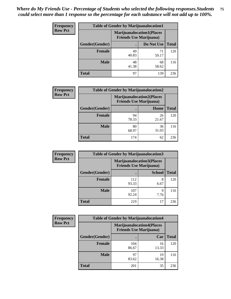| <b>Frequency</b> | <b>Table of Gender by Marijuanalocation1</b>                       |             |             |              |  |
|------------------|--------------------------------------------------------------------|-------------|-------------|--------------|--|
| <b>Row Pct</b>   | <b>Marijuanalocation1(Places</b><br><b>Friends Use Marijuana</b> ) |             |             |              |  |
|                  | Gender(Gender)                                                     |             | Do Not Use  | <b>Total</b> |  |
|                  | <b>Female</b>                                                      | 49<br>40.83 | 71<br>59.17 | 120          |  |
|                  | <b>Male</b>                                                        | 48<br>41.38 | 68<br>58.62 | 116          |  |
|                  | <b>Total</b>                                                       | 97          | 139         | 236          |  |

| <b>Frequency</b> | <b>Table of Gender by Marijuanalocation2</b> |                                                                    |             |              |  |
|------------------|----------------------------------------------|--------------------------------------------------------------------|-------------|--------------|--|
| <b>Row Pct</b>   |                                              | <b>Marijuanalocation2(Places</b><br><b>Friends Use Marijuana</b> ) |             |              |  |
|                  | Gender(Gender)                               |                                                                    | Home        | <b>Total</b> |  |
|                  | <b>Female</b>                                | 94<br>78.33                                                        | 26<br>21.67 | 120          |  |
|                  | <b>Male</b>                                  | 80<br>68.97                                                        | 36<br>31.03 | 116          |  |
|                  | <b>Total</b>                                 | 174                                                                | 62          | 236          |  |

| Frequency      | <b>Table of Gender by Marijuanalocation3</b> |              |                                                                     |              |
|----------------|----------------------------------------------|--------------|---------------------------------------------------------------------|--------------|
| <b>Row Pct</b> |                                              |              | <b>Marijuanalocation3(Places)</b><br><b>Friends Use Marijuana</b> ) |              |
|                | Gender(Gender)                               |              | <b>School</b>                                                       | <b>Total</b> |
|                | Female                                       | 112<br>93.33 | 8<br>6.67                                                           | 120          |
|                | <b>Male</b>                                  | 107<br>92.24 | q<br>7.76                                                           | 116          |
|                | <b>Total</b>                                 | 219          | 17                                                                  | 236          |

| <b>Frequency</b> | <b>Table of Gender by Marijuanalocation4</b> |                                |                                  |              |
|------------------|----------------------------------------------|--------------------------------|----------------------------------|--------------|
| <b>Row Pct</b>   |                                              | <b>Friends Use Marijuana</b> ) | <b>Marijuanalocation4(Places</b> |              |
|                  | Gender(Gender)                               |                                | Car                              | <b>Total</b> |
|                  | Female                                       | 104<br>86.67                   | 16<br>13.33                      | 120          |
|                  | <b>Male</b>                                  | 97<br>83.62                    | 19<br>16.38                      | 116          |
|                  | <b>Total</b>                                 | 201                            | 35                               | 236          |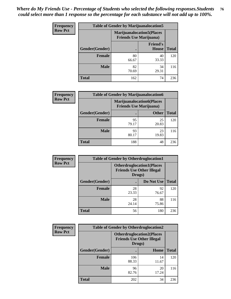| <b>Frequency</b> | <b>Table of Gender by Marijuanalocation5</b> |                                                                    |                          |              |
|------------------|----------------------------------------------|--------------------------------------------------------------------|--------------------------|--------------|
| <b>Row Pct</b>   |                                              | <b>Marijuanalocation5(Places</b><br><b>Friends Use Marijuana</b> ) |                          |              |
|                  | Gender(Gender)                               |                                                                    | <b>Friend's</b><br>House | <b>Total</b> |
|                  | <b>Female</b>                                | 80<br>66.67                                                        | 40<br>33.33              | 120          |
|                  | <b>Male</b>                                  | 82<br>70.69                                                        | 34<br>29.31              | 116          |
|                  | <b>Total</b>                                 | 162                                                                | 74                       | 236          |

| <b>Frequency</b> | <b>Table of Gender by Marijuanalocation6</b> |                                                                    |              |              |
|------------------|----------------------------------------------|--------------------------------------------------------------------|--------------|--------------|
| <b>Row Pct</b>   |                                              | <b>Marijuanalocation6(Places</b><br><b>Friends Use Marijuana</b> ) |              |              |
|                  | Gender(Gender)                               |                                                                    | <b>Other</b> | <b>Total</b> |
|                  | <b>Female</b>                                | 95<br>79.17                                                        | 25<br>20.83  | 120          |
|                  | <b>Male</b>                                  | 93<br>80.17                                                        | 23<br>19.83  | 116          |
|                  | <b>Total</b>                                 | 188                                                                | 48           | 236          |

| Frequency      | <b>Table of Gender by Otherdruglocation1</b> |                                                                                |             |              |
|----------------|----------------------------------------------|--------------------------------------------------------------------------------|-------------|--------------|
| <b>Row Pct</b> |                                              | <b>Otherdruglocation1(Places</b><br><b>Friends Use Other Illegal</b><br>Drugs) |             |              |
|                | Gender(Gender)                               |                                                                                | Do Not Use  | <b>Total</b> |
|                | <b>Female</b>                                | 28<br>23.33                                                                    | 92<br>76.67 | 120          |
|                | <b>Male</b>                                  | 28<br>24.14                                                                    | 88<br>75.86 | 116          |
|                | <b>Total</b>                                 | 56                                                                             | 180         | 236          |

| Frequency      | <b>Table of Gender by Otherdruglocation2</b> |                                                                                |             |              |
|----------------|----------------------------------------------|--------------------------------------------------------------------------------|-------------|--------------|
| <b>Row Pct</b> |                                              | <b>Otherdruglocation2(Places</b><br><b>Friends Use Other Illegal</b><br>Drugs) |             |              |
|                | Gender(Gender)                               |                                                                                | Home        | <b>Total</b> |
|                | Female                                       | 106<br>88.33                                                                   | 14<br>11.67 | 120          |
|                | <b>Male</b>                                  | 96<br>82.76                                                                    | 20<br>17.24 | 116          |
|                | <b>Total</b>                                 | 202                                                                            | 34          | 236          |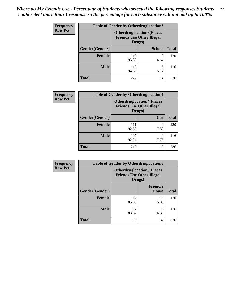| <b>Frequency</b> | <b>Table of Gender by Otherdruglocation3</b> |                                                                                |               |              |
|------------------|----------------------------------------------|--------------------------------------------------------------------------------|---------------|--------------|
| <b>Row Pct</b>   |                                              | <b>Otherdruglocation3(Places</b><br><b>Friends Use Other Illegal</b><br>Drugs) |               |              |
|                  | Gender(Gender)                               |                                                                                | <b>School</b> | <b>Total</b> |
|                  | <b>Female</b>                                | 112<br>93.33                                                                   | 8<br>6.67     | 120          |
|                  | <b>Male</b>                                  | 110<br>94.83                                                                   | 6<br>5.17     | 116          |
|                  | <b>Total</b>                                 | 222                                                                            | 14            | 236          |

| Frequency      | <b>Table of Gender by Otherdruglocation4</b> |                                            |                                  |              |
|----------------|----------------------------------------------|--------------------------------------------|----------------------------------|--------------|
| <b>Row Pct</b> |                                              | <b>Friends Use Other Illegal</b><br>Drugs) | <b>Otherdruglocation4(Places</b> |              |
|                | Gender(Gender)                               |                                            | Car                              | <b>Total</b> |
|                | Female                                       | 111<br>92.50                               | 9<br>7.50                        | 120          |
|                | <b>Male</b>                                  | 107<br>92.24                               | 9<br>7.76                        | 116          |
|                | <b>Total</b>                                 | 218                                        | 18                               | 236          |

| Frequency      | <b>Table of Gender by Otherdruglocation5</b> |                                            |                                  |              |
|----------------|----------------------------------------------|--------------------------------------------|----------------------------------|--------------|
| <b>Row Pct</b> |                                              | <b>Friends Use Other Illegal</b><br>Drugs) | <b>Otherdruglocation5(Places</b> |              |
|                | Gender(Gender)                               |                                            | <b>Friend's</b><br><b>House</b>  | <b>Total</b> |
|                | <b>Female</b>                                | 102<br>85.00                               | 18<br>15.00                      | 120          |
|                | <b>Male</b>                                  | 97<br>83.62                                | 19<br>16.38                      | 116          |
|                | <b>Total</b>                                 | 199                                        | 37                               | 236          |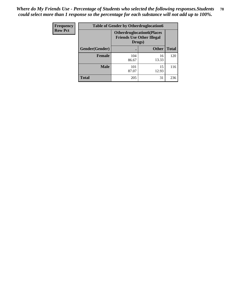| <b>Frequency</b> | <b>Table of Gender by Otherdruglocation6</b> |                                            |                                  |              |
|------------------|----------------------------------------------|--------------------------------------------|----------------------------------|--------------|
| <b>Row Pct</b>   |                                              | <b>Friends Use Other Illegal</b><br>Drugs) | <b>Otherdruglocation6(Places</b> |              |
|                  | Gender(Gender)                               |                                            | <b>Other</b>                     | <b>Total</b> |
|                  | <b>Female</b>                                | 104<br>86.67                               | 16<br>13.33                      | 120          |
|                  | <b>Male</b>                                  | 101<br>87.07                               | 15<br>12.93                      | 116          |
|                  | <b>Total</b>                                 | 205                                        | 31                               | 236          |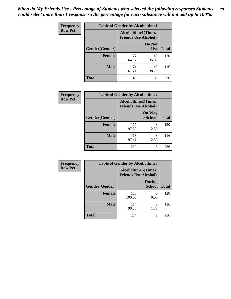| Frequency      | <b>Table of Gender by Alcoholtime1</b> |                                                          |                      |              |
|----------------|----------------------------------------|----------------------------------------------------------|----------------------|--------------|
| <b>Row Pct</b> |                                        | <b>Alcoholtime1(Times</b><br><b>Friends Use Alcohol)</b> |                      |              |
|                | Gender(Gender)                         | $\bullet$                                                | Do Not<br><b>Use</b> | <b>Total</b> |
|                | <b>Female</b>                          | 77<br>64.17                                              | 43<br>35.83          | 120          |
|                | <b>Male</b>                            | 71<br>61.21                                              | 45<br>38.79          | 116          |
|                | <b>Total</b>                           | 148                                                      | 88                   | 236          |

| <b>Frequency</b> | <b>Table of Gender by Alcoholtime2</b> |                                                          |                            |              |
|------------------|----------------------------------------|----------------------------------------------------------|----------------------------|--------------|
| <b>Row Pct</b>   |                                        | <b>Alcoholtime2(Times</b><br><b>Friends Use Alcohol)</b> |                            |              |
|                  | Gender(Gender)                         |                                                          | <b>On Way</b><br>to School | <b>Total</b> |
|                  | <b>Female</b>                          | 117<br>97.50                                             | 3<br>2.50                  | 120          |
|                  | <b>Male</b>                            | 113<br>97.41                                             | 3<br>2.59                  | 116          |
|                  | <b>Total</b>                           | 230                                                      | 6                          | 236          |

| Frequency      | <b>Table of Gender by Alcoholtime3</b> |                                                   |                                |              |
|----------------|----------------------------------------|---------------------------------------------------|--------------------------------|--------------|
| <b>Row Pct</b> |                                        | Alcoholtime3(Times<br><b>Friends Use Alcohol)</b> |                                |              |
|                | Gender(Gender)                         |                                                   | <b>During</b><br><b>School</b> | <b>Total</b> |
|                | <b>Female</b>                          | 120<br>100.00                                     | $\mathbf{0}$<br>0.00           | 120          |
|                | <b>Male</b>                            | 114<br>98.28                                      | 2<br>1.72                      | 116          |
|                | <b>Total</b>                           | 234                                               | 2                              | 236          |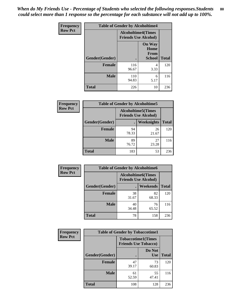*When do My Friends Use - Percentage of Students who selected the following responses.Students could select more than 1 response so the percentage for each substance will not add up to 100%.* **80**

| <b>Frequency</b> | <b>Table of Gender by Alcoholtime4</b> |                                                          |                                                |              |
|------------------|----------------------------------------|----------------------------------------------------------|------------------------------------------------|--------------|
| <b>Row Pct</b>   |                                        | <b>Alcoholtime4(Times</b><br><b>Friends Use Alcohol)</b> |                                                |              |
|                  | Gender(Gender)                         |                                                          | <b>On Way</b><br>Home<br>From<br><b>School</b> | <b>Total</b> |
|                  | <b>Female</b>                          | 116<br>96.67                                             | 4<br>3.33                                      | 120          |
|                  | <b>Male</b>                            | 110<br>94.83                                             | 6<br>5.17                                      | 116          |
|                  | <b>Total</b>                           | 226                                                      | 10                                             | 236          |

| <b>Frequency</b> | <b>Table of Gender by Alcoholtime5</b> |                                                           |             |              |
|------------------|----------------------------------------|-----------------------------------------------------------|-------------|--------------|
| <b>Row Pct</b>   |                                        | <b>Alcoholtime5</b> (Times<br><b>Friends Use Alcohol)</b> |             |              |
|                  | Gender(Gender)                         |                                                           | Weeknights  | <b>Total</b> |
|                  | <b>Female</b>                          | 94<br>78.33                                               | 26<br>21.67 | 120          |
|                  | <b>Male</b>                            | 89<br>76.72                                               | 27<br>23.28 | 116          |
|                  | <b>Total</b>                           | 183                                                       | 53          | 236          |

| <b>Frequency</b> |                | <b>Table of Gender by Alcoholtime6</b> |                                                           |              |
|------------------|----------------|----------------------------------------|-----------------------------------------------------------|--------------|
| <b>Row Pct</b>   |                |                                        | <b>Alcoholtime6</b> (Times<br><b>Friends Use Alcohol)</b> |              |
|                  | Gender(Gender) |                                        | <b>Weekends</b>                                           | <b>Total</b> |
|                  | Female         | 38<br>31.67                            | 82<br>68.33                                               | 120          |
|                  | <b>Male</b>    | 40<br>34.48                            | 76<br>65.52                                               | 116          |
|                  | <b>Total</b>   | 78                                     | 158                                                       | 236          |

| Frequency      | <b>Table of Gender by Tobaccotime1</b> |                                                          |                      |              |
|----------------|----------------------------------------|----------------------------------------------------------|----------------------|--------------|
| <b>Row Pct</b> |                                        | <b>Tobaccotime1(Times</b><br><b>Friends Use Tobacco)</b> |                      |              |
|                | Gender(Gender)                         |                                                          | Do Not<br><b>Use</b> | <b>Total</b> |
|                | Female                                 | 47<br>39.17                                              | 73<br>60.83          | 120          |
|                | <b>Male</b>                            | 61<br>52.59                                              | 55<br>47.41          | 116          |
|                | <b>Total</b>                           | 108                                                      | 128                  | 236          |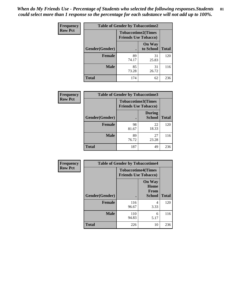*When do My Friends Use - Percentage of Students who selected the following responses.Students could select more than 1 response so the percentage for each substance will not add up to 100%.* **81**

| Frequency      | <b>Table of Gender by Tobaccotime2</b> |                                                          |                            |              |
|----------------|----------------------------------------|----------------------------------------------------------|----------------------------|--------------|
| <b>Row Pct</b> |                                        | <b>Tobaccotime2(Times</b><br><b>Friends Use Tobacco)</b> |                            |              |
|                | Gender(Gender)                         | $\bullet$                                                | <b>On Way</b><br>to School | <b>Total</b> |
|                | <b>Female</b>                          | 89<br>74.17                                              | 31<br>25.83                | 120          |
|                | <b>Male</b>                            | 85<br>73.28                                              | 31<br>26.72                | 116          |
|                | <b>Total</b>                           | 174                                                      | 62                         | 236          |

| Frequency      | <b>Table of Gender by Tobaccotime3</b>                   |             |                                |              |
|----------------|----------------------------------------------------------|-------------|--------------------------------|--------------|
| <b>Row Pct</b> | <b>Tobaccotime3(Times</b><br><b>Friends Use Tobacco)</b> |             |                                |              |
|                | Gender(Gender)                                           | г           | <b>During</b><br><b>School</b> | <b>Total</b> |
|                | Female                                                   | 98<br>81.67 | 22<br>18.33                    | 120          |
|                | <b>Male</b>                                              | 89<br>76.72 | 27<br>23.28                    | 116          |
|                | <b>Total</b>                                             | 187         | 49                             | 236          |

| <b>Frequency</b> | <b>Table of Gender by Tobaccotime4</b> |                                                          |                                                       |              |
|------------------|----------------------------------------|----------------------------------------------------------|-------------------------------------------------------|--------------|
| <b>Row Pct</b>   |                                        | <b>Tobaccotime4(Times</b><br><b>Friends Use Tobacco)</b> |                                                       |              |
|                  | Gender(Gender)                         |                                                          | <b>On Way</b><br>Home<br><b>From</b><br><b>School</b> | <b>Total</b> |
|                  | <b>Female</b>                          | 116<br>96.67                                             | 4<br>3.33                                             | 120          |
|                  | <b>Male</b>                            | 110<br>94.83                                             | 6<br>5.17                                             | 116          |
|                  | <b>Total</b>                           | 226                                                      | 10                                                    | 236          |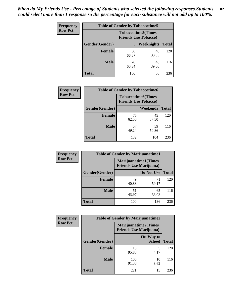| <b>Frequency</b> | <b>Table of Gender by Tobaccotime5</b> |                                                           |                   |              |  |
|------------------|----------------------------------------|-----------------------------------------------------------|-------------------|--------------|--|
| <b>Row Pct</b>   |                                        | <b>Tobaccotime5</b> (Times<br><b>Friends Use Tobacco)</b> |                   |              |  |
|                  | <b>Gender</b> (Gender)                 |                                                           | <b>Weeknights</b> | <b>Total</b> |  |
|                  | <b>Female</b>                          | 80<br>66.67                                               | 40<br>33.33       | 120          |  |
|                  | <b>Male</b>                            | 70<br>60.34                                               | 46<br>39.66       | 116          |  |
|                  | <b>Total</b>                           | 150                                                       | 86                | 236          |  |

| Frequency      | <b>Table of Gender by Tobaccotime6</b> |                             |                           |              |
|----------------|----------------------------------------|-----------------------------|---------------------------|--------------|
| <b>Row Pct</b> |                                        | <b>Friends Use Tobacco)</b> | <b>Tobaccotime6(Times</b> |              |
|                | Gender(Gender)                         |                             | Weekends                  | <b>Total</b> |
|                | Female                                 | 75<br>62.50                 | 45<br>37.50               | 120          |
|                | <b>Male</b>                            | 57<br>49.14                 | 59<br>50.86               | 116          |
|                | <b>Total</b>                           | 132                         | 104                       | 236          |

| <b>Frequency</b> | <b>Table of Gender by Marijuanatime1</b> |                                |                             |              |
|------------------|------------------------------------------|--------------------------------|-----------------------------|--------------|
| <b>Row Pct</b>   |                                          | <b>Friends Use Marijuana</b> ) | <b>Marijuanatime1(Times</b> |              |
|                  | Gender(Gender)                           |                                | Do Not Use                  | <b>Total</b> |
|                  | <b>Female</b>                            | 49<br>40.83                    | 71<br>59.17                 | 120          |
|                  | <b>Male</b>                              | 51<br>43.97                    | 65<br>56.03                 | 116          |
|                  | <b>Total</b>                             | 100                            | 136                         | 236          |

| <b>Frequency</b> | <b>Table of Gender by Marijuanatime2</b> |                                                               |                            |              |
|------------------|------------------------------------------|---------------------------------------------------------------|----------------------------|--------------|
| <b>Row Pct</b>   |                                          | <b>Marijuanatime2(Times</b><br><b>Friends Use Marijuana</b> ) |                            |              |
|                  | Gender(Gender)                           |                                                               | On Way to<br><b>School</b> | <b>Total</b> |
|                  | <b>Female</b>                            | 115<br>95.83                                                  | 5<br>4.17                  | 120          |
|                  | <b>Male</b>                              | 106<br>91.38                                                  | 10<br>8.62                 | 116          |
|                  | <b>Total</b>                             | 221                                                           | 15                         | 236          |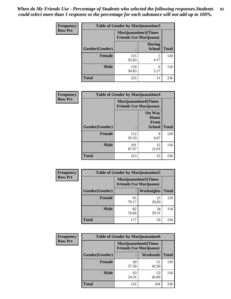*When do My Friends Use - Percentage of Students who selected the following responses.Students could select more than 1 response so the percentage for each substance will not add up to 100%.* **83**

| <b>Frequency</b> | Table of Gender by Marijuanatime3 |                                                        |                                |              |
|------------------|-----------------------------------|--------------------------------------------------------|--------------------------------|--------------|
| <b>Row Pct</b>   |                                   | Marijuanatime3(Times<br><b>Friends Use Marijuana</b> ) |                                |              |
|                  | Gender(Gender)                    |                                                        | <b>During</b><br><b>School</b> | <b>Total</b> |
|                  | <b>Female</b>                     | 115<br>95.83                                           | 5<br>4.17                      | 120          |
|                  | <b>Male</b>                       | 110<br>94.83                                           | 6<br>5.17                      | 116          |
|                  | <b>Total</b>                      | 225                                                    | 11                             | 236          |

| Frequency      | <b>Table of Gender by Marijuanatime4</b> |                                |                                                       |              |
|----------------|------------------------------------------|--------------------------------|-------------------------------------------------------|--------------|
| <b>Row Pct</b> |                                          | <b>Friends Use Marijuana</b> ) | <b>Marijuanatime4(Times</b>                           |              |
|                | Gender(Gender)                           |                                | <b>On Way</b><br>Home<br><b>From</b><br><b>School</b> | <b>Total</b> |
|                | <b>Female</b>                            | 112<br>93.33                   | 8<br>6.67                                             | 120          |
|                | <b>Male</b>                              | 101<br>87.07                   | 15<br>12.93                                           | 116          |
|                | <b>Total</b>                             | 213                            | 23                                                    | 236          |

| Frequency      | <b>Table of Gender by Marijuanatime5</b> |             |                                                                |              |  |  |
|----------------|------------------------------------------|-------------|----------------------------------------------------------------|--------------|--|--|
| <b>Row Pct</b> |                                          |             | <b>Marijuanatime5</b> (Times<br><b>Friends Use Marijuana</b> ) |              |  |  |
|                | Gender(Gender)                           |             | <b>Weeknights</b>                                              | <b>Total</b> |  |  |
|                | <b>Female</b>                            | 95<br>79.17 | 25<br>20.83                                                    | 120          |  |  |
|                | <b>Male</b>                              | 82<br>70.69 | 34<br>29.31                                                    | 116          |  |  |
|                | <b>Total</b>                             | 177         | 59                                                             | 236          |  |  |

| Frequency      | <b>Table of Gender by Marijuanatime6</b> |                                                               |                 |              |  |  |
|----------------|------------------------------------------|---------------------------------------------------------------|-----------------|--------------|--|--|
| <b>Row Pct</b> |                                          | <b>Marijuanatime6(Times</b><br><b>Friends Use Marijuana</b> ) |                 |              |  |  |
|                | Gender(Gender)                           |                                                               | <b>Weekends</b> | <b>Total</b> |  |  |
|                | <b>Female</b>                            | 69<br>57.50                                                   | 51<br>42.50     | 120          |  |  |
|                | <b>Male</b>                              | 63<br>54.31                                                   | 53<br>45.69     | 116          |  |  |
|                | <b>Total</b>                             | 132                                                           | 104             | 236          |  |  |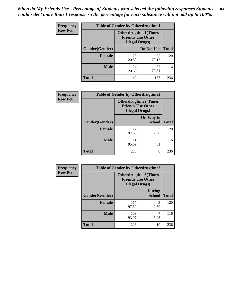*When do My Friends Use - Percentage of Students who selected the following responses.Students could select more than 1 response so the percentage for each substance will not add up to 100%.* **84**

| <b>Frequency</b> | <b>Table of Gender by Otherdrugtime1</b> |                                                                                  |             |              |  |
|------------------|------------------------------------------|----------------------------------------------------------------------------------|-------------|--------------|--|
| <b>Row Pct</b>   |                                          | <b>Otherdrugtime1(Times</b><br><b>Friends Use Other</b><br><b>Illegal Drugs)</b> |             |              |  |
|                  | Gender(Gender)                           |                                                                                  | Do Not Use  | <b>Total</b> |  |
|                  | <b>Female</b>                            | 25<br>20.83                                                                      | 95<br>79.17 | 120          |  |
|                  | <b>Male</b>                              | 24<br>20.69                                                                      | 92<br>79.31 | 116          |  |
|                  | Total                                    | 49                                                                               | 187         | 236          |  |

| Frequency      | <b>Table of Gender by Otherdrugtime2</b> |                                                                                   |                            |              |  |  |
|----------------|------------------------------------------|-----------------------------------------------------------------------------------|----------------------------|--------------|--|--|
| <b>Row Pct</b> |                                          | <b>Otherdrugtime2(Times</b><br><b>Friends Use Other</b><br><b>Illegal Drugs</b> ) |                            |              |  |  |
|                | Gender(Gender)                           |                                                                                   | On Way to<br><b>School</b> | <b>Total</b> |  |  |
|                | <b>Female</b>                            | 117<br>97.50                                                                      | 3<br>2.50                  | 120          |  |  |
|                | <b>Male</b>                              | 111<br>95.69                                                                      | 5<br>4.31                  | 116          |  |  |
|                | <b>Total</b>                             | 228                                                                               | 8                          | 236          |  |  |

| Frequency      | <b>Table of Gender by Otherdrugtime3</b> |                        |                                                         |              |  |
|----------------|------------------------------------------|------------------------|---------------------------------------------------------|--------------|--|
| <b>Row Pct</b> |                                          | <b>Illegal Drugs</b> ) | <b>Otherdrugtime3(Times</b><br><b>Friends Use Other</b> |              |  |
|                | Gender(Gender)                           |                        | <b>During</b><br><b>School</b>                          | <b>Total</b> |  |
|                | <b>Female</b>                            | 117<br>97.50           | 3<br>2.50                                               | 120          |  |
|                | <b>Male</b>                              | 109<br>93.97           | 7<br>6.03                                               | 116          |  |
|                | <b>Total</b>                             | 226                    | 10                                                      | 236          |  |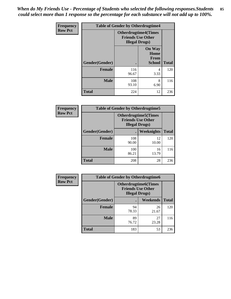*When do My Friends Use - Percentage of Students who selected the following responses.Students could select more than 1 response so the percentage for each substance will not add up to 100%.* **85**

| Frequency      | <b>Table of Gender by Otherdrugtime4</b> |                        |                                                         |              |  |
|----------------|------------------------------------------|------------------------|---------------------------------------------------------|--------------|--|
| <b>Row Pct</b> |                                          | <b>Illegal Drugs</b> ) | <b>Otherdrugtime4(Times</b><br><b>Friends Use Other</b> |              |  |
|                | Gender(Gender)                           |                        | <b>On Way</b><br>Home<br><b>From</b><br><b>School</b>   | <b>Total</b> |  |
|                | <b>Female</b>                            | 116<br>96.67           | 4<br>3.33                                               | 120          |  |
|                | <b>Male</b>                              | 108<br>93.10           | 8<br>6.90                                               | 116          |  |
|                | <b>Total</b>                             | 224                    | 12                                                      | 236          |  |

| <b>Frequency</b> | <b>Table of Gender by Otherdrugtime5</b> |                                                                                    |             |              |  |
|------------------|------------------------------------------|------------------------------------------------------------------------------------|-------------|--------------|--|
| <b>Row Pct</b>   |                                          | <b>Otherdrugtime5</b> (Times<br><b>Friends Use Other</b><br><b>Illegal Drugs</b> ) |             |              |  |
|                  | Gender(Gender)                           |                                                                                    | Weeknights  | <b>Total</b> |  |
|                  | <b>Female</b>                            | 108<br>90.00                                                                       | 12<br>10.00 | 120          |  |
|                  | <b>Male</b>                              | 100<br>86.21                                                                       | 16<br>13.79 | 116          |  |
|                  | <b>Total</b>                             | 208                                                                                | 28          | 236          |  |

| <b>Frequency</b> | <b>Table of Gender by Otherdrugtime6</b> |                                                                                    |             |              |  |
|------------------|------------------------------------------|------------------------------------------------------------------------------------|-------------|--------------|--|
| <b>Row Pct</b>   |                                          | <b>Otherdrugtime6</b> (Times<br><b>Friends Use Other</b><br><b>Illegal Drugs</b> ) |             |              |  |
|                  | Gender(Gender)                           |                                                                                    | Weekends    | <b>Total</b> |  |
|                  | <b>Female</b>                            | 94<br>78.33                                                                        | 26<br>21.67 | 120          |  |
|                  | <b>Male</b>                              | 89<br>76.72                                                                        | 27<br>23.28 | 116          |  |
|                  | <b>Total</b>                             | 183                                                                                | 53          | 236          |  |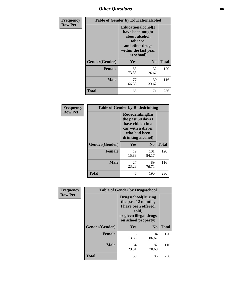# *Other Questions* **86**

| <b>Frequency</b> | <b>Table of Gender by Educationalcohol</b> |                                                                                                                                       |                |              |  |
|------------------|--------------------------------------------|---------------------------------------------------------------------------------------------------------------------------------------|----------------|--------------|--|
| <b>Row Pct</b>   |                                            | <b>Educationalcohol</b> (I<br>have been taught<br>about alcohol,<br>tobacco,<br>and other drugs<br>within the last year<br>at school) |                |              |  |
|                  | Gender(Gender)                             | <b>Yes</b>                                                                                                                            | N <sub>0</sub> | <b>Total</b> |  |
|                  | <b>Female</b>                              | 88<br>73.33                                                                                                                           | 32<br>26.67    | 120          |  |
|                  | <b>Male</b>                                | 77<br>66.38                                                                                                                           | 39<br>33.62    | 116          |  |
|                  | <b>Total</b>                               | 165                                                                                                                                   | 71             | 236          |  |

| Frequency      | <b>Table of Gender by Rodedrinking</b> |                                                                                                                     |                |              |  |
|----------------|----------------------------------------|---------------------------------------------------------------------------------------------------------------------|----------------|--------------|--|
| <b>Row Pct</b> |                                        | Rodedrinking(In<br>the past 30 days I<br>have ridden in a<br>car with a driver<br>who had been<br>drinking alcohol) |                |              |  |
|                | Gender(Gender)                         | Yes                                                                                                                 | N <sub>0</sub> | <b>Total</b> |  |
|                | <b>Female</b>                          | 19<br>15.83                                                                                                         | 101<br>84.17   | 120          |  |
|                | <b>Male</b>                            | 27<br>23.28                                                                                                         | 89<br>76.72    | 116          |  |
|                | <b>Total</b>                           | 46                                                                                                                  | 190            | 236          |  |

| Frequency      | <b>Table of Gender by Drugsschool</b> |                                                                                                                                     |                |              |  |
|----------------|---------------------------------------|-------------------------------------------------------------------------------------------------------------------------------------|----------------|--------------|--|
| <b>Row Pct</b> |                                       | <b>Drugsschool</b> (During<br>the past 12 months,<br>I have been offered,<br>sold,<br>or given illegal drugs<br>on school property) |                |              |  |
|                | Gender(Gender)                        | <b>Yes</b>                                                                                                                          | N <sub>0</sub> | <b>Total</b> |  |
|                | <b>Female</b>                         | 16<br>13.33                                                                                                                         | 104<br>86.67   | 120          |  |
|                | <b>Male</b>                           | 34<br>29.31                                                                                                                         | 82<br>70.69    | 116          |  |
|                | <b>Total</b>                          | 50                                                                                                                                  | 186            | 236          |  |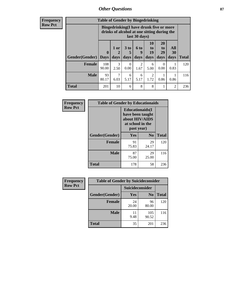## *Other Questions* **87**

**Frequency Row Pct**

| <b>Table of Gender by Bingedrinking</b> |              |                                                                                                         |                   |                   |                        |                               |                          |              |
|-----------------------------------------|--------------|---------------------------------------------------------------------------------------------------------|-------------------|-------------------|------------------------|-------------------------------|--------------------------|--------------|
|                                         |              | Bingedrinking(I have drunk five or more<br>drinks of alcohol at one sitting during the<br>last 30 days) |                   |                   |                        |                               |                          |              |
| <b>Gender</b> (Gender)   Days           | $\mathbf 0$  | 1 or<br>days                                                                                            | 3 to<br>5<br>days | 6 to<br>q<br>days | 10<br>to<br>19<br>days | <b>20</b><br>to<br>29<br>days | All<br><b>30</b><br>days | <b>Total</b> |
| <b>Female</b>                           | 108<br>90.00 | 3<br>2.50                                                                                               | $\Omega$<br>0.00  | 2<br>1.67         | 6<br>5.00              | 0<br>0.00                     | 0.83                     | 120          |
| <b>Male</b>                             | 93<br>80.17  | 7<br>6.03                                                                                               | 6<br>5.17         | 6<br>5.17         | 2<br>1.72              | 0.86                          | 0.86                     | 116          |
| <b>Total</b>                            |              |                                                                                                         |                   |                   |                        |                               |                          |              |

| Frequency      | <b>Table of Gender by Educationaids</b> |                                                                                                 |                |              |
|----------------|-----------------------------------------|-------------------------------------------------------------------------------------------------|----------------|--------------|
| <b>Row Pct</b> |                                         | <b>Educationaids</b> (I<br>have been taught<br>about HIV/AIDS<br>at school in the<br>past year) |                |              |
|                | Gender(Gender)                          | Yes                                                                                             | N <sub>0</sub> | <b>Total</b> |
|                | <b>Female</b>                           | 91<br>75.83                                                                                     | 29<br>24.17    | 120          |
|                | <b>Male</b>                             | 87<br>75.00                                                                                     | 29<br>25.00    | 116          |
|                | <b>Total</b>                            | 178                                                                                             | 58             | 236          |

| <b>Frequency</b> | <b>Table of Gender by Suicideconsider</b> |                 |                |              |
|------------------|-------------------------------------------|-----------------|----------------|--------------|
| <b>Row Pct</b>   |                                           | Suicideconsider |                |              |
|                  | Gender(Gender)                            | Yes             | N <sub>0</sub> | <b>Total</b> |
|                  | <b>Female</b>                             | 24<br>20.00     | 96<br>80.00    | 120          |
|                  | <b>Male</b>                               | 11<br>9.48      | 105<br>90.52   | 116          |
|                  | <b>Total</b>                              | 35              | 201            | 236          |